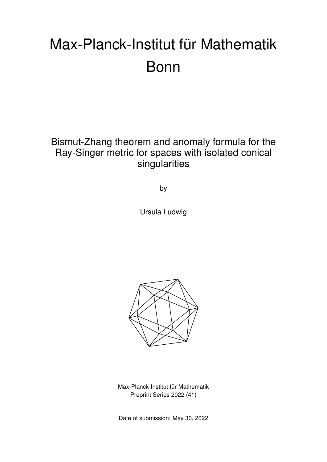# Max-Planck-Institut für Mathematik Bonn

Bismut-Zhang theorem and anomaly formula for the Ray-Singer metric for spaces with isolated conical singularities

by

Ursula Ludwig



Max-Planck-Institut für Mathematik Preprint Series 2022 (41)

Date of submission: May 30, 2022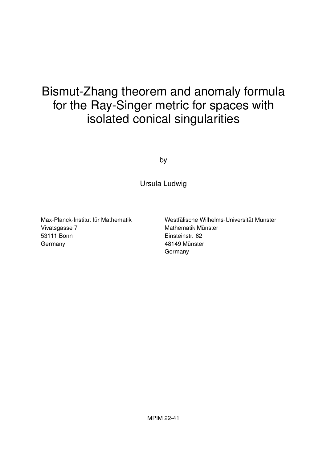# Bismut-Zhang theorem and anomaly formula for the Ray-Singer metric for spaces with isolated conical singularities

by

Ursula Ludwig

Max-Planck-Institut für Mathematik Vivatsgasse 7 53111 Bonn **Germany** 

Westfälische Wilhelms-Universität Münster Mathematik Münster Einsteinstr. 62 48149 Münster Germany

MPIM 22-41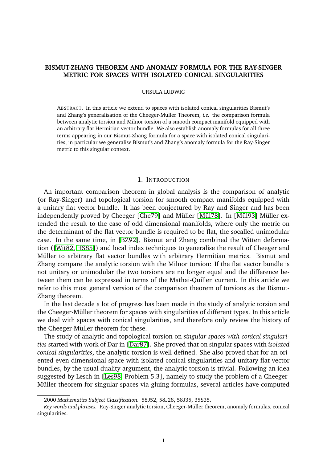## **BISMUT-ZHANG THEOREM AND ANOMALY FORMULA FOR THE RAY-SINGER METRIC FOR SPACES WITH ISOLATED CONICAL SINGULARITIES**

#### URSULA LUDWIG

ABSTRACT. In this article we extend to spaces with isolated conical singularities Bismut's and Zhang's generalisation of the Cheeger-Müller Theorem, *i.e.* the comparison formula between analytic torsion and Milnor torsion of a smooth compact manifold equipped with an arbitrary flat Hermitian vector bundle. We also establish anomaly formulas for all three terms appearing in our Bismut-Zhang formula for a space with isolated conical singularities, in particular we generalise Bismut's and Zhang's anomaly formula for the Ray-Singer metric to this singular context.

#### 1. INTRODUCTION

An important comparison theorem in global analysis is the comparison of analytic (or Ray-Singer) and topological torsion for smooth compact manifolds equipped with a unitary flat vector bundle. It has been conjectured by Ray and Singer and has been independently proved by Cheeger [\[Che79\]](#page-62-0) and Müller [Mül78]. In [Mül93] Müller extended the result to the case of odd dimensional manifolds, where only the metric on the determinant of the flat vector bundle is required to be flat, the socalled unimodular case. In the same time, in [\[BZ92\]](#page-62-1), Bismut and Zhang combined the Witten deformation ([\[Wit82,](#page-63-2) [HS85\]](#page-63-3)) and local index techniques to generalise the result of Cheeger and Müller to arbitrary flat vector bundles with arbitrary Hermitian metrics. Bismut and Zhang compare the analytic torsion with the Milnor torsion: If the flat vector bundle is not unitary or unimodular the two torsions are no longer equal and the difference between them can be expressed in terms of the Mathai-Quillen current. In this article we refer to this most general version of the comparison theorem of torsions as the Bismut-Zhang theorem.

In the last decade a lot of progress has been made in the study of analytic torsion and the Cheeger-Müller theorem for spaces with singularities of different types. In this article we deal with spaces with conical singularities, and therefore only review the history of the Cheeger-Müller theorem for these.

The study of analytic and topological torsion on *singular spaces with conical singularities* started with work of Dar in [\[Dar87\]](#page-62-2). She proved that on singular spaces with *isolated conical singularities*, the analytic torsion is well-defined. She also proved that for an oriented even dimensional space with isolated conical singularities and unitary flat vector bundles, by the usual duality argument, the analytic torsion is trivial. Following an idea suggested by Lesch in [\[Les98,](#page-63-4) Problem 5.3], namely to study the problem of a Cheeger-Müller theorem for singular spaces via gluing formulas, several articles have computed

<sup>2000</sup> *Mathematics Subject Classification.* 58J52, 58J28, 58J35, 35S35.

*Key words and phrases.* Ray-Singer analytic torsion, Cheeger-Muller theorem, anomaly formulas, conical ¨ singularities.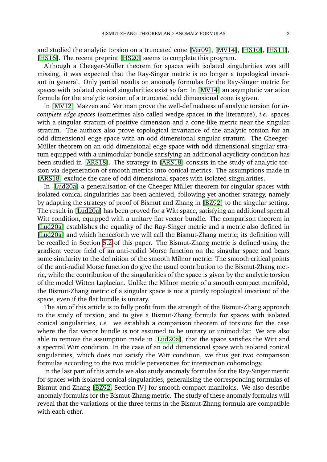and studied the analytic torsion on a truncated cone [\[Ver09\]](#page-63-5), [\[MV14\]](#page-63-6), [\[HS10\]](#page-63-7), [\[HS11\]](#page-63-8), [\[HS16\]](#page-63-9). The recent preprint [\[HS20\]](#page-63-10) seems to complete this program.

Although a Cheeger-Müller theorem for spaces with isolated singularities was still missing, it was expected that the Ray-Singer metric is no longer a topological invariant in general. Only partial results on anomaly formulas for the Ray-Singer metric for spaces with isolated conical singularities exist so far: In [\[MV14\]](#page-63-6) an asymptotic variation formula for the analytic torsion of a truncated odd dimensional cone is given.

In [\[MV12\]](#page-63-11) Mazzeo and Vertman prove the well-definedness of analytic torsion for *incomplete edge spaces* (sometimes also called wedge spaces in the literature), *i.e.* spaces with a singular stratum of positive dimension and a cone-like metric near the singular stratum. The authors also prove topological invariance of the analytic torsion for an odd dimensional edge space with an odd dimensional singular stratum. The Cheeger-Müller theorem on an odd dimensional edge space with odd dimensional singular stratum equipped with a unimodular bundle satisfying an additional acyclicity condition has been studied in [\[ARS18\]](#page-62-3). The strategy in [\[ARS18\]](#page-62-3) consists in the study of analytic torsion via degeneration of smooth metrics into conical metrics. The assumptions made in [\[ARS18\]](#page-62-3) exclude the case of odd dimensional spaces with isolated singularities.

In [\[Lud20a\]](#page-63-12) a generalisation of the Cheeger-Müller theorem for singular spaces with isolated conical singularities has been achieved, following yet another strategy, namely by adapting the strategy of proof of Bismut and Zhang in [\[BZ92\]](#page-62-1) to the singular setting. The result in [\[Lud20a\]](#page-63-12) has been proved for a Witt space, satisfying an additional spectral Witt condition, equipped with a unitary flat vector bundle. The comparison theorem in [\[Lud20a\]](#page-63-12) establishes the equality of the Ray-Singer metric and a metric also defined in [\[Lud20a\]](#page-63-12) and which henceforth we will call the Bismut-Zhang metric; its definition will be recalled in Section [5.2](#page-33-0) of this paper. The Bismut-Zhang metric is defined using the gradient vector field of an anti-radial Morse function on the singular space and bears some similarity to the definition of the smooth Milnor metric: The smooth critical points of the anti-radial Morse function do give the usual contribution to the Bismut-Zhang metric, while the contribution of the singularities of the space is given by the analytic torsion of the model Witten Laplacian. Unlike the Milnor metric of a smooth compact manifold, the Bismut-Zhang metric of a singular space is not a purely topological invariant of the space, even if the flat bundle is unitary.

The aim of this article is to fully profit from the strength of the Bismut-Zhang approach to the study of torsion, and to give a Bismut-Zhang formula for spaces with isolated conical singularities, *i.e.* we establish a comparison theorem of torsions for the case where the flat vector bundle is not assumed to be unitary or unimodular. We are also able to remove the assumption made in [\[Lud20a\]](#page-63-12), that the space satisfies the Witt and a spectral Witt condition. In the case of an odd dimensional space with isolated conical singularities, which does not satisfy the Witt condition, we thus get two comparison formulas according to the two middle perversities for intersection cohomology.

In the last part of this article we also study anomaly formulas for the Ray-Singer metric for spaces with isolated conical singularities, generalising the corresponding formulas of Bismut and Zhang [\[BZ92,](#page-62-1) Section IV] for smooth compact manifolds. We also describe anomaly formulas for the Bismut-Zhang metric. The study of these anomaly formulas will reveal that the variations of the three terms in the Bismut-Zhang formula are compatible with each other.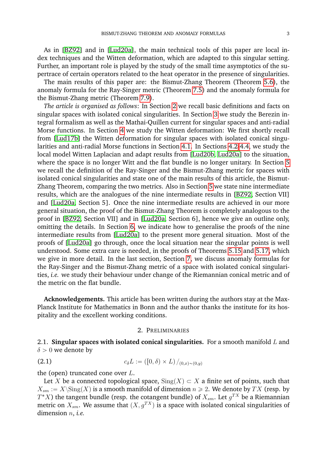As in [\[BZ92\]](#page-62-1) and in [\[Lud20a\]](#page-63-12), the main technical tools of this paper are local index techniques and the Witten deformation, which are adapted to this singular setting. Further, an important role is played by the study of the small time asymptotics of the supertrace of certain operators related to the heat operator in the presence of singularities.

The main results of this paper are: the Bismut-Zhang Theorem (Theorem [5.6\)](#page-36-0), the anomaly formula for the Ray-Singer metric (Theorem [7.5\)](#page-56-0) and the anomaly formula for the Bismut-Zhang metric (Theorem [7.9\)](#page-61-0).

*The article is organised as follows*: In Section [2](#page-4-0) we recall basic definitions and facts on singular spaces with isolated conical singularities. In Section [3](#page-9-0) we study the Berezin integral formalism as well as the Mathai-Quillen current for singular spaces and anti-radial Morse functions. In Section [4](#page-19-0) we study the Witten deformation: We first shortly recall from [\[Lud17b\]](#page-63-13) the Witten deformation for singular spaces with isolated conical singularities and anti-radial Morse functions in Section [4.1.](#page-20-0) In Sections [4.2-](#page-21-0)[4.4,](#page-29-0) we study the local model Witten Laplacian and adapt results from [\[Lud20b,](#page-63-14) [Lud20a\]](#page-63-12) to the situation, where the space is no longer Witt and the flat bundle is no longer unitary. In Section [5](#page-33-1) we recall the definition of the Ray-Singer and the Bismut-Zhang metric for spaces with isolated conical singularities and state one of the main results of this article, the Bismut-Zhang Theorem, comparing the two metrics. Also in Section [5](#page-33-1) we state nine intermediate results, which are the analogues of the nine intermediate results in [\[BZ92,](#page-62-1) Section VII] and [\[Lud20a,](#page-63-12) Section 5]. Once the nine intermediate results are achieved in our more general situation, the proof of the Bismut-Zhang Theorem is completely analogous to the proof in [\[BZ92,](#page-62-1) Section VII] and in [\[Lud20a,](#page-63-12) Section 6], hence we give an outline only, omitting the details. In Section [6,](#page-39-0) we indicate how to generalise the proofs of the nine intermediate results from [\[Lud20a\]](#page-63-12) to the present more general situation. Most of the proofs of [\[Lud20a\]](#page-63-12) go through, once the local situation near the singular points is well understood. Some extra care is needed, in the proofs of Theorems [5.15](#page-38-0) and [5.17,](#page-39-1) which we give in more detail. In the last section, Section [7,](#page-48-0) we discuss anomaly formulas for the Ray-Singer and the Bismut-Zhang metric of a space with isolated conical singularities, *i.e.* we study their behaviour under change of the Riemannian conical metric and of the metric on the flat bundle.

**Acknowledgements.** This article has been written during the authors stay at the Max-Planck Institute for Mathematics in Bonn and the author thanks the institute for its hospitality and the excellent working conditions.

#### 2. PRELIMINARIES

<span id="page-4-1"></span><span id="page-4-0"></span>2.1. **Singular spaces with isolated conical singularities.** For a smooth manifold L and  $\delta > 0$  we denote by

(2.1) 
$$
c_{\delta}L := ([0,\delta) \times L) /_{(0,x) \sim (0,y)}
$$

the (open) truncated cone over  $L$ .

Let X be a connected topological space,  $\text{Sing}(X) \subset X$  a finite set of points, such that  $X_{sm} := X \setminus Sing(X)$  is a smooth manifold of dimension  $n \geq 2$ . We denote by TX (resp. by  $T^*X$ ) the tangent bundle (resp. the cotangent bundle) of  $X_{sm}$ . Let  $g^{TX}$  be a Riemannian metric on  $X_{sm}$ . We assume that  $(X, q^{TX})$  is a space with isolated conical singularities of dimension n, *i.e.*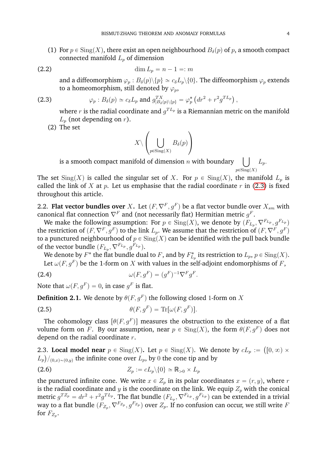(1) For  $p \in Sing(X)$ , there exist an open neighbourhood  $B_\delta(p)$  of p, a smooth compact connected manifold  $L_p$  of dimension

(2.2) 
$$
\dim L_p = n - 1 =: m
$$

and a diffeomorphism  $\varphi_p : B_\delta(p) \setminus \{p\} \simeq c_\delta L_p \setminus \{0\}$ . The diffeomorphism  $\varphi_p$  extends to a homeomorphism, still denoted by  $\varphi_p$ ,

(2.3) 
$$
\varphi_p : B_\delta(p) \simeq c_\delta L_p \text{ and } g_{|B_\delta(p)\setminus\{p\}}^{TX} = \varphi_p^* \left( dr^2 + r^2 g^{TL_p} \right),
$$

¨

<span id="page-5-0"></span>where  $r$  is the radial coordinate and  $g^{TL_p}$  is a Riemannian metric on the manifold  $L_p$  (not depending on r).

˛

(2) The set

$$
X \setminus \left( \bigcup_{p \in \text{Sing}(X)} B_{\delta}(p) \right)
$$

 $\sum_{P \in \text{sing}(A)}$  is a smooth compact manifold of dimension *n* with boundary  $\left( \begin{array}{cc} \end{array} \right)$   $\left( \begin{array}{cc} L_p \end{array} \right)$  $p \in \overline{\text{Sing}(X)}$ 

The set  $\text{Sing}(X)$  is called the singular set of X. For  $p \in \text{Sing}(X)$ , the manifold  $L_p$  is called the link of X at p. Let us emphasise that the radial coordinate r in [\(2.3\)](#page-5-0) is fixed throughout this article.

<span id="page-5-1"></span>2.2. **Flat vector bundles over** X. Let  $(F, \nabla^F, g^F)$  be a flat vector bundle over  $X_{sm}$  with canonical flat connection  $\nabla^F$  and (not necessarily flat) Hermitian metric  $g^F$ .

We make the following assumption: For  $p \in Sing(X)$ , we denote by  $(F_{L_p},\nabla^{F_{L_p}}, g^{F_{L_p}})$ the restriction of  $(F,\nabla^F,g^F)$  to the link  $L_p.$  We assume that the restriction of  $(F,\nabla^F,g^F)$ to a punctured neighbourhood of  $p \in Sing(X)$  can be identified with the pull back bundle of the vector bundle  $(F_{L_p},\nabla^{F_{L_p}}, g^{F_{L_p}}).$ 

We denote by  $F^*$  the flat bundle dual to  $F$ , and by  $F_{L_p}^*$  its restriction to  $L_p,$   $p \in \mathrm{Sing}(X).$ Let  $\omega(F,g^F)$  be the 1-form on  $X$  with values in the self-adjoint endomorphisms of  $F,$ 

(2.4) 
$$
\omega(F, g^F) = (g^F)^{-1} \nabla^F g^F.
$$

Note that  $\omega(F,g^F)=0$ , in case  $g^F$  is flat.

**Definition 2.1.** We denote by  $\theta(F,g^F)$  the following closed 1-form on  $X$ 

(2.5) 
$$
\theta(F,g^F) = \text{Tr}[\omega(F,g^F)].
$$

The cohomology class  $[\theta(F,g^F)]$  measures the obstruction to the existence of a flat volume form on F. By our assumption, near  $p \in Sing(X)$ , the form  $\theta(F, g^F)$  does not depend on the radial coordinate  $r$ .

**2.3. Local model near**  $p \in Sing(X)$ . Let  $p \in Sing(X)$ . We denote by  $cL_p := ([0, \infty) \times$  $\langle L_p \rangle /_{(0,x) \sim (0,y)}$  the infinite cone over  $L_p$ , by  $0$  the cone tip and by

$$
(2.6) \t\t Z_p := cL_p \setminus \{0\} \simeq \mathbb{R}_{>0} \times L_p
$$

the punctured infinite cone. We write  $x \in Z_n$  in its polar coordinates  $x = (r, y)$ , where r is the radial coordinate and y is the coordinate on the link. We equip  $Z_p$  with the conical metric  $g^{T Z_p}=dr^2+r^2g^{T L_p}.$  The flat bundle  $(F_{L_p},\nabla^{F_{L_p}},g^{F_{L_p}})$  can be extended in a trivial way to a flat bundle  $(F_{Z_p},\nabla^{F_{Z_p}}, g^{F_{Z_p}})$  over  $Z_p.$  If no confusion can occur, we still write  $F$ for  $F_{Z_p}$ .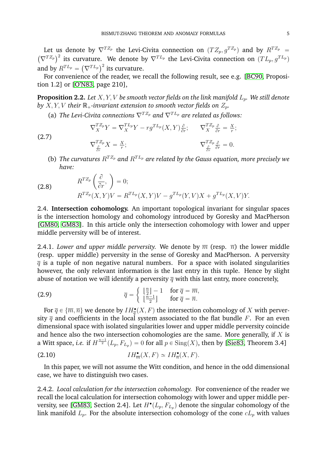Let us denote by  $\nabla^{T Z_p}$  the Levi-Civita connection on  $(T Z_p, g^{T Z_p})$  and by  $R^{T Z_p} = (\nabla^{T Z_p})^2$  its sumptum. We denote by  $\nabla^{T L_p}$  the Levi-Civita connection on  $(T L_p)^{T L_p}$  $(\nabla^{T Z_p})^2$  its curvature. We denote by  $\nabla^{T L_p}$  the Levi-Civita connection on  $(T L_p, g^{T L_p})$  $(V^{T-p})$  its curvature. We denote b<br>and by  $R^{TL_p} = (\nabla^{TL_p})^2$  its curvature.

For convenience of the reader, we recall the following result, see e.g. [\[BC90,](#page-62-4) Proposition 1.2] or [\[O'N83,](#page-63-15) page 210],

**Proposition 2.2.** Let  $X, Y, V$  be smooth vector fields on the link manifold  $L_p$ . We still denote *by*  $X, Y, V$  *their*  $\mathbb{R}_+$ *-invariant extension to smooth vector fields on*  $Z_p$ *.* 

(a) *The Levi-Civita connections*  $\nabla^{T Z_p}$  *and*  $\nabla^{T L_p}$  *are related as follows:* 

<span id="page-6-2"></span>
$$
\nabla_X^{T Z_p} Y = \nabla_X^{T L_p} Y - r g^{T L_p} (X, Y) \frac{\partial}{\partial r}; \qquad \nabla_X^{T Z_p} \frac{\partial}{\partial r} = \frac{X}{r};
$$
  

$$
\nabla_X^{T Z_p} X = \frac{X}{r}; \qquad \qquad \nabla_{\frac{\partial}{\partial r}}^{T Z_p} = 0.
$$

(b) *The curvatures*  $R^{T Z_p}$  and  $R^{T L_p}$  are related by the Gauss equation, more precisely we *have:* ˆ ˙

<span id="page-6-1"></span>(2.8) 
$$
R^{T Z_p} \left( \frac{\partial}{\partial r}, \right) = 0; R^{T Z_p} (X, Y) V = R^{T L_p} (X, Y) V - g^{T L_p} (Y, V) X + g^{T L_p} (X, V) Y.
$$

(2.7)

2.4. **Intersection cohomology.** An important topological invariant for singular spaces is the intersection homology and cohomology introduced by Goresky and MacPherson [\[GM80,](#page-63-16) [GM83\]](#page-63-17). In this article only the intersection cohomology with lower and upper middle perversity will be of interest.

2.4.1. *Lower and upper middle perversity*. We denote by  $\overline{m}$  (resp.  $\overline{n}$ ) the lower middle (resp. upper middle) perversity in the sense of Goresky and MacPherson. A perversity  $\overline{q}$  is a tuple of non negative natural numbers. For a space with isolated singularities however, the only relevant information is the last entry in this tuple. Hence by slight abuse of notation we will identify a perversity  $\overline{q}$  with this last entry, more concretely, "

(2.9) 
$$
\overline{q} = \begin{cases} \left\lfloor \frac{n}{2} \right\rfloor - 1 & \text{for } \overline{q} = \overline{m}, \\ \left\lfloor \frac{n-1}{2} \right\rfloor & \text{for } \overline{q} = \overline{n}. \end{cases}
$$

For  $\overline{q}\in \{\overline{m},\overline{n}\}$  we denote by  $IH_{\overline{q}}^\bullet(X,F)$  the intersection cohomology of  $X$  with perversity  $\overline{q}$  and coefficients in the local system associated to the flat bundle F. For an even dimensional space with isolated singularities lower and upper middle perversity coincide and hence also the two intersection cohomologies are the same. More generally, if  $X$  is a Witt space, *i.e.* if  $H^{\frac{n-1}{2}}(L_p, F_{L_p}) = 0$  for all  $p \in Sing(X)$ , then by [\[Sie83,](#page-63-18) Theorem 3.4]

<span id="page-6-0"></span>
$$
(2.10) \t\t\t\t IH_{\overline{m}}^{\bullet}(X,F) \simeq IH_{\overline{n}}^{\bullet}(X,F).
$$

In this paper, we will not assume the Witt condition, and hence in the odd dimensional case, we have to distinguish two cases.

2.4.2. *Local calculation for the intersection cohomology.* For convenience of the reader we recall the local calculation for intersection cohomology with lower and upper middle per-versity, see [\[GM83,](#page-63-17) Section 2.4]. Let  $H^{\bullet}(L_p, F_{L_p})$  denote the singular cohomology of the link manifold  $L_p$ . For the absolute intersection cohomology of the cone  $cL_p$  with values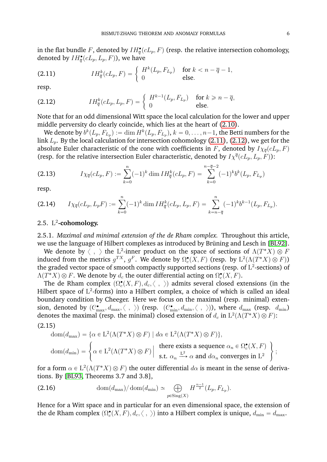in the flat bundle  $F$ , denoted by  $IH_{\overline{q}}^{\bullet}(cL_{p},F)$  (resp. the relative intersection cohomology, denoted by  $IH_{\overline{q}}^{\bullet}(cL_{p},L_{p},F)$ ), we have

<span id="page-7-0"></span>(2.11) 
$$
IH_{\overline{q}}^{k}(cL_{p}, F) = \begin{cases} H^{k}(L_{p}, F_{L_{p}}) & \text{for } k < n - \overline{q} - 1, \\ 0 & \text{else.} \end{cases}
$$

resp.

<span id="page-7-1"></span>(2.12) 
$$
IH_{\overline{q}}^{k}(cL_{p}, L_{p}, F) = \begin{cases} H^{k-1}(L_{p}, F_{L_{p}}) & \text{for } k \geqslant n - \overline{q}, \\ 0 & \text{else.} \end{cases}
$$

Note that for an odd dimensional Witt space the local calculation for the lower and upper middle perversity do clearly coincide, which lies at the heart of [\(2.10\)](#page-6-0).

We denote by  $b^k(L_p, F_{L_p}) := \dim H^k(L_p, F_{L_p}),$   $k = 0, \ldots, n{-}1,$  the Betti numbers for the link  $L_p$ . By the local calculation for intersection cohomology [\(2.11\)](#page-7-0), [\(2.12\)](#page-7-1), we get for the absolute Euler characteristic of the cone with coefficients in F, denoted by  $I\chi_{\overline{q}}(cL_p, F)$ (resp. for the relative intersection Euler characteristic, denoted by  $I\chi^{\overline{q}}(cL_p, L_p, F)$ ):

$$
(2.13) \t I\chi_{\overline{q}}(cL_p, F) := \sum_{k=0}^{n} (-1)^k \dim IH_{\overline{q}}^k(cL_p, F) = \sum_{k=0}^{n-\overline{q}-2} (-1)^k b^k(L_p, F_{L_p})
$$

resp.

$$
(2.14) \qquad I\chi_{\overline{q}}(cL_p, L_pF) := \sum_{k=0}^n (-1)^k \dim IH_{\overline{q}}^k(cL_p, L_p, F) = \sum_{k=n-\overline{q}}^n (-1)^k b^{k-1}(L_p, F_{L_p}).
$$

## 2.5. L 2 **-cohomology.**

2.5.1. *Maximal and minimal extension of the de Rham complex.* Throughout this article, we use the language of Hilbert complexes as introduced by Brüning and Lesch in [\[BL92\]](#page-62-5).

We denote by  $\langle$  ,  $\rangle$  the  $\mathrm{L}^2\text{-}\mathrm{inner}$  product on the space of sections of  $\Lambda(T^*X)\otimes F$ induced from the metrics  $g^{TX}$ ,  $g^F$ . We denote by  $\Omega^{\bullet}_c(X,F)$  (resp. by  $\mathrm{L}^2(\Lambda(T^*X)\otimes F))$ the graded vector space of smooth compactly supported sections (resp. of  $\mathrm{L}^2$ -sections) of  $\Lambda(T^*X)\otimes F.$  We denote by  $d_c$  the outer differential acting on  $\Omega^\bullet_c(X,F).$ 

The de Rham complex  $(\Omega^\bullet_c(X,F), d_c, \langle \; , \; \rangle)$  admits several closed extensions (in the Hilbert space of  $L^2$ -forms) into a Hilbert complex, a choice of which is called an ideal boundary condition by Cheeger. Here we focus on the maximal (resp. minimal) extension, denoted by  $(C^{\bullet}_{\max}, d_{\max}, \langle \; , \; \rangle)$  (resp.  $(C^{\bullet}_{\min}, d_{\min}, \langle \; , \; \rangle)$ ), where  $d_{\max}$  (resp.  $d_{\min}$ ) denotes the maximal (resp. the minimal) closed extension of  $d_c$  in  $\mathrm{L}^2(\Lambda(T^*X) \otimes F)$ : (2.15)

$$
dom(d_{max}) = \{ \alpha \in L^2(\Lambda(T^*X) \otimes F) \mid d\alpha \in L^2(\Lambda(T^*X) \otimes F) \},
$$
  
\n
$$
dom(d_{min}) = \left\{ \alpha \in L^2(\Lambda(T^*X) \otimes F) \mid \text{there exists a sequence } \alpha_n \in \Omega_c^{\bullet}(X, F) \right\};
$$
  
\n
$$
s.t. \alpha_n \xrightarrow{L^2} \alpha \text{ and } d\alpha_n \text{ converges in } L^2 \}
$$

for a form  $\alpha \in \mathrm{L}^2(\Lambda(T^*X) \otimes F)$  the outer differential  $d\alpha$  is meant in the sense of derivations. By [\[BL93,](#page-62-6) Theorems 3.7 and 3.8],

<span id="page-7-2"></span>(2.16) 
$$
\text{dom}(d_{\text{max}}) / \text{dom}(d_{\text{min}}) \simeq \bigoplus_{p \in \text{Sing}(X)} H^{\frac{n-1}{2}}(L_p, F_{L_p}).
$$

Hence for a Witt space and in particular for an even dimensional space, the extension of the de Rham complex  $(\Omega^\bullet_c(X,F), d_c , \langle \; , \; \rangle)$  into a Hilbert complex is unique,  $d_{\min} = d_{\max}.$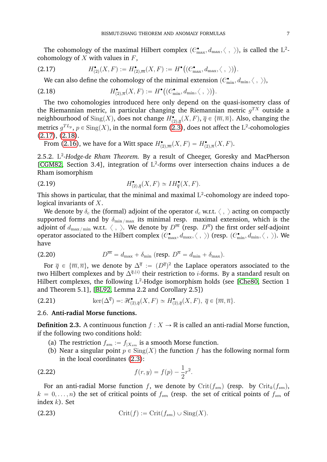The cohomology of the maximal Hilbert complex  $(C_{\max}^{\bullet}, d_{\max}, \langle \; , \; \rangle)$ , is called the  $\mathrm{L}^2$ cohomology of  $X$  with values in  $F$ ,

(2.17) 
$$
H_{(2)}^{\bullet}(X,F) := H_{(2),\overline{m}}^{\bullet}(X,F) := H^{\bullet}((C_{\max}^{\bullet}, d_{\max}, \langle , \rangle)).
$$

<span id="page-8-1"></span><span id="page-8-0"></span>We can also define the cohomology of the minimal extension  $(C_{\min}^{\bullet}, d_{\min}, \langle , \rangle)$ ,<br>
.18)  $H_{(2),\overline{n}}^{\bullet}(X, F) := H^{\bullet}((C_{\min}^{\bullet}, d_{\min}, \langle , \rangle))$ .

(2.18) 
$$
H_{(2),\overline{n}}^{\bullet}(X,F) := H^{\bullet}((C_{\min}^{\bullet}, d_{\min}, \langle , \rangle)).
$$

The two cohomologies introduced here only depend on the quasi-isometry class of the Riemannian metric, in particular changing the Riemannian metric  $g^{TX}$  outside a neighbourhood of  $\mathrm{Sing}(X)$ , does not change  $H^\bullet_{(2),\overline{q}}(X,F),$   $\overline{q}\in\{\overline{m},\overline{n}\}.$  Also, changing the metrics  $g^{TL_p}$ ,  $p \in \operatorname{Sing}(X)$ , in the normal form [\(2.3\)](#page-5-0), does not affect the  $\operatorname{L^2}\nolimits$ -cohomologies [\(2.17\)](#page-8-0), [\(2.18\)](#page-8-1).

From [\(2.16\)](#page-7-2), we have for a Witt space  $H_{(2), \overline m}^\bullet(X,F) = H_{(2), \overline n}^\bullet(X,F).$ 

2.5.2. L<sup>2</sup>-Hodge-de Rham Theorem. By a result of Cheeger, Goresky and MacPherson [\[CGM82,](#page-62-7) Section 3.4], integration of L<sup>2</sup>-forms over intersection chains induces a de Rham isomorphism

<span id="page-8-4"></span>(2.19) 
$$
H_{(2),\overline{q}}^{\bullet}(X,F) \simeq IH_{\overline{q}}^{\bullet}(X,F).
$$

This shows in particular, that the minimal and maximal  $L^2$ -cohomology are indeed topological invariants of X.

We denote by  $\delta_c$  the (formal) adjoint of the operator  $d_c$  w.r.t.  $\langle , \rangle$  acting on compactly supported forms and by  $\delta_{\min/max}$  its minimal resp. maximal extension, which is the adjoint of  $d_{\max/\min}$  w.r.t.  $\langle\;,\;\rangle$ . We denote by  $D^{\overline{m}}$  (resp.  $D^{\overline{n}}$ ) the first order self-adjoint operator associated to the Hilbert complex  $(C^\bullet_{\max}, d_{\max}, \langle \; , \; \rangle)$  (resp.  $(C^\bullet_{\min}, d_{\min}, \langle \; , \; \rangle)$ . We have

(2.20) 
$$
D^{\overline{m}} = d_{\text{max}} + \delta_{\text{min}} \ (\text{resp. } D^{\overline{n}} = d_{\text{min}} + \delta_{\text{max}}).
$$

For  $\overline{q}\,\in\,\{\overline{m},\overline{n}\},$  we denote by  $\Delta^{\overline{q}}\,:=\, (D^{\overline{q}})^2$  the Laplace operators associated to the two Hilbert complexes and by  $\Delta^{\overline{q},(i)}$  their restriction to *i*-forms. By a standard result on Hilbert complexes, the following  $L^2$ -Hodge isomorphism holds (see [\[Che80,](#page-62-8) Section 1 and Theorem 5.1], [\[BL92,](#page-62-5) Lemma 2.2 and Corollary 2.5])

<span id="page-8-5"></span>(2.21) 
$$
\ker(\Delta^{\overline{q}}) =: \mathcal{H}^{\bullet}_{(2),\overline{q}}(X,F) \simeq H^{\bullet}_{(2),\overline{q}}(X,F), \ \overline{q} \in \{\overline{m},\overline{n}\}.
$$

#### 2.6. **Anti-radial Morse functions.**

<span id="page-8-2"></span>**Definition 2.3.** A continuous function  $f : X \to \mathbb{R}$  is called an anti-radial Morse function, if the following two conditions hold:

- (a) The restriction  $f_{sm} := f_{|X_{sm}}$  is a smooth Morse function.
- <span id="page-8-3"></span>(b) Near a singular point  $p \in Sing(X)$  the function f has the following normal form in the local coordinates [\(2.3\)](#page-5-0):

(2.22) 
$$
f(r, y) = f(p) - \frac{1}{2}r^2.
$$

For an anti-radial Morse function f, we denote by  $\mathrm{Crit}(f_{sm})$  (resp. by  $\mathrm{Crit}_k(f_{sm})$ ,  $k = 0, \ldots, n$ ) the set of critical points of  $f_{sm}$  (resp. the set of critical points of  $f_{sm}$  of index  $k$ ). Set

(2.23) 
$$
\operatorname{Crit}(f) := \operatorname{Crit}(f_{sm}) \cup \operatorname{Sing}(X).
$$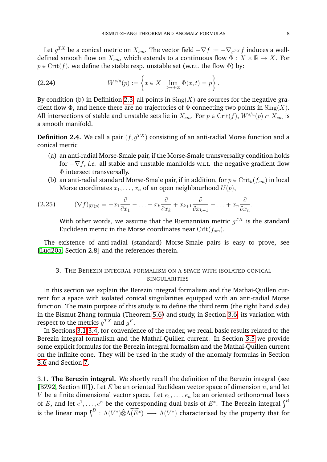Let  $g^{TX}$  be a conical metric on  $X_{sm}$ . The vector field  $-\nabla f := -\nabla_g x f$  induces a welldefined smooth flow on  $X_{sm}$ , which extends to a continuous flow  $\Phi: X \times \mathbb{R} \to X$ . For  $p \in Crit(f)$ , we define the stable resp. unstable set (w.r.t. the flow  $\Phi$ ) by: " \*

(2.24) 
$$
W^{s/u}(p) := \left\{ x \in X \mid \lim_{t \to \pm \infty} \Phi(x, t) = p \right\}.
$$

By condition (b) in Definition [2.3,](#page-8-2) all points in  $\text{Sing}(X)$  are sources for the negative gradient flow  $\Phi$ , and hence there are no trajectories of  $\Phi$  connecting two points in  $\text{Sing}(X)$ . All intersections of stable and unstable sets lie in  $X_{sm}.$  For  $p\in\mathrm{Crit}(f)$ ,  $W^{s/u}(p)\cap X_{sm}$  is a smooth manifold.

**Definition 2.4.** We call a pair  $(f, q^{TX})$  consisting of an anti-radial Morse function and a conical metric

- (a) an anti-radial Morse-Smale pair, if the Morse-Smale transversality condition holds for  $-\nabla f$ , *i.e.* all stable and unstable manifolds w.r.t. the negative gradient flow Φ intersect transversally.
- (b) an anti-radial standard Morse-Smale pair, if in addition, for  $p \in \mathrm{Crit}_k(f_{sm})$  in local Morse coordinates  $x_1, \ldots, x_n$  of an open neighbourhood  $U(p)$ ,

$$
(2.25) \qquad (\nabla f)_{|U(p)} = -x_1 \frac{\partial}{\partial x_1} - \ldots - x_k \frac{\partial}{\partial x_k} + x_{k+1} \frac{\partial}{\partial x_{k+1}} + \ldots + x_n \frac{\partial}{\partial x_n}
$$

With other words, we assume that the Riemannian metric  $g^{TX}$  is the standard Euclidean metric in the Morse coordinates near  $\text{Crit}(f_{sm})$ .

The existence of anti-radial (standard) Morse-Smale pairs is easy to prove, see [\[Lud20a,](#page-63-12) Section 2.8] and the references therein.

### <span id="page-9-0"></span>3. THE BEREZIN INTEGRAL FORMALISM ON A SPACE WITH ISOLATED CONICAL SINGULARITIES

In this section we explain the Berezin integral formalism and the Mathai-Quillen current for a space with isolated conical singularities equipped with an anti-radial Morse function. The main purpose of this study is to define the third term (the right hand side) in the Bismut-Zhang formula (Theorem [5.6\)](#page-36-0) and study, in Section [3.6,](#page-17-0) its variation with respect to the metrics  $g^{TX}$  and  $g^F$ .

In Sections [3.1-](#page-9-1)[3.4,](#page-11-0) for convenience of the reader, we recall basic results related to the Berezin integral formalism and the Mathai-Quillen current. In Section [3.5](#page-12-0) we provide some explicit formulas for the Berezin integral formalism and the Mathai-Quillen current on the infinite cone. They will be used in the study of the anomaly formulas in Section [3.6](#page-17-0) and Section [7.](#page-48-0)

<span id="page-9-1"></span>3.1. **The Berezin integral.** We shortly recall the definition of the Berezin integral (see [\[BZ92,](#page-62-1) Section III]). Let E be an oriented Euclidean vector space of dimension  $n$ , and let V be a finite dimensional vector space. Let  $e_1, \ldots, e_n$  be an oriented orthonormal basis *V* be a finite dimensional vector space. Let  $e_1, \ldots, e_n$  be an oriented orthonormal basis<br>of E, and let  $e^1, \ldots, e^n$  be the corresponding dual basis of E<sup>\*</sup>. The Berezin integral  $\int^B$ or *E*, and let  $e$ ,...,  $e^{\pi}$  be the corresponding dual basis or *E*. The Berezin integral j<br>is the linear map  $\int^{B} : \Lambda(V^*) \widehat{\otimes} \widehat{\Lambda(E^*)} \longrightarrow \Lambda(V^*)$  characterised by the property that for

.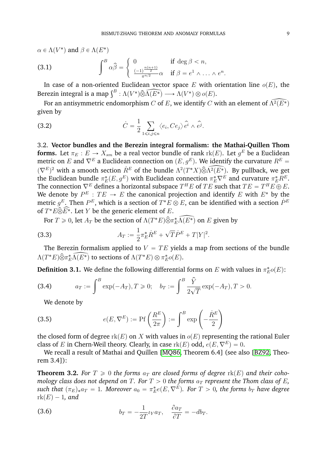$\alpha \in \Lambda(V^*)$  and  $\beta \in \Lambda(E^*)$ (3.1)  $\int_{a}^{B} \hat{\alpha} \hat{\beta} =$ # 0 if deg  $\beta < n$ ,  $\frac{(-1)^{\frac{n(n+1)}{2}}}{\pi^{n/2}}\alpha$  if  $\beta = e^1 \wedge \ldots \wedge e^n$ .

In case of a non-oriented Euclidean vector space E with orientation line  $o(E)$ , the In case of a non-oriented Euclidean vector space E with c<br>Berezin integral is a map  $\int^B : \Lambda(V^*) \widehat{\otimes} \widehat{\Lambda(E^*)} \longrightarrow \Lambda(V^*) \otimes o(E)$ .

For an antisymmetric endomorphism C of E, we identify C with an element of  $\widehat{\Lambda^2(E^*)}$ given by

(3.2) 
$$
\dot{C} = \frac{1}{2} \sum_{1 \leq i,j \leq n} \langle e_i, Ce_j \rangle \hat{e}^i \wedge \hat{e}^j.
$$

<span id="page-10-2"></span>3.2. **Vector bundles and the Berezin integral formalism: the Mathai-Quillen Thom** forms. Let  $\pi_E : E \to X_{sm}$  be a real vector bundle of rank  $\text{rk}(E)$ . Let  $g^E$  be a Euclidean metric on E and  $\nabla^E$  a Euclidean connection on  $(E, q^E)$ . We identify the curvature  $R^E$  =  $(\nabla^E)^2$  with a smooth section  $R^E$  of the bundle  $\Lambda^2(T^*X)\widehat{\otimes} \widehat{\Lambda^2(E^*)}$ . By pullback, we get the Euclidean bundle  $\pi_E^*(E,g^E)$  with Euclidean connection  $\pi_E^*\nabla^E$  and curvature  $\pi_E^*R^E.$ The connection  $\nabla^E$  defines a horizontal subspace  $T^HE$  of  $TE$  such that  $TE=T^HE\oplus E.$ We denote by  $P^E: TE \rightarrow E$  the canonical projection and identify  $E$  with  $E^*$  by the metric  $g^E.$  Then  $P^E,$  which is a section of  $T^*E\otimes E,$  can be identified with a section  $\dot P^E$ of  $T^*\tilde{E}\widehat{\otimes}\widehat{E^*}$ . Let Y be the generic element of E.

For  $T \ge 0$ , let  $A_T$  be the section of  $\Lambda(T^*E) \widehat{\otimes} \pi_E^* \widehat{\Lambda(E^*)}$  on E given by

(3.3) 
$$
A_T := \frac{1}{2} \pi_E^* \dot{R}^E + \sqrt{T} \dot{P}^E + T|Y|^2.
$$

The Berezin formalism applied to  $V = TE$  yields a map from sections of the bundle  $\Lambda(T^*E)\widehat{\otimes} \pi_E^*\widehat{\Lambda(E^*)}$  to sections of  $\Lambda(T^*E)\otimes \pi_E^*o(E).$ 

**Definition 3.1.** We define the following differential forms on  $E$  with values in  $\pi_E^* o(E)$ :

(3.4) 
$$
a_T := \int^B \exp(-A_T), T \ge 0; \quad b_T := \int^B \frac{\hat{Y}}{2\sqrt{T}} \exp(-A_T), T > 0.
$$

We denote by

(3.5) 
$$
e(E, \nabla^{E}) := \text{Pf}\left(\frac{R^{E}}{2\pi}\right) := \int^{B} \exp\left(-\frac{\dot{R}^{E}}{2}\right)
$$

the closed form of degree  $rk(E)$  on X with values in  $o(E)$  representing the rational Euler class of E in Chern-Weil theory. Clearly, in case  $rk(E)$  odd,  $e(E, \nabla^E) = 0$ .

¸

We recall a result of Mathai and Quillen [\[MQ86,](#page-63-19) Theorem 6.4] (see also [\[BZ92,](#page-62-1) Theorem 3.4]):

<span id="page-10-1"></span>**Theorem 3.2.** For  $T \ge 0$  the forms  $a_T$  are closed forms of degree  $rk(E)$  and their coho*mology class does not depend on* T. For  $T > 0$  *the forms*  $a_T$  *represent the Thom class of* E,  $\mathit{such that}$   $(\pi_E)_*a_T = 1$ . Moreover  $a_0 = \pi_E^*e(E, \nabla^E)$ . For  $T > 0$ , the forms  $b_T$  have degree  $rk(E) - 1$ , and

<span id="page-10-0"></span>(3.6) 
$$
b_T = -\frac{1}{2T} \iota_Y a_T, \quad \frac{\partial a_T}{\partial T} = -db_T.
$$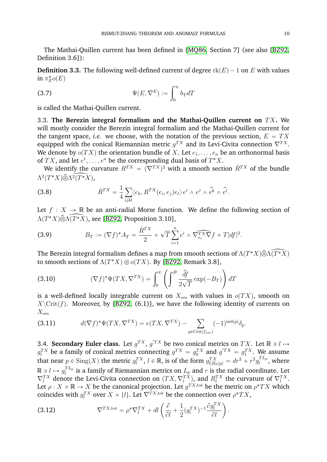The Mathai-Quillen current has been defined in [\[MQ86,](#page-63-19) Section 7] (see also [\[BZ92,](#page-62-1) Definition 3.6]):

**Definition 3.3.** The following well-defined current of degree  $rk(E)-1$  on E with values in  $\pi_E^* o(E)$ 

<span id="page-11-4"></span>(3.7) 
$$
\Psi(E, \nabla^{E}) := \int_{0}^{\infty} b_{T} dT
$$

is called the Mathai-Quillen current.

<span id="page-11-1"></span>3.3. The Berezin integral formalism and the Mathai-Quillen current on TX. We will mostly consider the Berezin integral formalism and the Mathai-Quillen current for the tangent space, *i.e.* we choose, with the notation of the previous section,  $E = TX$ equipped with the conical Riemannian metric  $g^{TX}$  and its Levi-Civita connection  $\nabla^{TX}$ . We denote by  $o(TX)$  the orientation bundle of X. Let  $e_1, \ldots, e_n$  be an orthonormal basis of  $TX$ , and let  $e^1, \ldots, e^n$  be the corresponding dual basis of  $T^*X$ .

We identify the curvature  $R^{TX} \, = \, (\nabla^{TX})^2$  with a smooth section  $\dot{R}^{TX}$  of the bundle  $\Lambda^2(T^*X)\widehat{\otimes}\Lambda^2(\widehat{T^*X}),$ 

<span id="page-11-2"></span>(3.8) 
$$
\dot{R}^{TX} = \frac{1}{4} \sum_{ijkl} \langle e_k, R^{TX}(e_i, e_j) e_l \rangle e^i \wedge e^j \wedge \hat{e}^k \wedge \hat{e}^l.
$$

Let  $f : X \to \mathbb{R}$  be an anti-radial Morse function. We define the following section of  $\Lambda(T^*X)\widehat{\otimes}\Lambda(\widehat{T^*X})$ , see [\[BZ92,](#page-62-1) Proposition 3.10],

<span id="page-11-3"></span>(3.9) 
$$
B_T := (\nabla f)^* A_T = \frac{\dot{R}^{TX}}{2} + \sqrt{T} \sum_{i=1}^n e^i \wedge \widehat{\nabla_{e_i}^{TX} \nabla f} + T |df|^2.
$$

The Berezin integral formalism defines a map from smooth sections of  $\Lambda(T^*X)\widehat{\otimes}\Lambda\widehat{(T^*X)}$ to smooth sections of  $\Lambda(T^*X)\otimes o(TX)$ . By [\[BZ92,](#page-62-1) Remark 3.8], į,

(3.10) 
$$
(\nabla f)^* \Psi(TX, \nabla^{TX}) = \int_0^\infty \left( \int^B \frac{\hat{df}}{2\sqrt{T}} \exp(-B_T) \right) dT
$$

is a well-defined locally integrable current on  $X_{sm}$  with values in  $o(TX)$ , smooth on  $X\\mathrm{Crit}(f)$ . Moreover, by [\[BZ92,](#page-62-1) (6.1)], we have the following identity of currents on  $X_{sm}$ 

<span id="page-11-5"></span>(3.11) 
$$
d(\nabla f)^* \Psi(TX, \nabla^{TX}) = e(TX, \nabla^{TX}) - \sum_{p \in \text{Crit}(f_{sm})} (-1)^{\text{ind}(p)} \delta_p.
$$

<span id="page-11-0"></span>3.4. **Secondary Euler class.** Let  $g^{TX}$ ,  $g'^{TX}$  be two conical metrics on  $TX$ . Let  $\mathbb{R} \ni l \mapsto$  $g_l^{TX}$  be a family of conical metrics connecting  $g^{TX} = g_0^{TX}$  and  $g'^{TX} = g_1^{TX}$ . We assume that near  $p \in \text{Sing}(X)$  the metric  $g_l^{TX}$ ,  $l \in \mathbb{R}$ , is of the form  $g_{l|B_\delta(p)}^{TX} = dr^2 + r^2 g_l^{TL_p}$  $\eta_l^{I\,L_p}$ , where  $\mathbb{R} \ni l \mapsto g_l^{TL_p}$  $\frac{1}{l}$  is a family of Riemannian metrics on  $L_p$  and r is the radial coordinate. Let  $\nabla_l^{TX}$  denote the Levi-Civita connection on  $(TX, \nabla_l^{TX})$ , and  $R_l^{TX}$  the curvature of  $\nabla_l^{TX}$ . Let  $\rho: X \times \mathbb{R} \to X$  be the canonical projection. Let  $g^{TX,\text{tot}}$  be the metric on  $\rho^*TX$  which coincides with  $g_l^{TX}$  over  $X \times \{l\}$ . Let  $\nabla^{TX,\text{tot}}$  be the connection over  $\rho^*TX$ ,

(3.12) 
$$
\nabla^{TX,\text{tot}} = \rho^* \nabla_l^{TX} + dl \left( \frac{\partial}{\partial l} + \frac{1}{2} (g_l^{TX})^{-1} \frac{\partial g_l^{TX}}{\partial l} \right).
$$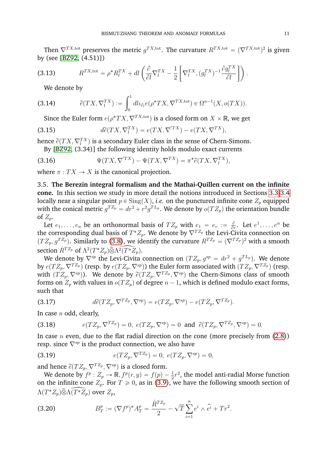Then  $\nabla^{TX,\text{tot}}$  preserves the metric  $g^{TX,\text{tot}}$ . The curvature  $R^{TX,\text{tot}} = (\nabla^{TX,\text{tot}})^2$  is given by (see [\[BZ92,](#page-62-1) (4.51)]) " ˙

(3.13) 
$$
R^{TX, \text{tot}} = \rho^* R_l^{TX} + dl \left( \frac{\partial}{\partial l} \nabla_l^{TX} - \frac{1}{2} \left[ \nabla_l^{TX}, (g_l^{TX})^{-1} \frac{\partial g_l^{TX}}{\partial l} \right] \right).
$$

<span id="page-12-6"></span><span id="page-12-3"></span>We denote by

(3.14) 
$$
\widetilde{e}(TX, \nabla_l^{TX}) := \int_0^1 dl \iota_{\partial_l} e(\rho^* TX, \nabla^{TX, \text{tot}}) \in \Omega^{n-1}(X, o(TX)).
$$

Since the Euler form  $e(\rho^*TX, \nabla^{TX,\text{tot}})$  is a closed form on  $X\times\mathbb{R}$ , we get

(3.15) 
$$
d\tilde{e}(TX, \nabla_l^{TX}) = e(TX, \nabla^{'TX}) - e(TX, \nabla^{TX}),
$$

hence  $\widetilde e(TX,\nabla^{TX}_l)$  is a secondary Euler class in the sense of Chern-Simons.

<span id="page-12-2"></span>By [\[BZ92,](#page-62-1) (3.34)] the following identity holds modulo exact currents

(3.16) 
$$
\Psi(TX, \nabla^{TX}) - \Psi(TX, \nabla^{TX}) = \pi^* \widetilde{e}(TX, \nabla^{TX}_l),
$$

where  $\pi : TX \to X$  is the canonical projection.

<span id="page-12-0"></span>3.5. **The Berezin integral formalism and the Mathai-Quillen current on the infinite cone.** In this section we study in more detail the notions introduced in Sections [3.3-](#page-11-1)[3.4](#page-11-0) locally near a singular point  $p \in Sing(X)$ , *i.e.* on the punctured infinite cone  $Z_p$  equipped with the conical metric  $g^{T Z_p}=dr^2+r^2g^{T L_p}.$  We denote by  $o(T Z_p)$  the orientation bundle of  $Z_p$ .

Let  $e_1, \ldots, e_n$  be an orthonormal basis of  $TZ_p$  with  $e_1 = e_r := \frac{\partial}{\partial x}$  $\frac{\partial}{\partial r}$ . Let  $e^1, \ldots, e^n$  be the corresponding dual basis of  $T^*Z_p.$  We denote by  $\nabla^{TZ_p}$  the Levi-Civita connection on  $(TZ_p, g^{T Z_p})$ . Similarly to [\(3.8\)](#page-11-2), we identify the curvature  $R^{T Z_p} = (\nabla^{T Z_p})^2$  with a smooth section  $R^{T Z_p}$  of  $\Lambda^2(T^* Z_p) \widehat{\otimes} \widehat{\Lambda^2(T^* Z_p)}$ .

We denote by  $\nabla^{sp}$  the Levi-Civita connection on  $(T Z_p, g^{sp} = d r^2 + g^{T L_p}).$  We denote by  $e(T Z_p, \nabla^{T Z_p})$  (resp. by  $e(T Z_p, \nabla^{sp})$ ) the Euler form associated with  $(T Z_p, \nabla^{T Z_p})$  (resp. with  $(TZ_p, \nabla^{sp})$ ). We denote by  $\tilde{e}(TZ_p, \nabla^{TZ_p}, \nabla^{sp})$  the Chern-Simons class of smooth forms on  $Z_p$  with values in  $o(TZ_p)$  of degree  $n - 1$ , which is defined modulo exact forms, such that

(3.17) 
$$
d\widetilde{e}(TZ_p, \nabla^{TZ_p}, \nabla^{sp}) = e(TZ_p, \nabla^{sp}) - e(TZ_p, \nabla^{TZ_p}).
$$

In case  $n$  odd, clearly,

<span id="page-12-4"></span>(3.18) 
$$
e(TZ_p, \nabla^{TZ_p}) = 0, e(TZ_p, \nabla^{sp}) = 0 \text{ and } \tilde{e}(TZ_p, \nabla^{TZ_p}, \nabla^{sp}) = 0.
$$

In case *n* even, due to the flat radial direction on the cone (more precisely from  $(2.8)$ ) resp. since  $\nabla^{sp}$  is the product connection, we also have

<span id="page-12-5"></span>(3.19) 
$$
e(TZ_p, \nabla^{TZ_p}) = 0, \ e(TZ_p, \nabla^{sp}) = 0,
$$

and hence  $\widetilde{e}(TZ_p, \nabla^{TZ_p}, \nabla^{sp})$  is a closed form.

We denote by  $f^p: Z_p \to \mathbb{R}, f^p(r, y) = f(p) - \frac{1}{2}r^2$ , the model anti-radial Morse function on the infinite cone  $Z_p$ . For  $T \geq 0$ , as in [\(3.9\)](#page-11-3), we have the following smooth section of  $\Lambda(T^*Z_p)\widehat{\otimes}\Lambda(\widehat{T^*Z_p})$  over  $Z_p,$ 

<span id="page-12-1"></span>(3.20) 
$$
B_T^p := (\nabla f^p)^* A_T^p = \frac{\dot{R}^{T Z_p}}{2} - \sqrt{T} \sum_{i=1}^n e^i \wedge \hat{e}^i + Tr^2.
$$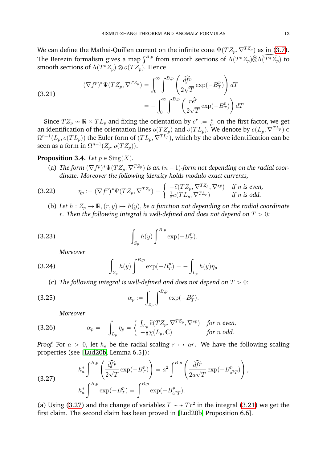We can define the Mathai-Quillen current on the infinite cone  $\Psi(TZ_p, \nabla^{T Z_p})$  as in [\(3.7\)](#page-11-4). The Berezin formalism gives a map  $\int^{B,p}$  from smooth sections of  $\Lambda(T^*Z_p) \hat{\otimes} \Lambda(\widehat{T^*Z_p})$  to smooth sections of  $\Lambda(T^*Z_p)\otimes o(TZ_p)$ . Hence į,

<span id="page-13-1"></span>(3.21)  

$$
(\nabla f^p)^* \Psi(TZ_p, \nabla^{TZ_p}) = \int_0^\infty \int_0^{B_p} \left( \frac{\widehat{df}^p}{2\sqrt{T}} \exp(-B_T^p) \right) dT
$$

$$
= -\int_0^\infty \int_0^{B_p} \left( \frac{r \widehat{e}^r}{2\sqrt{T}} \exp(-B_T^p) \right) dT
$$

Since  $TZ_p \simeq \mathbb{R} \times TL_p$  and fixing the orientation by  $e^r := \frac{\partial}{\partial r}$  on the first factor, we get an identification of the orientation lines  $o(TZ_p)$  and  $o(TL_p)$ . We denote by  $e(L_p, \nabla^{TL_p}) \in$  $\Omega^{n-1}(L_p, o(TL_p))$  the Euler form of  $(TL_p, \nabla^{TL_p}),$  which by the above identification can be seen as a form in  $\Omega^{n-1}(Z_p, o(TZ_p)).$ 

# <span id="page-13-4"></span>**Proposition 3.4.** *Let*  $p \in Sing(X)$ *.*

(a) The form  $(\nabla f^p)^* \Psi(TZ_p, \nabla^{T Z_p})$  is an  $(n-1)$ -form not depending on the radial coor-

*dinate. Moreover the following identity holds modulo exact currents,* q " " (3.22) η<sup>p</sup> :" p∇f p q ˚ΨpT Zp, ∇T Z<sup>p</sup> ´erpT Zp, ∇T Z<sup>p</sup> , ∇spq *if* n *is even,* 1 2 epT Lp, ∇T L<sup>p</sup> q *if* n *is odd.*

<span id="page-13-5"></span>(b) Let  $h: Z_p \to \mathbb{R}, (r, y) \mapsto h(y)$ , be a function not depending on the radial coordinate *r*. Then the following integral is well-defined and does not depend on  $T > 0$ :

(3.23) 
$$
\int_{Z_p} h(y) \int^{B,p} \exp(-B_T^p).
$$

<span id="page-13-3"></span><span id="page-13-2"></span>*Moreover*

(3.24) 
$$
\int_{Z_p} h(y) \int^{B,p} \exp(-B_T^p) = - \int_{L_p} h(y) \eta_p.
$$

(c) *The following integral is well-defined and does not depend on*  $T > 0$ :

(3.25) 
$$
\alpha_p := \int_{Z_p} \int_{-\infty}^{B_p} \exp(-B_T^p).
$$

<span id="page-13-6"></span>*Moreover*

(3.26) 
$$
\alpha_p = -\int_{L_p} \eta_p = \begin{cases} \int_{L_p} \widetilde{e}(TZ_p, \nabla^{TZ_p}, \nabla^{sp}) & \text{for } n \text{ even,} \\ -\frac{1}{2}\chi(L_p, \mathbb{C}) & \text{for } n \text{ odd.} \end{cases}
$$

*Proof.* For  $a > 0$ , let  $h_a$  be the radial scaling  $r \mapsto ar$ . We have the following scaling properties (see [\[Lud20b,](#page-63-14) Lemma 6.5]):<br> $\int_{B}^{B,p} \int_{\widehat{A}^{F}v}$  $\frac{1}{2}$ į,

<span id="page-13-0"></span>(3.27)  

$$
h_a^* \int_{B,p}^{B,p} \left( \frac{\widehat{df}^p}{2\sqrt{T}} \exp(-B_T^p) \right) = a^2 \int_{B,p}^{B,p} \left( \frac{\widehat{df}^p}{2a\sqrt{T}} \exp(-B_{a^2T}^p) \right),
$$

$$
h_a^* \int_{B,p}^{B,p} \exp(-B_T^p) = \int_{B,p}^{B,p} \exp(-B_{a^2T}^p).
$$

(a) Using [\(3.27\)](#page-13-0) and the change of variables  $T \rightarrow Y T r^2$  in the integral [\(3.21\)](#page-13-1) we get the first claim. The second claim has been proved in [\[Lud20b,](#page-63-14) Proposition 6.6].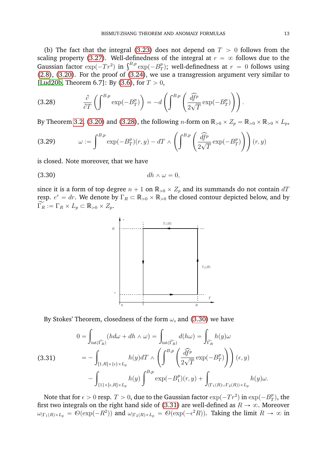(b) The fact that the integral [\(3.23\)](#page-13-2) does not depend on  $T > 0$  follows from the scaling property [\(3.27\)](#page-13-0). Well-definedness of the integral at  $r = \infty$  follows due to the scaling property (3.27). Well-definedness of<br>Gaussian factor  $\exp(-Tr^2)$  in  $\int^{B,p} \exp(-B_T^p)$  $\binom{p}{T}$ ; well-definedness at  $r~=~0$  follows using  $(2.8)$ ,  $(3.20)$ . For the proof of  $(3.24)$ , we use a transgression argument very similar to [\[Lud20b,](#page-63-14) Theorem 6.7]: By [\(3.6\)](#page-10-0), for  $T > 0$ ,

<span id="page-14-0"></span>(3.28) 
$$
\frac{\partial}{\partial T} \left( \int^{B,p} \exp(-B_T^p) \right) = -d \left( \int^{B,p} \left( \frac{\widehat{df}^p}{2\sqrt{T}} \exp(-B_T^p) \right) \right).
$$

By Theorem [3.2,](#page-10-1) [\(3.20\)](#page-12-1) and [\(3.28\)](#page-14-0), the following  $n$ -form on  $\mathbb{R}_{>0}\times Z_p=\mathbb{R}_{>0}\times \mathbb{R}_{>0}\times L_p,$ 

(3.29) 
$$
\omega := \int^{B,p} \exp(-B_T^p)(r, y) - dT \wedge \left( \int^{B,p} \left( \frac{\widehat{df}^p}{2\sqrt{T}} \exp(-B_T^p) \right) \right) (r, y)
$$

is closed. Note moreover, that we have

$$
(3.30) \t\t dh \wedge \omega = 0,
$$

since it is a form of top degree  $n + 1$  on  $\mathbb{R}_{>0} \times Z_p$  and its summands do not contain  $dT$ resp.  $e^r = dr$ . We denote by  $\Gamma_R \subset \mathbb{R}_{>0} \times \mathbb{R}_{>0}$  the closed contour depicted below, and by  $\widetilde{\Gamma_R} := \Gamma_R \times L_p \subset \mathbb{R}_{>0} \times Z_p.$ 

<span id="page-14-1"></span>

By Stokes' Theorem, closedness of the form  $\omega$ , and [\(3.30\)](#page-14-1) we have

<span id="page-14-2"></span>(3.31) 
$$
0 = \int_{\text{int}(\widetilde{\Gamma_R})} (h d\omega + dh \wedge \omega) = \int_{\text{int}(\widetilde{\Gamma_R})} d(h \omega) = \int_{\widetilde{\Gamma_R}} h(y) \omega
$$

$$
= - \int_{[1,R] \times \{\epsilon\} \times L_p} h(y) dT \wedge \left( \int^{B,p} \left( \frac{\widehat{df}^p}{2\sqrt{T}} \exp(-B_T^p) \right) \right) (\epsilon, y)
$$

$$
- \int_{\{1\} \times [\epsilon, R] \times L_p} h(y) \int^{B,p} \exp(-B_1^p)(r, y) + \int_{(\Gamma_1(R) \cup \Gamma_2(R)) \times L_p} h(y) \omega.
$$

Note that for  $\epsilon > 0$  resp.  $T > 0$ , due to the Gaussian factor  $\exp(-Tr^2)$  in  $\exp(-B_T^{\tilde \nu})$  $\binom{p}{T}$ , the first two integrals on the right hand side of [\(3.31\)](#page-14-2) are well-defined as  $R \to \infty$ . Moreover  $\omega_{|\Gamma_1(R)\times L_p} = \mathcal{O}(\exp(-R^2))$  and  $\omega_{|\Gamma_2(R)\times L_p} = \mathcal{O}(\exp(-\epsilon^2 R))$ . Taking the limit  $R \to \infty$  in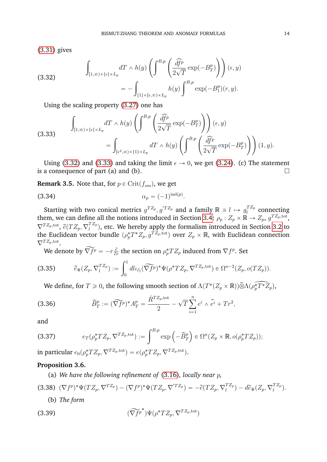[\(3.31\)](#page-14-2) gives

<span id="page-15-0"></span>(3.32)  

$$
\int_{[1,\infty)\times\{\epsilon\}\times L_p} dT \wedge h(y) \left( \int^{B,p} \left( \frac{\widehat{df}^p}{2\sqrt{T}} \exp(-B_T^p) \right) \right) (\epsilon, y)
$$

$$
= - \int_{\{1\}\times[\epsilon,\infty)\times L_p} h(y) \int^{B,p} \exp(-B_1^p)(r, y).
$$

Using the scaling property [\(3.27\)](#page-13-0) one has

<span id="page-15-1"></span>(3.33) 
$$
\int_{[1,\infty)\times\{\epsilon\}\times L_p} dT \wedge h(y) \left( \int^{B,p} \left( \frac{\widehat{df}^p}{2\sqrt{T}} \exp(-B_T^p) \right) \right) (\epsilon, y) = \int_{[\epsilon^2,\infty)\times\{1\}\times L_p} dT \wedge h(y) \left( \int^{B,p} \left( \frac{\widehat{df}^p}{2\sqrt{T}} \exp(-B_T^p) \right) \right) (1, y).
$$

Using [\(3.32\)](#page-15-0) and [\(3.33\)](#page-15-1) and taking the limit  $\epsilon \rightarrow 0$ , we get [\(3.24\)](#page-13-3). (c) The statement is a consequence of part (a) and (b).

**Remark 3.5.** Note that, for  $p \in \text{Crit}(f_{sm})$ , we get

$$
\alpha_p = (-1)^{\mathrm{ind}(p)}.
$$

Starting with two conical metrics  $g^{T Z_p}, g^{'T Z_p}$  and a family  $\mathbb{R} \ni l \mapsto g_l^{T Z_p}$  $\int_l^{L_{\text{Z}_p}}$  connecting them, we can define all the notions introduced in Section [3.4:](#page-11-0)  $\rho_p:Z_p\times\mathbb R\to Z_p,$   $g^{T Z_p,\rm tot},$  $\nabla^{TZ_{p},\text{tot}},\,\widetilde{e}(TZ_{p},\nabla_{l}^{TZ_{p}}% (TZ_{p}),\allowbreak \widetilde{e}(TZ_{p}),\allowbreak \widetilde{e}(T^{Z_{p}}))$  $\binom{1}{l}$ , etc. We hereby apply the formalism introduced in Section [3.2](#page-10-2) to the Euclidean vector bundle  $(\rho_p^*T^*Z_p,g^{TZ_p,\text{tot}})$  over  $Z_p\times\mathbb{R},$  with Euclidean connection  $\nabla^{TZ_p,\text{tot}}.$ 

<span id="page-15-3"></span>We denote by  $\widetilde{\nabla f^p} = -r \frac{\partial}{\partial x^p}$  $\frac{\partial}{\partial r}$  the section on  $\rho_p^*TZ_p$  induced from  $\nabla f^p$ . Set

(3.35) 
$$
\widetilde{e}_{\Psi}(Z_p, \nabla_l^{TZ_p}) := \int_0^1 dl \iota_{\partial_l}(\widetilde{\nabla f^p})^* \Psi(\rho^*TZ_p, \nabla^{TZ_p, \text{tot}}) \in \Omega^{n-2}(Z_p, o(TZ_p)).
$$

We define, for  $T\geqslant 0$ , the following smooth section of  $\Lambda (T^*(Z_p\times \mathbb R))\hat\otimes \Lambda (\widetilde{\rho_p^*T^*Z_p}),$ 

(3.36) 
$$
\widetilde{B}_T^p := (\widetilde{\nabla f}^p)^* A_T^p = \frac{\dot{R}^{T Z_p, \text{tot}}}{2} - \sqrt{T} \sum_{i=1}^n e^i \wedge \widehat{e}^i + Tr^2,
$$

and

<span id="page-15-5"></span>(3.37) 
$$
e_T(\rho_p^*TZ_p, \nabla^{TZ_p,\text{tot}}) := \int^{B,p} \exp\left(-\widetilde{B}_T^p\right) \in \Omega^n(Z_p \times \mathbb{R}, o(\rho_p^*TZ_p));
$$

in particular  $e_0(\rho_p^*TZ_p, \nabla^{TZ_p,\text{tot}}) = e(\rho_p^*TZ_p, \nabla^{TZ_p,\text{tot}}).$ 

#### <span id="page-15-4"></span>**Proposition 3.6.**

<span id="page-15-2"></span>(a) *We have the following refinement of* [\(3.16\)](#page-12-2)*, locally near* p*,*

(3.38) 
$$
(\nabla f^p)^* \Psi(TZ_p, \nabla^{TZ_p}) - (\nabla f^p)^* \Psi(TZ_p, \nabla^{TZ_p}) = -\tilde{e}(TZ_p, \nabla_l^{TZ_p}) - d\tilde{e}_{\Psi}(Z_p, \nabla_l^{TZ_p}).
$$
  
(b) The form

(3.39) 
$$
(\widetilde{\nabla f^p}^*) \Psi(\rho^* T Z_p, \nabla^{T Z_p, \text{tot}})
$$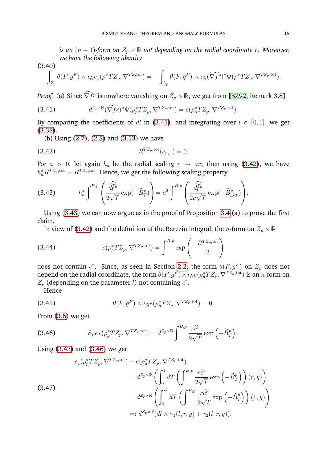*is an*  $(n - 1)$ -form on  $Z_p \times \mathbb{R}$  *not depending on the radial coordinate r. Moreover, we have the following identity*

 $(3.40)$ 

40)  

$$
\int_{Z_p} \theta(F,g^F) \wedge \iota_{\partial_l} e_1(\rho^*TZ_p, \nabla^{TZ,tot}) = -\int_{L_p} \theta(F,g^F) \wedge \iota_{\partial_l}(\widetilde{\nabla f^p})^* \Psi(\rho^*TZ_p, \nabla^{TZ_p,tot}).
$$

*Proof.* (a) Since  $\widetilde{\nabla f^p}$  is nowhere vanishing on  $Z_p\times\mathbb{R},$  we get from [\[BZ92,](#page-62-1) Remark 3.8]

<span id="page-16-0"></span>(3.41) 
$$
d^{Z_p \times \mathbb{R}}(\widetilde{\nabla f^p})^* \Psi(\rho_p^* T Z_p, \nabla^{T Z_p, \text{tot}}) = e(\rho_p^* T Z_p, \nabla^{T Z_p, \text{tot}}).
$$

By comparing the coefficients of dl in [\(3.41\)](#page-16-0), and integrating over  $l \in [0, 1]$ , we get [\(3.38\)](#page-15-2).

<span id="page-16-1"></span>(b) Using [\(2.7\)](#page-6-2), [\(2.8\)](#page-6-1) and [\(3.13\)](#page-12-3) we have

(3.42) 
$$
R^{T Z_p, \text{tot}}(e_r, ) = 0.
$$

For  $a > 0$ , let again  $h_a$  be the radial scaling  $r \rightarrow ar$ ; then using [\(3.42\)](#page-16-1), we have  $h^*_a \dot{R}^{TZ_p,\text{tot}} = \dot{R}^{TZ_p,\text{tot}}.$  Hence, we get the following scaling property ˛ ˛

<span id="page-16-2"></span>(3.43) 
$$
h_a^* \int^{B,p} \left( \frac{\widehat{\tilde{df}^p}}{2\sqrt{T}} \exp(-\tilde{B}_T^p) \right) = a^2 \int^{B,p} \left( \frac{\widehat{\tilde{df}^p}}{2a\sqrt{T}} \exp(-\tilde{B}_{a^2T}^p) \right).
$$

Using [\(3.43\)](#page-16-2) we can now argue as in the proof of Proposition [3.4](#page-13-4) (a) to prove the first claim.

In view of [\(3.42\)](#page-16-1) and the definition of the Berezin integral, the  $n$ -form on  $Z_p\times\mathbb{R}$ į,

(3.44) 
$$
e(\rho_p^*TZ_p, \nabla^{TZ_p,\text{tot}}) = \int^{B,p} \exp\left(-\frac{\dot{R}^{TZ_p,\text{tot}}}{2}\right)
$$

does not contain  $e^r$ . Since, as seen in Section [2.2,](#page-5-1) the form  $\theta(F,g^F)$  on  $Z_p$  does not depend on the radial coordinate, the form  $\theta(F,g^F)\wedge \iota_{\partial l}e(\rho_p^*TZ_p,\nabla^{TZ_p,\text{tot}})$  is an  $n\text{-form}$  on  $Z_p$  (depending on the parameter l) not containing  $e^r$ .

<span id="page-16-4"></span>Hence

(3.45) 
$$
\theta(F,g^F) \wedge \iota_{\partial l} e(\rho_p^* T Z_p, \nabla^{T Z_p, \text{tot}}) = 0.
$$

From [\(3.6\)](#page-10-0) we get

<span id="page-16-3"></span>(3.46) 
$$
\partial_T e_T(\rho_p^* T Z_p, \nabla^{T Z_p, \text{tot}}) = d^{Z_p \times \mathbb{R}} \int^{B, p} \frac{r \hat{e^r}}{2\sqrt{T}} \exp\left(-\widetilde{B}_T^p\right).
$$

Using [\(3.43\)](#page-16-2) and [\(3.46\)](#page-16-3) we get

<span id="page-16-5"></span>(3.47)  
\n
$$
e_1(\rho_p^*TZ_p, \nabla^{TZ_p, \text{tot}}) - e(\rho_p^*TZ_p, \nabla^{TZ_p, \text{tot}})
$$
\n
$$
= d^{Z_p \times \mathbb{R}} \left( \int_0^1 dT \left( \int_0^{B, p} \frac{r \hat{e^r}}{2\sqrt{T}} \exp\left( -\tilde{B}_T^p \right) \right) (r, y) \right)
$$
\n
$$
= d^{Z_p \times \mathbb{R}} \left( \int_0^{r^2} dT \left( \int_0^{B, p} \frac{r \hat{e^r}}{2\sqrt{T}} \exp\left( -\tilde{B}_T^p \right) \right) (1, y) \right)
$$
\n
$$
=: d^{Z_p \times \mathbb{R}} (dl \wedge \gamma_1(l, r, y) + \gamma_2(l, r, y)).
$$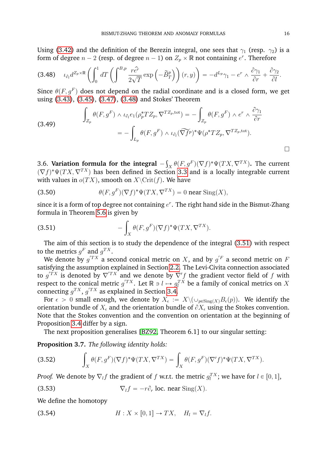Using [\(3.42\)](#page-16-1) and the definition of the Berezin integral, one sees that  $\gamma_1$  (resp.  $\gamma_2$ ) is a form of degree  $n-2$  (resp. of degree  $n-1$ ) on  $Z_p \times \mathbb{R}$  not containing  $e^r$ . Therefore

<span id="page-17-1"></span>
$$
(3.48) \quad \iota_{\partial_l} d^{Z_p \times \mathbb{R}} \left( \int_0^1 dT \left( \int^{B,p} \frac{r \hat{e}^r}{2\sqrt{T}} \exp \left( -\widetilde{B}^p_T \right) \right) (r, y) \right) = -d^{L_p} \gamma_1 - e^r \wedge \frac{\partial \gamma_1}{\partial r} + \frac{\partial \gamma_2}{\partial l}.
$$

Since  $\theta(F, g^F)$  does not depend on the radial coordinate and is a closed form, we get using [\(3.43\)](#page-16-2), [\(3.45\)](#page-16-4), [\(3.47\)](#page-16-5), [\(3.48\)](#page-17-1) and Stokes' Theorem

(3.49) 
$$
\int_{Z_p} \theta(F, g^F) \wedge \iota_{\partial_l} e_1(\rho_p^* T Z_p, \nabla^{T Z_p, \text{tot}}) = - \int_{Z_p} \theta(F, g^F) \wedge e^r \wedge \frac{\partial \gamma_1}{\partial r} = - \int_{L_p} \theta(F, g^F) \wedge \iota_{\partial_l}(\widetilde{\nabla f}^p)^* \Psi(\rho^* T Z_p, \nabla^{T Z_p, \text{tot}}).
$$

<span id="page-17-0"></span>3.6. **Variation formula for the integral**  $\hat{H}_X \theta(F,g^F)(\nabla f)^* \Psi(TX,\nabla^{TX})$ . The current  $(\nabla f)^* \Psi(TX, \nabla^{TX})$  has been defined in Section [3.3](#page-11-1) and is a locally integrable current with values in  $o(TX)$ , smooth on  $X\setminus\mathrm{Crit}(f)$ . We have

<span id="page-17-4"></span>(3.50) 
$$
\theta(F, g^F)(\nabla f)^* \Psi(TX, \nabla^{TX}) = 0 \text{ near } \text{Sing}(X),
$$

since it is a form of top degree not containing  $e^r$ . The right hand side in the Bismut-Zhang formula in Theorem [5.6](#page-36-0) is given by ż

<span id="page-17-2"></span>(3.51) 
$$
- \int_X \theta(F, g^F)(\nabla f)^* \Psi(TX, \nabla^{TX}).
$$

The aim of this section is to study the dependence of the integral [\(3.51\)](#page-17-2) with respect to the metrics  $g^F$  and  $g^{TX}$ .

We denote by  $g^{\prime T X}$  a second conical metric on  $X$ , and by  $g^{\prime F}$  a second metric on  $F$ satisfying the assumption explained in Section [2.2.](#page-5-1) The Levi-Civita connection associated to  $g'^{TX}$  is denoted by  $\nabla'^{TX}$  and we denote by  $\nabla' f$  the gradient vector field of f with respect to the conical metric  $g^{'TX}.$  Let  $\mathbb{R} \ni l \mapsto g^{TX}_l$  be a family of conical metrics on  $X$ connecting  $g^{TX}$ ,  $g^{'TX}$  as explained in Section [3.4.](#page-11-0)

For  $\epsilon\,>\,0$  small enough, we denote by  $X_\epsilon\,:=\,X\backslash (\cup_{p\in{\rm Sing}(X)}B_\epsilon(p)).$  We identify the orientation bundle of  $X_{\epsilon}$  and the orientation bundle of  $\partial X_{\epsilon}$  using the Stokes convention. Note that the Stokes convention and the convention on orientation at the beginning of Proposition [3.4](#page-13-4) differ by a sign.

The next proposition generalises [\[BZ92,](#page-62-1) Theorem 6.1] to our singular setting:

<span id="page-17-5"></span>**Proposition 3.7.** *The following identity holds:*

(3.52) 
$$
\int_X \theta(F, g^F)(\nabla f)^* \Psi(TX, \nabla^{TX}) = \int_X \theta(F, g^F)(\nabla' f)^* \Psi(TX, \nabla^{TX}).
$$

*Proof.* We denote by  $\nabla_l f$  the gradient of  $f$  w.r.t. the metric  $g_l^{TX}$ ; we have for  $l \in [0, 1]$ ,

<span id="page-17-3"></span>(3.53) 
$$
\nabla_l f = -r \partial_r \text{ loc. near } \text{Sing}(X).
$$

We define the homotopy

(3.54) 
$$
H: X \times [0,1] \rightarrow TX, \quad H_l = \nabla_l f.
$$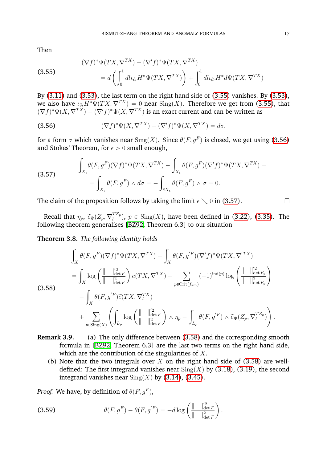Then

<span id="page-18-0"></span>(3.55)  
\n
$$
(\nabla f)^* \Psi(TX, \nabla^{TX}) - (\nabla' f)^* \Psi(TX, \nabla^{TX})
$$
\n
$$
= d \left( \int_0^1 dl \iota_{\partial_l} H^* \Psi(TX, \nabla^{TX}) \right) + \int_0^1 dl \iota_{\partial_l} H^* d\Psi(TX, \nabla^{TX})
$$

By [\(3.11\)](#page-11-5) and [\(3.53\)](#page-17-3), the last term on the right hand side of [\(3.55\)](#page-18-0) vanishes. By [\(3.53\)](#page-17-3), we also have  $\iota_{\partial_l}H^*\Psi(TX,\nabla^{TX}) = 0$  near  $\mathrm{Sing}(X)$ . Therefore we get from [\(3.55\)](#page-18-0), that  $(\nabla f)^* \Psi(X, \nabla^{TX}) - (\nabla' f)^* \Psi(X, \nabla^{TX})$  is an exact current and can be written as

<span id="page-18-1"></span>(3.56) 
$$
(\nabla f)^* \Psi(X, \nabla^{TX}) - (\nabla' f)^* \Psi(X, \nabla^{TX}) = d\sigma,
$$

for a form  $\sigma$  which vanishes near  $\operatorname{Sing}(X)$ . Since  $\theta(F, g^F)$  is closed, we get using [\(3.56\)](#page-18-1) and Stokes' Theorem, for  $\epsilon > 0$  small enough,

<span id="page-18-2"></span>(3.57) 
$$
\int_{X_{\epsilon}} \theta(F, g^F)(\nabla f)^* \Psi(TX, \nabla^{TX}) - \int_{X_{\epsilon}} \theta(F, g^F)(\nabla' f)^* \Psi(TX, \nabla^{TX}) =
$$

$$
= \int_{X_{\epsilon}} \theta(F, g^F) \wedge d\sigma = - \int_{\partial X_{\epsilon}} \theta(F, g^F) \wedge \sigma = 0.
$$

The claim of the proposition follows by taking the limit  $\epsilon \setminus 0$  in [\(3.57\)](#page-18-2).

Recall that  $\eta_p, \ \widetilde{e}_{\Psi}(Z_p, \nabla_l^{TZ_p})$  $\binom{12}{l}$ ,  $p \in \text{Sing}(X)$ , have been defined in [\(3.22\)](#page-13-5), [\(3.35\)](#page-15-3). The following theorem generalises [\[BZ92,](#page-62-1) Theorem 6.3] to our situation

<span id="page-18-5"></span>**Theorem 3.8.** *The following identity holds*

<span id="page-18-3"></span>
$$
\int_{X} \theta(F, g^{F})(\nabla f)^{*}\Psi(TX, \nabla^{TX}) - \int_{X} \theta(F, g^{'F})(\nabla' f)^{*}\Psi(TX, \nabla^{'TX})
$$
\n
$$
= \int_{X} \log \left( \frac{\|\nabla f\|_{\det F}^{2}}{\|\nabla f\|_{\det F}^{2}} \right) e(TX, \nabla^{TX}) - \sum_{p \in \text{Crit}(f_{sm})} (-1)^{\text{ind}(p)} \log \left( \frac{\|\nabla f\|_{\det F_p}^{2}}{\|\nabla f\|_{\det F_p}^{2}} \right)
$$
\n
$$
- \int_{X} \theta(F, g^{'F}) \widetilde{e}(TX, \nabla_{l}^{TX})
$$
\n
$$
+ \sum_{p \in \text{Sing}(X)} \left( \int_{L_p} \log \left( \frac{\|\nabla f\|_{\det F}^{2}}{\|\nabla f\|_{\det F}^{2}} \right) \wedge \eta_p - \int_{L_p} \theta(F, g^{'F}) \wedge \widetilde{e}_{\Psi}(Z_p, \nabla_{l}^{TZ_p}) \right)
$$

- **Remark 3.9.** (a) The only difference between [\(3.58\)](#page-18-3) and the corresponding smooth formula in [\[BZ92,](#page-62-1) Theorem 6.3] are the last two terms on the right hand side, which are the contribution of the singularities of X.
	- (b) Note that the two integrals over X on the right hand side of  $(3.58)$  are welldefined: The first integrand vanishes near  $\text{Sing}(X)$  by [\(3.18\)](#page-12-4), [\(3.19\)](#page-12-5), the second integrand vanishes near  $\text{Sing}(X)$  by [\(3.14\)](#page-12-6), [\(3.45\)](#page-16-4).

*Proof.* We have, by definition of  $\theta(F, g^F)$ ,

<span id="page-18-4"></span>(3.59) 
$$
\theta(F, g^F) - \theta(F, g'^F) = -d \log \left( \frac{\| \| \|^2_{\det F}}{\| \| \|^2_{\det F}} \right).
$$

.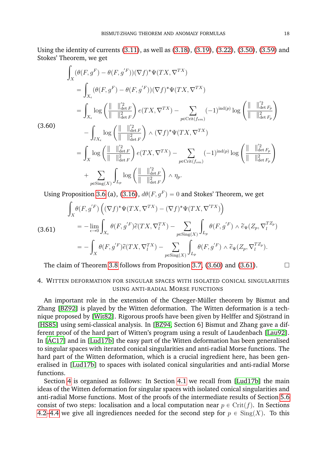Using the identity of currents [\(3.11\)](#page-11-5), as well as [\(3.18\)](#page-12-4), [\(3.19\)](#page-12-5), [\(3.22\)](#page-13-5), [\(3.50\)](#page-17-4), [\(3.59\)](#page-18-4) and Stokes' Theorem, we get

$$
\int_{X} (\theta(F, g^{F}) - \theta(F, g^{'F})) (\nabla f)^{*} \Psi(TX, \nabla^{TX})
$$
\n
$$
= \int_{X_{\epsilon}} (\theta(F, g^{F}) - \theta(F, g^{'F})) (\nabla f)^{*} \Psi(TX, \nabla^{TX})
$$
\n
$$
= \int_{X_{\epsilon}} \log \left( \frac{\|\ \|_{\det F}^2}{\|\ \|_{\det F}^2} \right) e(TX, \nabla^{TX}) - \sum_{p \in Crit(f_{sm})} (-1)^{\text{ind}(p)} \log \left( \frac{\|\ \|_{\det F_p}^2}{\|\ \|_{\det F_p}^2} \right)
$$
\n
$$
- \int_{\partial X_{\epsilon}} \log \left( \frac{\|\ \|_{\det F}^2}{\|\ \|_{\det F}^2} \right) \wedge (\nabla f)^{*} \Psi(TX, \nabla^{TX})
$$
\n
$$
= \int_{X} \log \left( \frac{\|\ \|_{\det F}^2}{\|\ \|_{\det F}^2} \right) e(TX, \nabla^{TX}) - \sum_{p \in Crit(f_{sm})} (-1)^{\text{ind}(p)} \log \left( \frac{\|\ \|_{\det F_p}^2}{\|\ \|_{\det F_p}^2} \right)
$$
\n
$$
+ \sum_{p \in Sing(X)} \int_{L_p} \log \left( \frac{\|\ \|_{\det F}^2}{\|\ \|_{\det F}^2} \right) \wedge \eta_p.
$$

<span id="page-19-1"></span>(3.60)

Using Proposition 3.6 (a), (3.16), 
$$
d\theta(F, g^F) = 0
$$
 and Stokes' Theorem, we get

<span id="page-19-2"></span>(3.61)  
\n
$$
\int_X \theta(F, g'^F) \left( (\nabla f)^* \Psi(TX, \nabla^{TX}) - (\nabla f)^* \Psi(TX, \nabla^{TX}) \right)
$$
\n
$$
= -\lim_{\epsilon \to 0} \int_{X_{\epsilon}} \theta(F, g'^F) \widetilde{e}(TX, \nabla^{TX}_l) - \sum_{p \in \text{Sing}(X)} \int_{L_p} \theta(F, g'^F) \wedge \widetilde{e}_{\Psi}(Z_p, \nabla^{TZ_p})
$$
\n
$$
= -\int_X \theta(F, g'^F) \widetilde{e}(TX, \nabla^{TX}_l) - \sum_{p \in \text{Sing}(X)} \int_{L_p} \theta(F, g'^F) \wedge \widetilde{e}_{\Psi}(Z_p, \nabla^{TZ_p}_l).
$$

The claim of Theorem [3.8](#page-18-5) follows from Proposition [3.7,](#page-17-5) [\(3.60\)](#page-19-1) and [\(3.61\)](#page-19-2).  $\Box$ 

### <span id="page-19-0"></span>4. WITTEN DEFORMATION FOR SINGULAR SPACES WITH ISOLATED CONICAL SINGULARITIES USING ANTI-RADIAL MORSE FUNCTIONS

An important role in the extension of the Cheeger-Müller theorem by Bismut and Zhang [\[BZ92\]](#page-62-1) is played by the Witten deformation. The Witten deformation is a tech-nique proposed by [\[Wit82\]](#page-63-2). Rigorous proofs have been given by Helffer and Sjöstrand in [\[HS85\]](#page-63-3) using semi-classical analysis. In [\[BZ94,](#page-62-9) Section 6] Bismut and Zhang gave a different proof of the hard part of Witten's program using a result of Laudenbach [\[Lau92\]](#page-63-20). In  $[AC17]$  and in  $[Lud17b]$  the easy part of the Witten deformation has been generalised to singular spaces with iterated conical singularities and anti-radial Morse functions. The hard part of the Witten deformation, which is a crucial ingredient here, has been generalised in [\[Lud17b\]](#page-63-13) to spaces with isolated conical singularities and anti-radial Morse functions.

Section [4](#page-19-0) is organised as follows: In Section [4.1](#page-20-0) we recall from [\[Lud17b\]](#page-63-13) the main ideas of the Witten deformation for singular spaces with isolated conical singularities and anti-radial Morse functions. Most of the proofs of the intermediate results of Section [5.6](#page-37-0) consist of two steps: localisation and a local computation near  $p \in \text{Crit}(f)$ . In Sections [4.2–](#page-21-0)[4.4](#page-29-0) we give all ingrediences needed for the second step for  $p \in Sing(X)$ . To this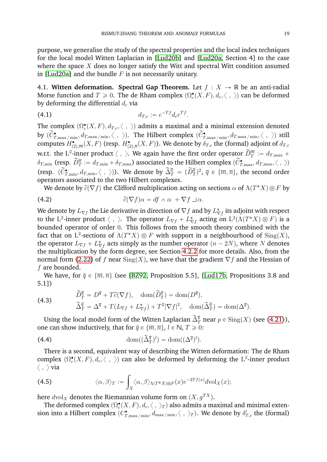purpose, we generalise the study of the spectral properties and the local index techniques for the local model Witten Laplacian in [\[Lud20b\]](#page-63-14) and [\[Lud20a,](#page-63-12) Section 4] to the case where the space  $X$  does no longer satisfy the Witt and spectral Witt condition assumed in [\[Lud20a\]](#page-63-12) and the bundle  $F$  is not necessarily unitary.

<span id="page-20-0"></span>4.1. **Witten deformation. Spectral Gap Theorem.** Let  $f : X \rightarrow \mathbb{R}$  be an anti-radial Morse function and  $T \geqslant 0$ . The de Rham complex  $(\Omega^{\bullet}_{c}(X,F), d_c, \langle \; , \; \rangle)$  can be deformed by deforming the differential  $d_c$  via

(4.1) 
$$
d_{T,c} := e^{-Tf} d_c e^{Tf}.
$$

The complex  $(\Omega^{\bullet}_{c}(X,F), d_{T,c},\langle \; , \; \rangle)$  admits a maximal and a minimal extension denoted by  $(\widetilde{C}_{T,\max/\min}^{\bullet}, d_{T,\max/\min}, \langle , \rangle)$ . The Hilbert complex  $(\widetilde{C}_{T,\max/\min}^{\bullet}, d_{T,\max/\min}, \langle , \rangle)$  still computes  $H^\bullet_{(2),\overline m}(X,F)$  (resp.  $H^\bullet_{(2),\overline n}(X,F)$ ). We denote by  $\delta_{T,c}$  the (formal) adjoint of  $d_{T,c}$ w.r.t. the L<sup>2</sup>-inner product  $\langle , \rangle$ . We again have the first order operator  $\widetilde{D}_T^{\overline{m}} := d_{T,\max} +$  $\delta_{T,\min}$  (resp.  $\widetilde{D}_T^{\overline{n}} := d_{T,\min} + \widetilde{\delta}_{T,\max}$ ) associated to the Hilbert complex  $(\widetilde{C}_{T,\max}^{\bullet}, d_{T,\max}, \langle , \rangle)$ (resp.  $(\widetilde{C}_{T,\min}^{\bullet}, d_{T,\min}, \langle , \rangle)$ ). We denote by  $\widetilde{\Delta}_T^{\overline{q}} = (\widetilde{D}_T^{\overline{q}})^2$ ,  $\overline{q} \in {\overline{\{m,\overline{n}\}}\}$ , the second order operators associated to the two Hilbert complexes.

We denote by  $\widehat{c}(\nabla f)$  the Clifford multiplication acting on sections  $\alpha$  of  $\Lambda(T^*X)\otimes F$  by

(4.2) 
$$
\widehat{c}(\nabla f)\alpha = df \wedge \alpha + \nabla f \sqcup \alpha.
$$

We denote by  $L_{\nabla f}$  the Lie derivative in direction of  $\nabla f$  and by  $L^*_{\nabla f}$  its adjoint with respect to the  $\mathrm{L}^2\text{-}\mathrm{inner}$  product  $\langle\;,\;\rangle.$  The operator  $L_{\nabla f}+L_{\nabla f}^*$  acting on  $\mathrm{L}^2(\Lambda(T^*X)\otimes F)$  is a bounded operator of order 0. This follows from the smooth theory combined with the fact that on  $\mathrm{L}^2\text{-sections of }\Lambda(T^*X)\otimes F$  with support in a neighbourhood of  $\mathrm{Sing}(X),$ the operator  $L_{\nabla f} + L_{\nabla f}^*$  acts simply as the number operator  $(n - 2N)$ , where N denotes the multiplication by the form degree, see Section [4.2.2](#page-22-0) for more details. Also, from the normal form [\(2.22\)](#page-8-3) of f near  $\text{Sing}(X)$ , we have that the gradient  $\nabla f$  and the Hessian of f are bounded.

We have, for  $\overline{q} \in {\overline{m}, \overline{n}}$  (see [\[BZ92,](#page-62-1) Proposition 5.5], [\[Lud17b,](#page-63-13) Propositions 3.8 and 5.1])

(4.3) 
$$
\widetilde{D}_T^{\overline{q}} = D^{\overline{q}} + T\widehat{c}(\nabla f), \quad \text{dom}(\widetilde{D}_T^{\overline{q}}) = \text{dom}(D^{\overline{q}}), \n\widetilde{\Delta}_T^{\overline{q}} = \Delta^{\overline{q}} + T(L_{\nabla f} + L_{\nabla f}^*) + T^2 |\nabla f|^2, \quad \text{dom}(\widetilde{\Delta}_T^{\overline{q}}) = \text{dom}(\Delta^{\overline{q}}).
$$

Using the local model form of the Witten Laplacian  $\widetilde{\Delta}_T^{\overline{q}}$  near  $p\in\mathrm{Sing}(X)$  (see [\(4.21\)](#page-23-0)), one can show inductively, that for  $\overline{q} \in {\overline{m}, \overline{n}}$ ,  $l \in \mathbb{N}, T \ge 0$ :

<span id="page-20-1"></span>(4.4) 
$$
\text{dom}((\widetilde{\Delta}_T^{\overline{q}})^l) = \text{dom}((\Delta^{\overline{q}})^l).
$$

There is a second, equivalent way of describing the Witten deformation: The de Rham complex  $(\Omega_c^{\bullet}(X, F), d_c, \langle , \rangle)$  can also be deformed by deforming the L<sup>2</sup>-inner product  $\langle , \rangle$  via

(4.5) 
$$
\langle \alpha, \beta \rangle_T := \int_X \langle \alpha, \beta \rangle_{\Lambda(T^*X) \otimes F}(x) e^{-2Tf(x)} d\mathrm{vol}_X(x);
$$

here  $dvol_X$  denotes the Riemannian volume form on  $(X, g^{TX})$ .

The deformed complex  $(\Omega^{\bullet}_{c}(X,F), d_c, \langle \; , \; \rangle_T)$  also admits a maximal and minimal extension into a Hilbert complex  $(C^{\bullet}_{T,\max/\min}, d_{\max/\min}, \langle \; , \; \rangle_T).$  We denote by  $\delta'_{T,c}$  the (formal)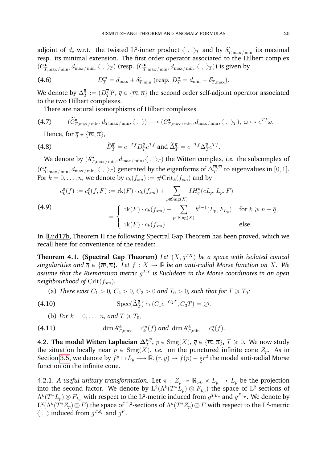adjoint of  $d_c$  w.r.t. the twisted  $\mathrm{L}^2\text{-}\mathrm{inner}$  product  $\langle\;,\;\rangle_T$  and by  $\delta_{T,\max/\min}'$  its maximal resp. its minimal extension. The first order operator associated to the Hilbert complex  $(C_{T,\max/\min}^{\bullet}, d_{\max/\min}, \langle \; , \; \rangle_T)$  (resp.  $(C_{T,\max/\min}^{\bullet}, d_{\max/\min}, \langle \; , \; \rangle_T)$ ) is given by

(4.6) 
$$
D_T^{\overline{m}} = d_{\text{max}} + \delta'_{T,\text{min}} \ (\text{resp. } D_T^{\overline{n}} = d_{\text{min}} + \delta'_{T,\text{max}}).
$$

We denote by  $\Delta_q^{\overline{q}}$  $\frac{\overline{q}}{T} := (D_q^{\overline{q}})$  $\{\bar{q}\}_2^{\bar{q}}$  ,  $\bar{q}\in\{\overline{m},\overline{n}\}$  the second order self-adjoint operator associated to the two Hilbert complexes.

There are natural isomorphisms of Hilbert complexes

(4.7) 
$$
(\tilde{C}_{T,\max/\min}^{\bullet}, d_{T,\max/\min}, \langle , \rangle) \longrightarrow (C_{T,\max/\min}^{\bullet}, d_{\max/\min}, \langle , \rangle_T), \omega \mapsto e^{Tf}\omega.
$$

<span id="page-21-1"></span>Hence, for  $\overline{q} \in {\overline{m}, \overline{n}}$ ,

(4.8) 
$$
\widetilde{D}_T^{\overline{q}} = e^{-Tf} D_T^{\overline{q}} e^{Tf} \text{ and } \widetilde{\Delta}_T^{\overline{q}} = e^{-Tf} \Delta_T^{\overline{q}} e^{Tf}.
$$

We denote by  $(\mathcal{S}^\bullet_{T,\max/\min}, d_{\max/\min}, \langle \; , \; \rangle_T)$  the Witten complex, *i.e*. the subcomplex of  $(\mathcal{C}^\bullet_{T,\max/\min}, d_{\max/\min}, \langle \; , \; \rangle_T)$  generated by the eigenforms of  $\Delta_T^{\overline{m}/\overline{n}}$  $_T^{m/n}$  to eigenvalues in  $[0,1].$ For  $k = 0, \ldots, n$ , we denote by  $c_k(f_{sm}) := \#\mathrm{Crit}_k(f_{sm})$  and by

<span id="page-21-2"></span>(4.9)  
\n
$$
c_k^{\overline{q}}(f) := c_k^{\overline{q}}(f, F) := \text{rk}(F) \cdot c_k(f_{sm}) + \sum_{p \in \text{Sing}(X)} IH_{\overline{q}}^k(cL_p, L_p, F)
$$
\n
$$
= \begin{cases} \text{rk}(F) \cdot c_k(f_{sm}) + \sum_{p \in \text{Sing}(X)} b^{k-1}(L_p, F_{L_p}) & \text{for } k \geq n - \overline{q}, \\ \text{rk}(F) \cdot c_k(f_{sm}) & \text{else.} \end{cases}
$$

In [\[Lud17b,](#page-63-13) Theorem I] the following Spectral Gap Theorem has been proved, which we recall here for convenience of the reader:

<span id="page-21-3"></span>**Theorem 4.1. (Spectral Gap Theorem)** *Let*  $(X, q^{TX})$  *be a space with isolated conical singularities and*  $\overline{q} \in {\overline{m}, \overline{n}}$ *. Let*  $f : X \to \mathbb{R}$  *be an anti-radial Morse function on* X*. We* assume that the Riemannian metric  $g^{TX}$  is Euclidean in the Morse coordinates in an open *neighbourhood of*  $Crit(f_{sm})$ *.* 

(a) *There exist*  $C_1 > 0$ ,  $C_2 > 0$ ,  $C_3 > 0$  *and*  $T_0 > 0$ , *such that for*  $T \ge T_0$ *:* 

(4.10) 
$$
\operatorname{Spec}(\widetilde{\Delta}_T^{\overline{q}}) \cap (C_1 e^{-C_2 T}, C_3 T) = \varnothing.
$$

(b) For 
$$
k = 0, \ldots, n
$$
, and  $T \geq T_0$ ,

(4.11) 
$$
\dim \mathcal{S}_{T,\max}^k = c_k^{\overline{m}}(f) \text{ and } \dim \mathcal{S}_{T,\min}^k = c_k^{\overline{n}}(f).
$$

<span id="page-21-0"></span>4.2. The model Witten Laplacian  $\Delta_T^{p,\bar q}$  $T^{p,q}_{T}$ ,  $p \in \text{Sing}(X)$ ,  $\overline{q} \in \{\overline{m}, \overline{n}\}$ ,  $T \geqslant 0$ . We now study the situation locally near  $p \in Sing(X)$ , *i.e.* on the punctured infinite cone  $Z_p$ . As in Section [3.5,](#page-12-0) we denote by  $f^p : cL_p \longrightarrow \mathbb{R}, (r, y) \mapsto f(p) - \frac{1}{2}r^2$  the model anti-radial Morse function on the infinite cone.

<span id="page-21-4"></span>4.2.1. *A useful unitary transformation.* Let  $\pi$  :  $Z_p \simeq \mathbb{R}_{>0} \times L_p \to L_p$  be the projection into the second factor. We denote by  $L^2(\Lambda^k(T^*L_p)\otimes F_{L_p})$  the space of  $L^2$ -sections of  $\Lambda^k(T^*L_p)\otimes F_{L_p}$  with respect to the  $\mathrm{L}^2$ -metric induced from  $g^{TL_p}$  and  $g^{F_{L_p}}$ . We denote by  $\mathrm{L}^2(\Lambda^k(T^*Z_p)\otimes F)$  the space of  $\mathrm{L}^2$ -sections of  $\Lambda^k(T^*Z_p)\otimes F$  with respect to the  $\mathrm{L}^2$ -metric  $\langle \; , \; \rangle$  induced from  $g^{T Z_p}$  and  $g^F.$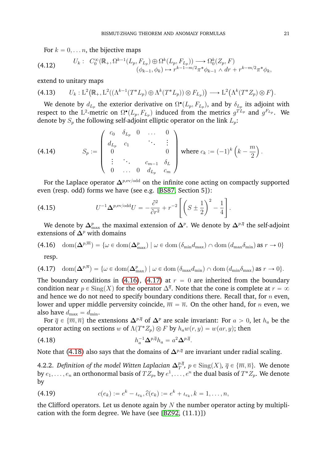<span id="page-22-5"></span>For  $k = 0, \ldots n$ , the bijective maps

(4.12) 
$$
U_k: C_0^{\infty}(\mathbb{R}_+, \Omega^{k-1}(L_p, F_{L_p}) \oplus \Omega^k(L_p, F_{L_p})) \longrightarrow \Omega_0^k(Z_p, F) (\phi_{k-1}, \phi_k) \longrightarrow r^{k-1-m/2} \pi^* \phi_{k-1} \wedge dr + r^{k-m/2} \pi^* \phi_k,
$$

extend to unitary maps  $\ddot{\phantom{1}}$ 

$$
(4.13) \qquad U_k: \mathcal{L}^2(\mathbb{R}_+, \mathcal{L}^2((\Lambda^{k-1}(T^*L_p) \oplus \Lambda^k(T^*L_p)) \otimes F_{L_p})) \longrightarrow \mathcal{L}^2(\Lambda^k(T^*Z_p) \otimes F).
$$

We denote by  $d_{L_p}$  the exterior derivative on  $\Omega^\bullet(L_p,F_{L_p}),$  and by  $\delta_{L_p}$  its adjoint with respect to the L<sup>2</sup>-metric on  $\Omega^{\bullet}(L_p, F_{L_p})$  induced from the metrics  $g^{TL_p}$  and  $g^{F_{L_p}}$ . We denote by  $S_p$  the following self-adjoint elliptic operator on the link  $L_p$ : ∷en en de la component de la component de la component de la component de la component de la component de la component de la component de la component de la component de la component de la component de la component de la

<span id="page-22-7"></span>(4.14) 
$$
S_p := \begin{pmatrix} c_0 & \delta_{L_p} & 0 & \dots & 0 \\ d_{L_p} & c_1 & & \ddots & \vdots \\ 0 & & & 0 & 0 \\ \vdots & \ddots & & c_{m-1} & \delta_L \\ 0 & \dots & 0 & d_{L_p} & c_m \end{pmatrix} \text{ where } c_k := (-1)^k \left( k - \frac{m}{2} \right).
$$

For the Laplace operator  $\Delta^{p,\text{ev/odd}}$  on the infinite cone acting on compactly supported even (resp. odd) forms we have (see e.g. [\[BS87,](#page-62-11) Section 5]):<br>. ff

<span id="page-22-4"></span>(4.15) 
$$
U^{-1} \Delta^{p, \text{ev/odd}} U = -\frac{\partial^2}{\partial r^2} + r^{-2} \left[ \left( S \pm \frac{1}{2} \right)^2 - \frac{1}{4} \right].
$$

We denote by  $\Delta^p_{\max}$  the maximal extension of  $\Delta^p.$  We denote by  $\Delta^{p,\overline{q}}$  the self-adjoint extensions of  $\Delta^p$  with domains

(4.16) 
$$
\text{dom}(\Delta^{p,\overline{m}}) = \{ \omega \in \text{dom}(\Delta^{p}_{\text{max}}) \mid \omega \in \text{dom}(\delta_{\text{min}}d_{\text{max}}) \cap \text{dom}(d_{\text{max}}\delta_{\text{min}}) \text{ as } r \to 0 \}
$$

<span id="page-22-2"></span><span id="page-22-1"></span>resp.

$$
(4.17) \quad \text{dom}(\mathbf{\Delta}^{p,\overline{n}}) = \{ \omega \in \text{dom}(\mathbf{\Delta}_{\max}^p) \mid \omega \in \text{dom}(\delta_{\max} d_{\min}) \cap \text{dom}(d_{\min} \delta_{\max}) \text{ as } r \to 0 \}.
$$

The boundary conditions in [\(4.16\)](#page-22-1), [\(4.17\)](#page-22-2) at  $r = 0$  are inherited from the boundary condition near  $p \in Sing(X)$  for the operator  $\Delta^{\overline{q}}$ . Note that the cone is complete at  $r = \infty$ and hence we do not need to specify boundary conditions there. Recall that, for  $n$  even, lower and upper middle perversity coincide,  $\overline{m} = \overline{n}$ . On the other hand, for *n* even, we also have  $d_{\text{max}} = d_{\text{min}}$ .

For  $\overline{q} \in {\overline{m}, \overline{n}}$  the extensions  $\Delta^{p, \overline{q}}$  of  $\Delta^p$  are scale invariant: For  $a > 0$ , let  $h_a$  be the operator acting on sections w of  $\Lambda(T^*Z_p) \otimes F$  by  $h_a w(r, y) = w(ar, y)$ ; then

<span id="page-22-3"></span>
$$
(4.18) \t\t\t\t\t\t h_a^{-1} \Delta^{p,\bar{q}} h_a = a^2 \Delta^{p,\bar{q}}.
$$

Note that [\(4.18\)](#page-22-3) also says that the domains of  $\Delta^{p,\bar{q}}$  are invariant under radial scaling.

<span id="page-22-0"></span>4.2.2. Definition of the model Witten Laplacian  $\Delta_T^{p,\bar q}$  $_{T}^{p,q}, p \in \text{Sing}(X), \overline{q} \in \{\overline{m}, \overline{n}\}.$  We denote by  $e_1,\ldots,e_n$  an orthonormal basis of  $TZ_p,$  by  $e^1,\ldots,e^n$  the dual basis of  $T^*Z_p.$  We denote by

<span id="page-22-6"></span>(4.19) 
$$
c(e_k) := e^k - \iota_{e_k}, \hat{c}(e_k) := e^k + \iota_{e_k}, k = 1, \dots, n,
$$

the Clifford operators. Let us denote again by  $N$  the number operator acting by multiplication with the form degree. We have (see [\[BZ92,](#page-62-1) (11.1)])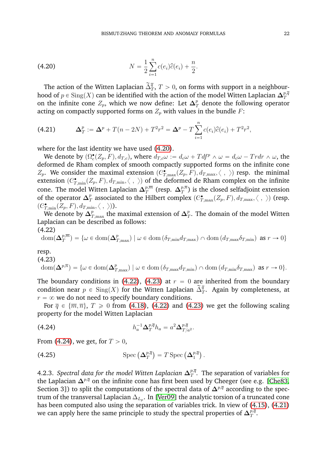<span id="page-23-1"></span>(4.20) 
$$
N = \frac{1}{2} \sum_{i=1}^{n} c(e_i) \hat{c}(e_i) + \frac{n}{2}.
$$

The action of the Witten Laplacian  $\widetilde{\Delta}_T^{\overline{q}},$   $T>0,$  on forms with support in a neighbourhood of  $p\in\mathrm{Sing}(X)$  can be identified with the action of the model Witten Laplacian  $\mathbf{\Delta}^{p,\bar{q}}_T$ T on the infinite cone  $Z_p$ , which we now define: Let  $\boldsymbol{\Delta}_T^p$  denote the following operator acting on compactly supported forms on  $Z_p$  with values in the bundle  $F$ :

<span id="page-23-0"></span>(4.21) 
$$
\Delta_T^p := \Delta^p + T(n-2N) + T^2r^2 = \Delta^p - T\sum_{i=1}^n c(e_i)\hat{c}(e_i) + T^2r^2,
$$

where for the last identity we have used [\(4.20\)](#page-23-1).

We denote by  $(\Omega_c^{\bullet}(Z_p, F), d_{T,c})$ , where  $d_{T,c}\omega := d_c\omega + Tdf^p \wedge \omega = d_c\omega - T r dr \wedge \omega$ , the deformed de Rham complex of smooth compactly supported forms on the infinite cone  $Z_p$ . We consider the maximal extension  $(C_{T,\max}^{\bullet}(Z_p,F), d_{T,\max}, \langle , \rangle)$  resp. the minimal extension  $(C_{T,\min}^\bullet(Z_p,F), d_{T,\min}, \langle\;,\;\rangle)$  of the deformed de Rham complex on the infinite cone. The model Witten Laplacian  $\Delta_T^{p,\overline{m}}$  $\frac{p, \overline{m}}{T}$  (resp.  $\mathbf{\Delta}^{p, \overline{n}}_T$  $_{T}^{p,n})$  is the closed selfadjoint extension of the operator  $\Delta_7^p$  $_{T}^{p}$  associated to the Hilbert complex  $(C_{T,\max}^{\bullet}(Z_{p},F),d_{T,\max},\langle\;,\;\rangle)$  (resp.  $(C_{T,\min}^\bullet(Z_p,F),d_{T,\min},\langle\;,\;\rangle)).$ 

We denote by  $\Delta^p_{T,\mathrm{max}}$  the maximal extension of  $\Delta^p_T$  $_{T}^{p}.$  The domain of the model Witten Laplacian can be described as follows:  $(4.22)$ 

<span id="page-23-2"></span>
$$
\text{dom}(\Delta_T^{p,\overline{m}}) = \{ \omega \in \text{dom}(\Delta_{T,\text{max}}^p) \mid \omega \in \text{dom}(\delta_{T,\text{min}} d_{T,\text{max}}) \cap \text{dom}(d_{T,\text{max}} \delta_{T,\text{min}}) \text{ as } r \to 0 \}
$$

resp.

<span id="page-23-3"></span>
$$
\text{(4.23)}\quad \text{dom}(\Delta^{p,\overline{n}}) = \{ \omega \in \text{dom}(\Delta^p_{T,\max}) \mid \omega \in \text{dom}(\delta_{T,\max} d_{T,\min}) \cap \text{dom}(d_{T,\min} \delta_{T,\max}) \text{ as } r \to 0 \}.
$$

The boundary conditions in [\(4.22\)](#page-23-2), [\(4.23\)](#page-23-3) at  $r = 0$  are inherited from the boundary condition near  $p \in Sing(X)$  for the Witten Laplacian  $\tilde{\Delta}_T^{\bar{q}}$ . Again by completeness, at  $r = \infty$  we do not need to specify boundary conditions.

For  $\overline{q} \in {\overline{m}, \overline{n}}$ ,  $T \ge 0$  from [\(4.18\)](#page-22-3), [\(4.22\)](#page-23-2) and [\(4.23\)](#page-23-3) we get the following scaling property for the model Witten Laplacian

<span id="page-23-4"></span>(4.24) 
$$
h_a^{-1} \Delta_T^{p,\bar{q}} h_a = a^2 \Delta_{T/a^2}^{p,\bar{q}}.
$$

From [\(4.24\)](#page-23-4), we get, for  $T > 0$ ,

<span id="page-23-6"></span>(4.25) 
$$
\operatorname{Spec} \left( \Delta_T^{p,\overline{q}} \right) = T \operatorname{Spec} \left( \Delta_1^{p,\overline{q}} \right).
$$

<span id="page-23-5"></span>4.2.3. *Spectral data for the model Witten Laplacian*  $\Delta_T^{p,\bar q}$  $_{T}^{p,q}.$  The separation of variables for the Laplacian  $\Delta^{p,\bar{q}}$  on the infinite cone has first been used by Cheeger (see e.g. [\[Che83,](#page-62-12) Section 3]) to split the computations of the spectral data of  $\Delta^{p,\bar{q}}$  according to the spectrum of the transversal Laplacian  $\Delta_{L_p}.$  In [\[Ver09\]](#page-63-5) the analytic torsion of a truncated cone has been computed also using the separation of variables trick. In view of [\(4.15\)](#page-22-4), [\(4.21\)](#page-23-0) we can apply here the same principle to study the spectral properties of  $\Delta_T^{p,\bar q}$  $\frac{p,q}{T}$  .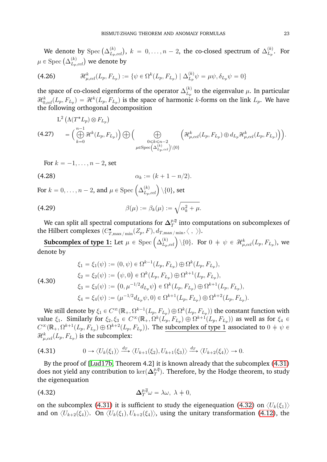We denote by  $\mathrm{Spec}\left(\Delta_{L_n}^{(k)}\right)$  $L_{L_p, ccl}^{(k)}$ ,  $k = 0, \ldots, n-2$ , the co-closed spectrum of  $\Delta_{L_p}^{(k)}$  $L_p^{(\kappa)}$ . For we denote Le by spec  $(\triangle_{L_p, ccl}^k)$ ,<br>  $(L_p, ccl)$  we denote by

(4.26) 
$$
\mathcal{H}_{\mu,cd}^{k}(L_{p}, F_{L_{p}}) := \{ \psi \in \Omega^{k}(L_{p}, F_{L_{p}}) \mid \Delta_{L_{p}}^{(k)} \psi = \mu \psi, \delta_{L_{p}} \psi = 0 \}
$$

the space of co-closed eigenforms of the operator  $\Delta_{L_n}^{(k)}$  $L_{\nu}^{(\kappa)}$  to the eigenvalue  $\mu$ . In particular  $\mathcal{H}_{0,col}^k(L_p,F_{L_p})=\mathcal{H}^k(L_p,F_{L_p})$  is the space of harmonic  $k$ -forms on the link  $L_p.$  We have the following orthogonal decomposition

$$
L^2 (\Lambda(T^* L_p) \otimes F_{L_p})
$$
\n
$$
(4.27) \qquad = \left( \bigoplus_{k=0}^{n-1} \mathcal{H}^k (L_p, F_{L_p}) \right) \bigoplus \left( \bigoplus_{\substack{0 \le k \le n-2 \\ \mu \in \text{Spec} \left( \Delta_{L_p, ccl}^{(k)} \right) \setminus \{0\}}} \left( \mathcal{H}_{\mu, ccl}^k (L_p, F_{L_p}) \oplus d_{L_p} \mathcal{H}_{\mu, ccl}^k (L_p, F_{L_p}) \right) \right).
$$

For  $k = -1, \ldots, n - 2$ , set

(4.28) 
$$
\alpha_k := (k+1-n/2).
$$

For  $k = 0, \ldots, n - 2$ , and  $\mu \in \text{Spec} \left( \Delta_{L_n}^{(k)} \right)$  $\overset{(k)}{\stackrel{(L_{p,ccl})}{\sum_{p,ccl}}}\backslash\{0\}$ , set

$$
\beta(\mu) := \beta_k(\mu) := \sqrt{\alpha_k^2 + \mu}.
$$

We can split all spectral computations for  $\Delta_T^{p,\bar q}$  $T^{p,q}_{T}$  into computations on subcomplexes of the Hilbert complexes  $(C_{T,\max/\min}^{\bullet}(Z_p,F),d_{T,\max/\min},\langle\;,\;\rangle).$ 

**Subcomplex of type 1:** Let  $\mu \in \mathrm{Spec}\left(\Delta_{L_n}^{(k)}\right)$  $\begin{array}{l} \displaystyle \lim_{L_p,col} \big\backslash \left\{0\right\}. \ \ \text{For} \ 0 \ + \ \psi \ \in \ \mathcal{H}^k_{\mu,col}(L_p, F_{L_p}), \text{ we} \end{array}$ denote by

(4.30)

$$
\xi_1 = \xi_1(\psi) := (0, \psi) \in \Omega^{k-1}(L_p, F_{L_p}) \oplus \Omega^k(L_p, F_{L_p}),
$$
  
\n
$$
\xi_2 = \xi_2(\psi) := (\psi, 0) \in \Omega^k(L_p, F_{L_p}) \oplus \Omega^{k+1}(L_p, F_{L_p}),
$$
  
\n
$$
\xi_3 = \xi_3(\psi) := (0, \mu^{-1/2} d_{L_p} \psi) \in \Omega^k(L_p, F_{L_p}) \oplus \Omega^{k+1}(L_p, F_{L_p}),
$$
  
\n
$$
\xi_4 = \xi_4(\psi) := (\mu^{-1/2} d_{L_p} \psi, 0) \in \Omega^{k+1}(L_p, F_{L_p}) \oplus \Omega^{k+2}(L_p, F_{L_p}).
$$

We still denote by  $\xi_1\in C^\infty(\Bbb R_+,\Omega^{k-1}(L_p,F_{L_p})\oplus \Omega^k(L_p,F_{L_p}))$  the constant function with value  $\xi_1$ . Similarly for  $\xi_2, \xi_3 \in C^\infty(\mathbb{R}_+, \Omega^k(L_p, F_{L_p}) \oplus \Omega^{k+1}(L_p, F_{L_p}))$  as well as for  $\xi_4 \in$  $C^{\infty}(\mathbb{R}_+, \Omega^{k+1}(L_p, F_{L_p}) \oplus \Omega^{k+2}(L_p, F_{L_p}))$ . The subcomplex of type 1 associated to  $0 \, \neq \, \psi \in$  $\mathcal{H}^k_{\mu, ccl}(L_p, F_{L_p})$  is the subcomplex:

<span id="page-24-0"></span>
$$
(4.31) \t\t 0 \to \langle U_k(\xi_1) \rangle \xrightarrow{d_T} \langle U_{k+1}(\xi_2), U_{k+1}(\xi_3) \rangle \xrightarrow{d_T} \langle U_{k+2}(\xi_4) \rangle \to 0.
$$

By the proof of [\[Lud17b,](#page-63-13) Theorem 4.2] it is known already that the subcomplex [\(4.31\)](#page-24-0) does not yield any contribution to  $\ker(\mathbf{\Delta}^{p,\bar{q}}_T)$  $\mathbb{T}^{p,q}_T$ ). Therefore, by the Hodge theorem, to study the eigenequation

<span id="page-24-1"></span>(4.32) 
$$
\Delta_T^{p,\bar{q}}\omega = \lambda\omega, \ \lambda \neq 0,
$$

on the subcomplex [\(4.31\)](#page-24-0) it is sufficient to study the eigenequation [\(4.32\)](#page-24-1) on  $\langle U_k(\xi_1)\rangle$ and on  $\langle U_{k+2}(\xi_4)\rangle$ . On  $\langle U_k(\xi_1), U_{k+2}(\xi_4)\rangle$ , using the unitary transformation [\(4.12\)](#page-22-5), the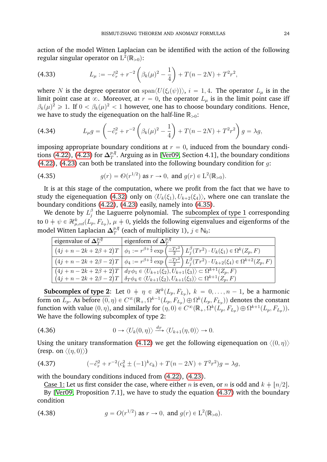action of the model Witten Laplacian can be identified with the action of the following regular singular operator on  $\mathrm{L}^2(\mathbb{R}_{>0})$ :  $\ddot{\phantom{0}}$ ˙

(4.33) 
$$
L_{\mu} := -\partial_r^2 + r^{-2} \left( \beta_k(\mu)^2 - \frac{1}{4} \right) + T(n - 2N) + T^2 r^2,
$$

where N is the degree operator on span $\langle U(\xi_i(\psi))\rangle$ ,  $i = 1, 4$ . The operator  $L_\mu$  is in the limit point case at  $\infty$ . Moreover, at  $r = 0$ , the operator  $L_u$  is in the limit point case iff  $\beta_k(\mu)^2 \geq 1$ . If  $0 < \beta_k(\mu)^2 < 1$  however, one has to choose boundary conditions. Hence, we have to study the eigenequation on the half-line  $\mathbb{R}_{>0}\text{:}$  $\overline{O}$  is a set of  $\overline{O}$ ˙

(4.34) 
$$
L_{\mu}g = \left(-\partial_r^2 + r^{-2}\left(\beta_k(\mu)^2 - \frac{1}{4}\right) + T(n-2N) + T^2r^2\right)g = \lambda g,
$$

imposing appropriate boundary conditions at  $r = 0$ , induced from the boundary condi-tions [\(4.22\)](#page-23-2), [\(4.23\)](#page-23-3) for  $\Delta_T^{p,\bar{q}}$  $_{T}^{p,q}.$  Arguing as in [\[Ver09,](#page-63-5) Section 4.1], the boundary conditions [\(4.22\)](#page-23-2), [\(4.23\)](#page-23-3) can both be translated into the following boundary condition for  $g$ :

<span id="page-25-0"></span>(4.35) 
$$
g(r) = \mathcal{O}(r^{1/2}) \text{ as } r \to 0, \text{ and } g(r) \in L^{2}(\mathbb{R}_{>0}).
$$

It is at this stage of the computation, where we profit from the fact that we have to study the eigenequation [\(4.32\)](#page-24-1) only on  $\langle U_k(\xi_1), U_{k+2}(\xi_4) \rangle$ , where one can translate the boundary conditions [\(4.22\)](#page-23-2), [\(4.23\)](#page-23-3) easily, namely into [\(4.35\)](#page-25-0).

We denote by  $L_i^{\beta}$  $\frac{\beta}{j}$  the Laguerre polynomial. The subcomplex of type  $1$  corresponding to  $0\neq\psi\in\mathcal{H}^k_{\mu,cd}(L_p,F_{L_p}),\,\mu\neq0,$  yields the following eigenvalues and eigenforms of the model Witten Laplacian  $\Delta_T^{p,\bar{q}}$  $T^{p,q}_T$  (each of multiplicity 1),  $j \in \mathbb{N}_0$ :

| ' eigenvalue of $\mathbf{\Delta}^{p,\overline{q}}_T$ | eigenform of $\Delta_{\tau}^{p,q}$                                                                                                                 |
|------------------------------------------------------|----------------------------------------------------------------------------------------------------------------------------------------------------|
|                                                      | $(4j+n-2k+2\beta+2)T\Big \phi_1:=r^{\beta+\frac{1}{2}}\exp\left(\frac{-Tr^2}{2}\right)L_j^{\beta}(Tr^2)\cdot U_k(\xi_1)\in\Omega^k(Z_p,F)$         |
|                                                      | $(4j+n-2k+2\beta-2)T\Big \phi_4:=r^{\beta+\frac{1}{2}}\exp\left(\frac{-Tr^2}{2}\right)L_j^{\beta}(Tr^2)\cdot U_{k+2}(\xi_4)\in\Omega^{k+2}(Z_p,F)$ |
|                                                      | $(4j + n - 2k + 2\beta + 2)T \mid d_T \phi_1 \in \langle U_{k+1}(\xi_2), U_{k+1}(\xi_3) \rangle \subset \Omega^{k+1}(Z_p, F)$                      |
|                                                      | $(4j+n-2k+2\beta-2)T \mid \delta_T \phi_4 \in \langle U_{k+1}(\xi_2), U_{k+1}(\xi_3) \rangle \subset \Omega^{k+1}(Z_p, F)$                         |

**Subcomplex of type 2:** Let  $0 + \eta \in \mathcal{H}^k(L_p, F_{L_p}), k = 0, \ldots, n-1$ , be a harmonic form on  $L_p$ . As before  $(0, \eta) \in C^\infty(\mathbb{R}_+, \Omega^{k-1}(L_p, F_{L_p}) \oplus \Omega^k(L_p, F_{L_p}))$  denotes the constant function with value  $(0, \eta)$ , and similarly for  $(\eta, 0) \in C^\infty(\mathbb{R}_+, \Omega^k(L_p, F_{L_p}) \oplus \Omega^{k+1}(L_p, F_{L_p})).$ We have the following subcomplex of type 2:

(4.36) 
$$
0 \to \langle U_k(0,\eta) \rangle \xrightarrow{d_T} \langle U_{k+1}(\eta,0) \rangle \to 0.
$$

Using the unitary transformation [\(4.12\)](#page-22-5) we get the following eigenequation on  $\langle 0, \eta \rangle$ (resp. on  $\langle (\eta, 0) \rangle$ )

<span id="page-25-1"></span>(4.37) 
$$
(-\partial_r^2 + r^{-2}(c_k^2 \pm (-1)^k c_k) + T(n-2N) + T^2r^2)g = \lambda g,
$$

with the boundary conditions induced from [\(4.22\)](#page-23-2), [\(4.23\)](#page-23-3).

Case 1: Let us first consider the case, where either *n* is even, or *n* is odd and  $k \neq \lfloor n/2 \rfloor$ . By [\[Ver09,](#page-63-5) Proposition 7.1], we have to study the equation [\(4.37\)](#page-25-1) with the boundary condition

<span id="page-25-2"></span>(4.38) 
$$
g = O(r^{1/2})
$$
 as  $r \to 0$ , and  $g(r) \in L^2(\mathbb{R}_{>0})$ .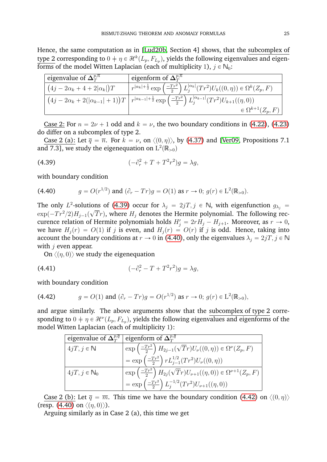Hence, the same computation as in [\[Lud20b,](#page-63-14) Section 4] shows, that the subcomplex of type 2 corresponding to  $0 \neq \eta \in \mathcal{H}^k(L_p, F_{L_p}),$  yields the following eigenvalues and eigenforms of the model Witten Laplacian (each of multiplicity 1),  $j \in N_0$ :

| eigenvalue of $\Delta_{\tau}^{p,\overline{n}}$ | ' eigenform of $\Delta_{\scriptscriptstyle T}^{p,\overline{n}}$                                                                                              |
|------------------------------------------------|--------------------------------------------------------------------------------------------------------------------------------------------------------------|
| $(4j-2\alpha_k+4+2 \alpha_k )T$                | $\sqrt{r^{ \alpha_k +\frac{1}{2}}}\exp\left(\frac{-Tr^2}{2}\right)L_j^{ \alpha_k }(Tr^2)U_k((0,\eta))\in\Omega^k(Z_p,F)$                                     |
|                                                | $(4j - 2\alpha_k + 2( \alpha_{k-1}  + 1))T   r^{ \alpha_{k-1}  + \frac{1}{2}} \exp\left(\frac{-Tr^2}{2}\right) L_j^{ \alpha_{k-1} }(Tr^2)U_{k+1}((\eta, 0))$ |
|                                                | $\in \Omega^{k+1}(Z_p,F)$                                                                                                                                    |

Case 2: For  $n = 2\nu + 1$  odd and  $k = \nu$ , the two boundary conditions in [\(4.22\)](#page-23-2), [\(4.23\)](#page-23-3) do differ on a subcomplex of type 2.

Case 2 (a): Let  $\bar{q} = \bar{n}$ . For  $k = \nu$ , on  $\langle (0, \eta) \rangle$ , by [\(4.37\)](#page-25-1) and [\[Ver09,](#page-63-5) Propositions 7.1 and 7.3], we study the eigenequation on  $\mathrm{L}^2(\mathbb{R}_{>0})$ 

<span id="page-26-0"></span>(4.39) 
$$
(-\partial_r^2 + T + T^2 r^2)g = \lambda g,
$$

with boundary condition

<span id="page-26-1"></span>(4.40) 
$$
g = O(r^{1/2}) \text{ and } (\partial_r - Tr)g = O(1) \text{ as } r \to 0; g(r) \in \mathcal{L}^2(\mathbb{R}_{>0}).
$$

The only  $L^2$ -solutions of [\(4.39\)](#page-26-0) occur for  $\lambda_j = 2jT, j \in \mathbb{N}$ , with eigenfunction  $g_{\lambda_j} =$  $\exp(-Tr^2/2)H_{j-1}(\sqrt{T}r),$  where  $H_j$  denotes the Hermite polynomial. The following reccurence relation of Hermite polynomials holds  $H'_{j} = 2rH_{j} - H_{j+1}$ . Moreover, as  $r \to 0$ , we have  $H_i(r) = O(1)$  if j is even, and  $H_i(r) = O(r)$  if j is odd. Hence, taking into account the boundary conditions at  $r \to 0$  in [\(4.40\)](#page-26-1), only the eigenvalues  $\lambda_i = 2jT, j \in \mathbb{N}$ with  $j$  even appear.

On  $\langle (\eta, 0) \rangle$  we study the eigenequation

(4.41) 
$$
(-\partial_r^2 - T + T^2 r^2)g = \lambda g,
$$

with boundary condition

<span id="page-26-2"></span>(4.42) 
$$
g = O(1) \text{ and } (\partial_r - Tr)g = O(r^{1/2}) \text{ as } r \to 0; g(r) \in \mathcal{L}^2(\mathbb{R}_{>0}),
$$

and argue similarly. The above arguments show that the subcomplex of type 2 corresponding to  $0 \neq \eta \in \mathcal{H}^{\nu}(L_p, F_{L_p})$ , yields the following eigenvalues and eigenforms of the model Witten Laplacian (each of multiplicity 1):

| eigenvalue of $\Delta_T^{p,q}$ eigenform of $\Delta_T^{p,q}$ |                                                                                                |
|--------------------------------------------------------------|------------------------------------------------------------------------------------------------|
| $4jT, j \in \mathbb{N}$                                      | $\exp\left(\frac{-Tr^2}{2}\right)H_{2j-1}(\sqrt{Tr})U_{\nu}((0,\eta))\in \Omega^{\nu}(Z_p,F)$  |
|                                                              | $=\exp\left(\frac{-Tr^2}{2}\right) rL_{j-1}^{1/2}(Tr^2)U_{\nu}((0,\eta))$                      |
| $4jT, j \in \mathbb{N}_0$                                    | $\exp\left(\frac{-Tr^2}{2}\right)H_{2j}(\sqrt{Tr})U_{\nu+1}((\eta,0))\in\Omega^{\nu+1}(Z_p,F)$ |
|                                                              | $=\exp\left(\frac{-Tr^2}{2}\right)L_i^{-1/2}(Tr^2)U_{\nu+1}((\eta,0))$                         |

Case 2 (b): Let  $\overline{q} = \overline{m}$ . This time we have the boundary condition [\(4.42\)](#page-26-2) on  $\langle 0, \eta \rangle$ (resp. [\(4.40\)](#page-26-1) on  $\langle (\eta, 0) \rangle$ ).

Arguing similarly as in Case 2 (a), this time we get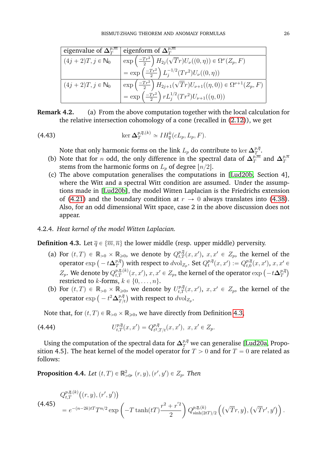| eigenvalue of $\Delta_{\tau}^{p,\overline{m}}$ | eigenform of $\Delta_{\tau}^{p,\overline{m}}$                                                    |
|------------------------------------------------|--------------------------------------------------------------------------------------------------|
| $(4j+2)T, j \in \mathbb{N}_0$                  | $\exp\left(\frac{-Tr^2}{2}\right)H_{2j}(\sqrt{T}r)U_{\nu}((0,\eta))\in\Omega^{\nu}(Z_p,F)$       |
|                                                | $= \exp\left(\frac{-Tr^2}{2}\right)L_j^{-1/2}(Tr^2)U_\nu((0,\eta))$                              |
| $(4j+2)T, j \in \mathbb{N}_0$                  | $\exp\left(\frac{-Tr^2}{2}\right)H_{2j+1}(\sqrt{T}r)U_{\nu+1}((\eta,0))\in\Omega^{\nu+1}(Z_p,F)$ |
|                                                | = $\exp\left(\frac{-Tr^2}{2}\right) r L_j^{1/2} (Tr^2) U_{\nu+1}((\eta,0))$                      |

| Remark 4.2. | (a) From the above computation together with the local calculation for         |
|-------------|--------------------------------------------------------------------------------|
|             | the relative intersection cohomology of a cone (recalled in $(2.12)$ ), we get |

(4.43) 
$$
\ker \Delta_T^{p,\bar{q},(k)} \simeq IH_{\bar{q}}^k(cL_p,L_p,F).
$$

<span id="page-27-1"></span>Note that only harmonic forms on the link  $L_p$  do contribute to  $\ker\Delta_T^{p,\bar q}$  $\overset{p,q}{T}$ .

- (b) Note that for *n* odd, the only difference in the spectral data of  $\Delta_T^{p,\overline{m}}$  $_{T}^{p,\overline{m}}$  and  $\Delta_{T}^{p,\overline{n}}$ T stems from the harmonic forms on  $L_p$  of degree  $\lfloor n/2 \rfloor$ .
- (c) The above computation generalises the computations in [\[Lud20b,](#page-63-14) Section 4], where the Witt and a spectral Witt condition are assumed. Under the assumptions made in [\[Lud20b\]](#page-63-14), the model Witten Laplacian is the Friedrichs extension of [\(4.21\)](#page-23-0) and the boundary condition at  $r \to 0$  always translates into [\(4.38\)](#page-25-2). Also, for an odd dimensional Witt space, case 2 in the above discussion does not appear.

#### 4.2.4. *Heat kernel of the model Witten Laplacian.*

<span id="page-27-0"></span>**Definition 4.3.** Let  $\overline{q} \in {\overline{m}, \overline{n}}$  the lower middle (resp. upper middle) perversity.

- (a) For  $(t, T) \in \mathbb{R}_{>0} \times \mathbb{R}_{\geq 0}$ , we denote by  $Q_{t, T}^{p, \overline{q}}(x, x')$ ,  $x, x' \in Z_p$ , the kernel of the For  $(t, I) \in \mathbb{R}_{>0} \times \mathbb{R}$ <br>operator  $\exp \left( - t \Delta_T^{p,\bar{q}} \right)$  $\left(T^{p,\overline{q}}_{T}\right)$  with respect to  $d\mathrm{vol}_{Z_p}$ . Set  $Q_t^{p,\overline{q}}$  $t^{p,\overline{q}}(x,x'):=Q_{t,0}^{p,\overline{q}}$  $_{t,0}^{p,q}(x, x'), x, x' \in$ operator  $\exp(-t\Delta_T)$  with respect to  $a\text{vol}_{Z_p}$ . Set  $Q_t^+(x,x) := Q_{t,0}(x,x)$ ,  $x, x$ <br>  $Z_p$ . We denote by  $Q_{t,T}^{p,\overline{q},(k)}(x,x'),$   $x, x' \in Z_p$ , the kernel of the operator  $\exp(-t\Delta_T^{p,\overline{q},(k)})$ T restricted to k-forms,  $k \in \{0, \ldots, n\}$ .
- (b) For  $(t, T) \in \mathbb{R}_{>0} \times \mathbb{R}_{\geq 0}$ , we denote by  $U_{t, T}^{p, \overline{q}}(x, x')$ ,  $x, x' \in Z_p$ , the kernel of the  $\begin{array}{l} \text{for } (t, I) \in \mathbb{R}_{>0} \times \mathbb{R}_{\geqslant 0}, \ \text{operator exp} \big( - t^2 \Delta_{T / t}^{p, \overline{q}} \big) \end{array}$  $_{T/t}^{p,q} )$  with respect to  $d\mathrm{vol}_{Z_p}$ .

Note that, for  $(t, T) \in \mathbb{R}_{>0} \times \mathbb{R}_{\geq 0}$ , we have directly from Definition [4.3,](#page-27-0)

(4.44) 
$$
U_{t,T}^{p,\overline{q}}(x,x') = Q_{t^2,T/t}^{p,\overline{q}}(x,x'), x,x' \in Z_p.
$$

Using the computation of the spectral data for  $\bm{\Delta}^{p,\overline{q}}_T$  we can generalise [\[Lud20a,](#page-63-12) Proposition 4.5]. The heat kernel of the model operator for  $T > 0$  and for  $T = 0$  are related as follows:

**Proposition 4.4.** Let  $(t, T) \in \mathbb{R}^2_{>0}$ ,  $(r, y)$ ,  $(r', y') \in Z_p$ . Then

<span id="page-27-2"></span>
$$
Q_{t,T}^{p,\overline{q},(k)}((r,y),(r',y'))
$$
\n
$$
= e^{-(n-2k)tT}T^{n/2}\exp\left(-T\tanh(tT)\frac{r^2+r^{'2}}{2}\right)Q_{\sinh(2tT)/2}^{p,\overline{q},(k)}\left((\sqrt{T}r,y),(\sqrt{T}r',y')\right).
$$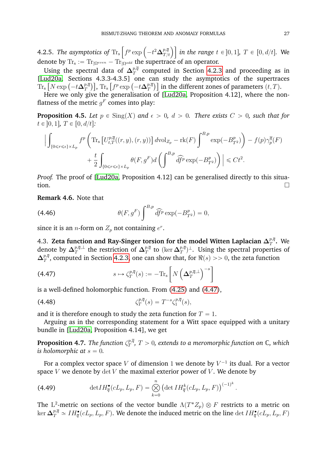**4.2.5.** The asymptotics of  $\text{Tr}_{\text{s}}\left[f^p \exp\left(-t^2 \boldsymbol{\Delta}_{T}^{p,\bar{q}}\right)\right]$ "  $\left\{ \left\lfloor \frac{p,q}{T/t} \right\rfloor \right\rfloor$  in the range  $t \in \ ]0,1]$ ,  $T \in \ [0,d/t]$ . We  $\frac{1}{2}$ denote by  $\text{Tr}_{\text{s}} := \text{Tr}_{|\Omega^{even}} - \text{Tr}_{|\Omega^{odd}}$  the supertrace of an operator.

Using the spectral data of  $\Delta_T^{p,\bar{q}}$  $\mathbb{P}^{q}_{T}$  computed in Section [4.2.3](#page-23-5) and proceeding as in [\[Lud20a,](#page-63-12) Sections 4.3.3-4.3.5] one can study the asymptotics of the supertraces [Lud20a, Section:<br>Tr<sub>s</sub>  $\left[N \exp \left(-t\Delta_T^{p,\bar{q}}\right)\right]$ p, $\bar{q}$  )], Tr<sub>s</sub> [ $f^p\exp\left(-t\boldsymbol{\Delta}^{p,\overline{q}}_T\right)$ ], Tr<sub>s</sub> [ $f^p\exp\left(-t\boldsymbol{\Delta}^{p,\overline{q}}_T\right)$  $\left[T\atop T\right]\bigr]$  in the different zones of parameters  $(t, T).$ 

Here we only give the generalisation of [\[Lud20a,](#page-63-12) Proposition 4.12], where the nonflatness of the metric  $g^F$  comes into play:

<span id="page-28-2"></span>**Proposition 4.5.** Let  $p \in Sing(X)$  and  $\epsilon > 0$ ,  $d > 0$ . There exists  $C > 0$ , such that for  $t \in [0, 1], T \in [0, d/t].$ 

$$
\left| \int_{\{0 \leq r \leq \epsilon\} \times L_p} f^p \left( \text{Tr}_s \left[ U_{t,T}^{p,\overline{q}}((r,y),(r,y)) \right] d\text{vol}_{Z_p} - \text{rk}(F) \int^{B,p} \exp(-B_{T^2}^p) \right) - f(p) \gamma_p^{\overline{q}}(F) + \frac{t}{2} \int_{\{0 \leq r \leq \epsilon\} \times L_p} \theta(F,g^F) d\left( \int^{B,p} \widehat{df}^p \exp(-B_{T^2}^p) \right) \right| \leq C t^2.
$$

*Proof.* The proof of [\[Lud20a,](#page-63-12) Proposition 4.12] can be generalised directly to this situa- $\Box$ 

**Remark 4.6.** Note that

<span id="page-28-1"></span>(4.46) 
$$
\theta(F, g^F) \int^{B, p} \widehat{df}^p \exp(-B^p_{T^2}) = 0,
$$

since it is an *n*-form on  $Z_p$  not containing  $e^r$ .

4.3. Zeta function and Ray-Singer torsion for the model Witten Laplacian  $\Delta_T^{p,\bar q}$  $_{T}^{p,q}$ . We denote by  $\Delta^{p,\overline{q},\perp}_T$  $\frac{p,\overline{q},\perp}{T}$  the restriction of  $\mathbf{\Delta}^{p,\overline{q}}_T$  $\frac{p, \overline{q}}{T}$  to  $(\ker\mathbf{\Delta}^{p, \overline{q}}_T)$  $\mathbb{F}_T^{p,q})^{\perp}$ . Using the spectral properties of  $\Delta_T^{p,\overline{q}}$  $T^{p,q}_{T}$ , computed in Section [4.2.3,](#page-23-5) one can show that, for  $\Re(s)>>0,$  the zeta function "

<span id="page-28-0"></span>(4.47) 
$$
s \mapsto \zeta_T^{p,\overline{q}}(s) := -\mathrm{Tr}_s \left[ N \left( \Delta_T^{p,\overline{q},\perp} \right)^{-s} \right]
$$

is a well-defined holomorphic function. From [\(4.25\)](#page-23-6) and [\(4.47\)](#page-28-0),

(4.48) 
$$
\zeta_T^{p,\bar{q}}(s) = T^{-s} \zeta_1^{p,\bar{q}}(s),
$$

and it is therefore enough to study the zeta function for  $T = 1$ .

Arguing as in the corresponding statement for a Witt space equipped with a unitary bundle in [\[Lud20a,](#page-63-12) Proposition 4.14], we get

**Proposition 4.7.** The function  $\zeta_T^{p,\overline{q}}$  $T^{p,q}_{T}$ ,  $T>0$ , extends to a meromorphic function on  $\mathbb{C},$  which *is holomorphic at*  $s = 0$ .

For a complex vector space  $V$  of dimension 1 we denote by  $V^{-1}$  its dual. For a vector space  $V$  we denote by  $\det V$  the maximal exterior power of  $V$ . We denote by

(4.49) 
$$
\det IH_{\overline{q}}^{\bullet}(cL_{p}, L_{p}, F) = \bigotimes_{k=0}^{n} \left(\det IH_{\overline{q}}^{k}(cL_{p}, L_{p}, F)\right)^{(-1)^{k}}.
$$

The  $L^2$ -metric on sections of the vector bundle  $\Lambda(T^*Z_p)\otimes F$  restricts to a metric on  $\ker\Delta_T^{p,\overline{q}}\simeq IH_{\overline{q}}^\bullet(cL_p,L_p,F).$  We denote the induced metric on the line  $\det IH_{\overline{q}}^\bullet(cL_p,L_p,F)$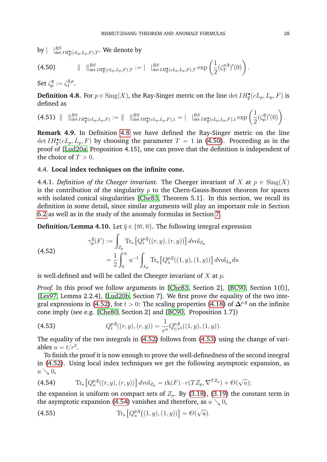$\text{by} \mid \ \ |^{RS}_{\det IH^{\bullet}_{\overline{q}}(cL_p, L_p, F), T}.$  We denote by

<span id="page-29-2"></span>(4.50) 
$$
\| \quad \|_{\det IH_q^{\bullet}(cL_p,L_p,F),T}^{RS} := \| \quad \|_{\det IH_q^{\bullet}(cL_p,L_p,F),T}^{RS} \cong \left( \frac{1}{2} (\zeta_T^{p,\overline{q}})'(0) \right).
$$
  
Set  $\zeta_p^{\overline{q}} := \zeta_1^{\overline{q},p}.$ 

<span id="page-29-1"></span>**Definition 4.8.** For  $p \in Sing(X)$ , the Ray-Singer metric on the line  $\det IH_{\overline{q}}^{\bullet}(cL_p, L_p, F)$  is defined as ˙

defined as<br>
(4.51)  $\| \iint_{\det IH_{\overline{q}}^{\bullet}(cL_p, L_p, F)}^{RS} := \| \iint_{\det IH_{\overline{q}}^{\bullet}(cL_p, L_p, F),1}^{RS} = \| \iint_{\det IH_{\overline{q}}^{\bullet}(cL_p, L_p, F),1}^{RS} \exp \left( \frac{1}{2} \right)$ 1  $\frac{1}{2}(\zeta_p^{\overline{q}})'(0)$ .

**Remark 4.9.** In Definition [4.8](#page-29-1) we have defined the Ray-Singer metric on the line det  $IH_{\overline{q}}^{\bullet}(cL_p, L_p, F)$  by choosing the parameter  $T = 1$  in [\(4.50\)](#page-29-2). Proceeding as in the proof of [\[Lud20a,](#page-63-12) Proposition 4.15], one can prove that the definition is independent of the choice of  $T > 0$ .

#### <span id="page-29-0"></span>4.4. **Local index techniques on the infinite cone.**

<span id="page-29-6"></span>4.4.1. *Definition of the Cheeger invariant*. The Cheeger invariant of X at  $p \in Sing(X)$ is the contribution of the singularity  $p$  to the Chern-Gauss-Bonnet theorem for spaces with isolated conical singularities [\[Che83,](#page-62-12) Theorem 5.1]. In this section, we recall its definition in some detail, since similar arguments will play an important role in Section [6.2](#page-40-0) as well as in the study of the anomaly formulas in Section [7.](#page-48-0)

**Definition/Lemma 4.10.** Let  $\overline{q} \in {\overline{m}, \overline{n}}$ . The following integral expression

<span id="page-29-3"></span>(4.52)  
\n
$$
\gamma_p^{\overline{q}}(F) := \int_{Z_p} \text{Tr}_s \left[ Q_t^{p,\overline{q}}((r,y),(r,y)) \right] d\text{vol}_{Z_p}
$$
\n
$$
= \frac{1}{2} \int_0^{\infty} u^{-1} \int_{L_p} \text{Tr}_s \left[ Q_u^{p,\overline{q}}((1,y),(1,y)) \right] d\text{vol}_{L_p} du
$$

is well-defined and will be called the Cheeger invariant of  $X$  at  $p$ .

*Proof.* In this proof we follow arguments in [\[Che83,](#page-62-12) Section 2], [\[BC90,](#page-62-4) Section 1(f)], [\[Les97,](#page-63-21) Lemma 2.2.4], [\[Lud20b,](#page-63-14) Section 7]. We first prove the equality of the two inte-gral expressions in [\(4.52\)](#page-29-3), for  $t > 0$ : The scaling properties [\(4.18\)](#page-22-3) of  $\Delta^{p,\overline{q}}$  on the infinite cone imply (see e.g. [\[Che80,](#page-62-8) Section 2] and [\[BC90,](#page-62-4) Proposition 1.7])

<span id="page-29-4"></span>(4.53) 
$$
Q_t^{p,\overline{q}}((r,y),(r,y)) = \frac{1}{r^n} Q_{t/r^2}^{p,\overline{q}}((1,y),(1,y)).
$$

The equality of the two integrals in [\(4.52\)](#page-29-3) follows from [\(4.53\)](#page-29-4) using the change of variables  $u = t/r^2$ .

To finish the proof it is now enough to prove the well-definedness of the second integral in [\(4.52\)](#page-29-3). Using local index techniques we get the following asymptotic expansion, as  $u \searrow 0$ , "<br>"

<span id="page-29-5"></span>(4.54) 
$$
\operatorname{Tr}_{\mathbf{s}}\left[Q_u^{p,\overline{q}}((r,y),(r,y))\right]d\mathrm{vol}_{Z_p} = \operatorname{rk}(F) \cdot e(TZ_p, \nabla^{TZ_p}) + \mathcal{O}(\sqrt{u});
$$

the expansion is uniform on compact sets of  $Z_p$ . By [\(3.18\)](#page-12-4), [\(3.19\)](#page-12-5) the constant term in

the asymptotic expansion (4.54) vanishes and therefore, as 
$$
u \searrow 0
$$
,  
(4.55) 
$$
\text{Tr}_{\mathbf{s}} [Q_u^{p,\overline{q}}((1,y),(1,y))] = \mathcal{O}(\sqrt{u}).
$$

˙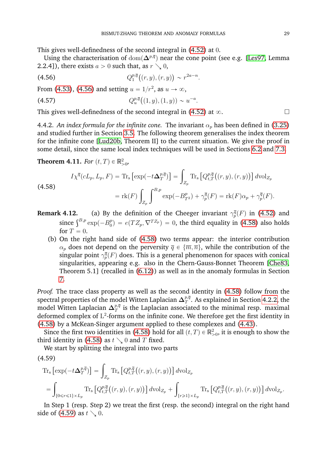This gives well-definedness of the second integral in [\(4.52\)](#page-29-3) at 0.

Using the characterisation of  $\text{dom}(\mathbf{\Delta}^{p,\overline{q}})$  near the cone point (see e.g. [\[Les97,](#page-63-21) Lemma 2.2.4]), there exists  $a > 0$  such that, as  $r \searrow 0$ ,

<span id="page-30-0"></span>
$$
(4.56) \tQ_1^{p,\bar{q}}((r,y),(r,y)) \sim r^{2a-n}.
$$

From [\(4.53\)](#page-29-4), [\(4.56\)](#page-30-0) and setting  $u = 1/r^2$ , as  $u \to \infty$ ,

<span id="page-30-4"></span>(4.57) 
$$
Q_u^{p,\overline{q}}((1,y),(1,y)) \sim u^{-a}.
$$

This gives well-definedness of the second integral in [\(4.52\)](#page-29-3) at  $\infty$ .

4.4.2. *An index formula for the infinite cone.* The invariant  $\alpha_p$  has been defined in [\(3.25\)](#page-13-6) and studied further in Section [3.5.](#page-12-0) The following theorem generalises the index theorem for the infinite cone [\[Lud20b,](#page-63-14) Theorem II] to the current situation. We give the proof in some detail, since the same local index techniques will be used in Sections [6.2](#page-40-0) and [7.3.](#page-57-0)

<span id="page-30-3"></span>**Theorem 4.11.** *For*  $(t, T) \in \mathbb{R}^2_{>0}$ *,* 

<span id="page-30-1"></span>(4.58)  
\n
$$
I\chi^{\overline{q}}(cL_p, L_p, F) = \text{Tr}_s \left[ \exp(-t\Delta_T^{p, \overline{q}}) \right] = \int_{Z_p} \text{Tr}_s \left[ Q_{t, T}^{p, \overline{q}}((r, y), (r, y)) \right] d\text{vol}_{Z_p}
$$
\n
$$
= \text{rk}(F) \int_{Z_p} \int^{B, p} \exp(-B_{T^2}^p) + \gamma_p^{\overline{q}}(F) = \text{rk}(F)\alpha_p + \gamma_p^{\overline{q}}(F).
$$

- **Remark 4.12.** (a) By the definition of the Cheeger invariant  $\gamma_p^{\bar{q}}(F)$  in [\(4.52\)](#page-29-3) and since  $\int_{B,p}^{B,p} \exp(-B_0^p)$  $\mathcal{L}_0^{(p)} = e(TZ_p, \nabla^{TZ_p}) = 0$ , the third equality in [\(4.58\)](#page-30-1) also holds for  $T = 0$ .
	- (b) On the right hand side of [\(4.58\)](#page-30-1) two terms appear: the interior contribution  $\alpha_p$  does not depend on the perversity  $\overline{q} \in {\overline{m}, \overline{n}}$ , while the contribution of the singular point  $\gamma_p^{\overline{q}}(F)$  does. This is a general phenomenon for spaces with conical singularities, appearing e.g. also in the Chern-Gauss-Bonnet Theorem [\[Che83,](#page-62-12) Theorem 5.1] (recalled in [\(6.12\)](#page-42-0)) as well as in the anomaly formulas in Section [7.](#page-48-0)

*Proof.* The trace class property as well as the second identity in [\(4.58\)](#page-30-1) follow from the spectral properties of the model Witten Laplacian  $\Delta_T^{p,\bar q}$  $_{T}^{p,q}.$  As explained in Section [4.2.2,](#page-22-0) the model Witten Laplacian  $\Delta_T^{p,\bar q}$  $\frac{p,q}{T}$  is the Laplacian associated to the minimal resp. maximal deformed complex of  $L^2$ -forms on the infinite cone. We therefore get the first identity in [\(4.58\)](#page-30-1) by a McKean-Singer argument applied to these complexes and [\(4.43\)](#page-27-1).

Since the first two identities in [\(4.58\)](#page-30-1) hold for all  $(t, T) \in \mathbb{R}^2_{>0}$ , it is enough to show the third identity in [\(4.58\)](#page-30-1) as  $t \searrow 0$  and T fixed.

We start by splitting the integral into two parts

<span id="page-30-2"></span>(4.59)  
\n
$$
\operatorname{Tr}_{\mathbf{s}}\left[\exp\left(-t\Delta_{T}^{p,\overline{q}}\right)\right] = \int_{Z_{p}} \operatorname{Tr}_{\mathbf{s}}\left[Q_{t,T}^{p,\overline{q}}\left((r,y),(r,y)\right)\right] d\mathrm{vol}_{Z_{p}}
$$
\n
$$
= \int_{\{0 \le r \le 1\} \times L_{p}} \operatorname{Tr}_{\mathbf{s}}\left[Q_{t,T}^{p,\overline{q}}\left((r,y),(r,y)\right)\right] d\mathrm{vol}_{Z_{p}} + \int_{\{r \ge 1\} \times L_{p}} \operatorname{Tr}_{\mathbf{s}}\left[Q_{t,T}^{p,\overline{q}}\left((r,y),(r,y)\right)\right] d\mathrm{vol}_{Z_{p}}.
$$

In Step 1 (resp. Step 2) we treat the first (resp. the second) integral on the right hand side of [\(4.59\)](#page-30-2) as  $t \searrow 0$ .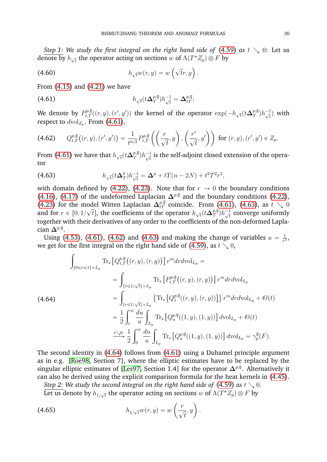*Step 1: We study the first integral on the right hand side of*  $(4.59)$  *as*  $t \searrow 0$ : Let us denote by  $h_{\sqrt{t}}$  the operator acting on sections  $w$  of  $\Lambda (T^* Z_p) \otimes F$  by

(4.60) 
$$
h_{\sqrt{t}}w(r,y) = w\left(\sqrt{t}r,y\right).
$$

From [\(4.15\)](#page-22-4) and [\(4.21\)](#page-23-0) we have

<span id="page-31-0"></span>(4.61) 
$$
h_{\sqrt{t}}(t\Delta_T^{p,\overline{q}})h_{\sqrt{t}}^{-1} = \Delta_{tT}^{p,\overline{q}};
$$

We denote by  $P_{t,T}^{p,\overline{q}}((r,y),(r',y'))$  the kernel of the operator  $\exp(-h_{\sqrt{t}}(t\Delta_T^{p,\overline{q}})$  $_{T}^{p,\overline{q}})h_{\sqrt{t}}^{-1}$  $\frac{1}{t}$ ) with respect to  $dvol_{Z_p}$ . From [\(4.61\)](#page-31-0), ˆ ˙˙

<span id="page-31-2"></span>(4.62) 
$$
Q_{t,T}^{p,\overline{q}}((r,y),(r',y')) = \frac{1}{t^{n/2}} P_{t,T}^{p,\overline{q}}\left(\left(\frac{r}{\sqrt{t}},y\right),\left(\frac{r'}{\sqrt{t}},y'\right)\right) \text{ for } (r,y),(r',y') \in Z_p.
$$

From [\(4.61\)](#page-31-0) we have that  $h_{\sqrt{t}}(t\bm{\Delta}^{p,\bar{q}}_T)$  $_{T}^{p,\overline{q}})h_{\sqrt{t}}^{-1}$  $\frac{1}{t}$  is the self-adjoint closed extension of the operator

<span id="page-31-1"></span>(4.63) 
$$
h_{\sqrt{t}}(t\Delta_T^p)h_{\sqrt{t}}^{-1} = \Delta^p + tT(n-2N) + t^2T^2r^2,
$$

with domain defined by [\(4.22\)](#page-23-2), [\(4.23\)](#page-23-3). Note that for  $r \to 0$  the boundary conditions [\(4.16\)](#page-22-1), [\(4.17\)](#page-22-2) of the undeformed Laplacian  $\Delta^{p,\bar{q}}$  and the boundary conditions [\(4.22\)](#page-23-2), [\(4.23\)](#page-23-3) for the model Witten Laplacian  $\Delta_{tT}^{p,\bar{q}}$  coincide. From [\(4.61\)](#page-31-0), [\(4.63\)](#page-31-1), as  $t \searrow 0$ and for  $r \in [0, 1/\sqrt{t}]$ , the coefficients of the operator  $h_{\sqrt{t}}(t\Delta_T^{p,\bar{q}})$  $_{T}^{p,\overline{q}}$ ) $h_{\sqrt{t}}^{-1}$  $\frac{1}{t}$  converge uniformly together with their derivatives of any order to the coefficients of the non-deformed Laplacian  $\Delta^{p,\overline{q}}$ .

Using [\(4.53\)](#page-29-4), [\(4.61\)](#page-31-0), [\(4.62\)](#page-31-2) and [\(4.63\)](#page-31-1) and making the change of variables  $u = \frac{1}{r^2}$  $\frac{1}{r^2}$ we get for the first integral on the right hand side of [\(4.59\)](#page-30-2), as  $t \searrow 0$ ,

<span id="page-31-3"></span>
$$
\int_{\{0 \leq r \leq 1\} \times L_p} \text{Tr}_{\mathbf{s}} \left[ Q_{t,T}^{p,\overline{q}}((r,y),(r,y)) \right] r^m dr d\text{vol}_{L_p} =
$$
\n
$$
= \int_{\{r \leq 1/\sqrt{t}\} \times L_p} \text{Tr}_{\mathbf{s}} \left[ P_{t,T}^{p,\overline{q}}((r,y),(r,y)) \right] r^m dr d\text{vol}_{L_p}
$$
\n
$$
= \int_{\{r \leq 1/\sqrt{t}\} \times L_p} \left\{ \text{Tr}_{\mathbf{s}} \left[ Q_1^{p,\overline{q}}((r,y),(r,y)) \right] \right\} r^m dr d\text{vol}_{L_p} + \mathcal{O}(t)
$$
\n
$$
= \frac{1}{2} \int_t^\infty \frac{du}{u} \int_{L_p} \text{Tr}_{\mathbf{s}} \left[ Q_u^{p,\overline{q}}((1,y),(1,y)) \right] d\text{vol}_{L_p} + \mathcal{O}(t)
$$
\n
$$
\xrightarrow{t \searrow 0} \frac{1}{2} \int_0^\infty \frac{du}{u} \int_{L_p} \text{Tr}_{\mathbf{s}} \left[ Q_u^{p,\overline{q}}((1,y),(1,y)) \right] d\text{vol}_{L_p} = \gamma_p^{\overline{q}}(F).
$$

The second identity in [\(4.64\)](#page-31-3) follows from [\(4.61\)](#page-31-0) using a Duhamel principle argument as in e.g. [\[Roe98,](#page-63-22) Section 7], where the elliptic estimates have to be replaced by the singular elliptic estimates of [\[Les97,](#page-63-21) Section 1.4] for the operator  $\Delta^{p,\bar{q}}$ . Alternatively it can also be derived using the explicit comparison formula for the heat kernels in [\(4.45\)](#page-27-2).

*Step 2: We study the second integral on the right hand side of* [\(4.59\)](#page-30-2) *as*  $t \searrow 0$ .

Let us denote by  $h_{1/\sqrt{t}}$  the operator acting on sections  $w$  of  $\Lambda (T^* Z_p) \otimes F$  by ˆ

(4.65) 
$$
h_{1/\sqrt{t}}w(r,y) = w\left(\frac{r}{\sqrt{t}},y\right).
$$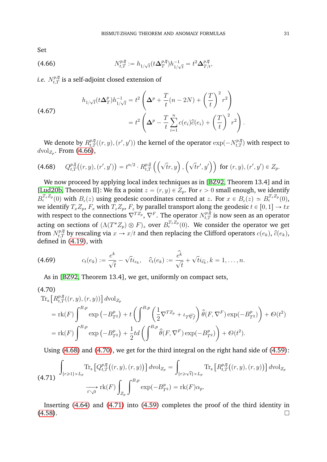Set

<span id="page-32-0"></span>(4.66) 
$$
N_{t,T}^{p,\overline{q}} := h_{1/\sqrt{t}}(t\Delta_T^{p,\overline{q}})h_{1/\sqrt{t}}^{-1} = t^2 \Delta_{T/t}^{p,\overline{q}}
$$

*i.e.*  $N_{t,T}^{p,\overline{q}}$  *is a self-adjoint closed extension of* 

(4.67)  

$$
h_{1/\sqrt{t}}(t\Delta_T^p)h_{1/\sqrt{t}}^{-1} = t^2 \left(\Delta^p + \frac{T}{t}(n-2N) + \left(\frac{T}{t}\right)^2 r^2\right)
$$

$$
= t^2 \left(\Delta^p - \frac{T}{t}\sum_{i=1}^n c(e_i)\hat{c}(e_i) + \left(\frac{T}{t}\right)^2 r^2\right).
$$

We denote by  $R_{t,T}^{p,\overline{q}}((r,y),(r',y'))$  the kernel of the operator  $\exp(-N_{t,T}^{p,\overline{q}})$  with respect to  $d$ vol<sub>Z<sub>p</sub></sub>. From [\(4.66\)](#page-32-0),

<span id="page-32-1"></span>
$$
(4.68) \qquad Q_{t,T}^{p,\overline{q}}\big((r,y),(r',y')\big)=t^{n/2}\cdot R_{t,T}^{p,\overline{q}}\left(\left(\sqrt{t}r,y\right),\left(\sqrt{t}r',y'\right)\right) \text{ for } (r,y),(r',y')\in Z_p.
$$

We now proceed by applying local index techniques as in [\[BZ92,](#page-62-1) Theorem 13.4] and in [\[Lud20b,](#page-63-14) Theorem II]: We fix a point  $z = (r, y) \in Z_p$ . For  $\epsilon > 0$  small enough, we identify  $B_{\epsilon}^{T_z Z_p}(0)$  with  $B_{\epsilon}(z)$  using geodesic coordinates centred at  $z$ . For  $x \in B_{\epsilon}(z) \simeq B_{\epsilon}^{T_z Z_p}(0)$ , we identify  $T_xZ_p,$   $F_x$  with  $T_zZ_p,$   $F_z$  by parallel transport along the geodesic  $t \in [0, 1] \rightarrow tx$ with respect to the connections  $\nabla^{TZ_p},$   $\nabla^F.$  The operator  $N^{p,\overline{q}}_{t,T}$  is now seen as an operator acting on sections of  $(\Lambda(T^*Z_p)\otimes F)_z$  over  $B^{T_zZ_p}_\epsilon(0).$  We consider the operator we get from  $N_{t,T}^{p,\overline{q}}$  by rescaling via  $x\to x/t$  and then replacing the Clifford operators  $c(e_k),\,\widehat{c}(e_k),$ defined in [\(4.19\)](#page-22-6), with

(4.69) 
$$
c_t(e_k) := \frac{e^k}{\sqrt{t}} - \sqrt{t}i_{e_k}, \quad \widehat{c}_t(e_k) := \frac{\widehat{e}^k}{\sqrt{t}} + \sqrt{t}i_{\widehat{e}_k}, k = 1, \ldots, n.
$$

<span id="page-32-4"></span>As in [\[BZ92,](#page-62-1) Theorem 13.4], we get, uniformly on compact sets,

 $(4.70)$ 

<span id="page-32-2"></span>
$$
\begin{split} \text{Tr}_{\text{s}} \left[ R_{t,T}^{p,\bar{q}}((r,y),(r,y)) \right] d\text{vol}_{Z_p} \\ &= \text{rk}(F) \int^{B,p} \exp\left( -B_{T^2}^p \right) + t \left( \int^{B,p} \left( \frac{1}{2} \nabla^{T Z_p} + \iota_{T \widehat{\nabla} f} \right) \hat{\theta}(F, \nabla^{F}) \exp(-B_{T^2}^p) \right) + \mathcal{O}(t^2) \\ &= \text{rk}(F) \int^{B,p} \exp\left( -B_{T^2}^p \right) + \frac{1}{2} t d \left( \int^{B,p} \hat{\theta}(F, \nabla^{F}) \exp(-B_{T^2}^p) \right) + \mathcal{O}(t^2). \end{split}
$$

Using [\(4.68\)](#page-32-1) and [\(4.70\)](#page-32-2), we get for the third integral on the right hand side of [\(4.59\)](#page-30-2):

<span id="page-32-3"></span>
$$
\int_{\{r\geqslant 1\}\times L_p} \text{Tr}_s\left[Q_{t,T}^{p,\overline{q}}\big((r,y),(r,y)\big)\right] d\text{vol}_{Z_p} = \int_{\{r\geqslant \sqrt{t}\}\times L_p} \text{Tr}_s\left[R_{t,T}^{p,\overline{q}}\big((r,y),(r,y)\big)\right] d\text{vol}_{Z_p}
$$
\n
$$
\xrightarrow[t\searrow 0]{} \text{rk}(F) \int_{Z_p} \int_{z_p}^{B,p} \exp(-B_{T^2}^p) = \text{rk}(F)\alpha_p.
$$

Inserting [\(4.64\)](#page-31-3) and [\(4.71\)](#page-32-3) into [\(4.59\)](#page-30-2) completes the proof of the third identity in  $(4.58)$ .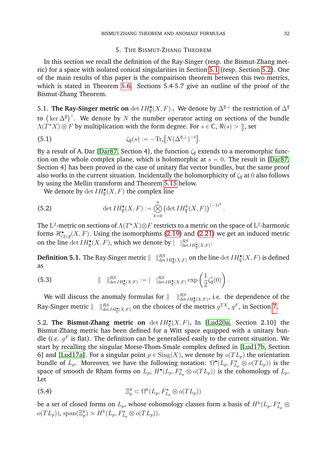#### <span id="page-33-3"></span>5. THE BISMUT-ZHANG THEOREM

<span id="page-33-1"></span>In this section we recall the definition of the Ray-Singer (resp. the Bismut-Zhang metric) for a space with isolated conical singularities in Section [5.1](#page-33-2) (resp. Section [5.2\)](#page-33-0). One of the main results of this paper is the compairison theorem between this two metrics, which is stated in Theorem [5.6.](#page-36-0) Sections 5.4-5.7 give an outline of the proof of the Bismut-Zhang Theorem.

<span id="page-33-2"></span>5.1. **The Ray-Singer metric on**  $\det IH_{\overline{q}}^{\bullet}(X, F)$ .. We denote by  $\Delta^{\overline{q}, \perp}$  the restriction of  $\Delta^{\overline{q}}$ 3.1. The Kay-Singer metric on det  $In_{\overline{q}}(X, F)$ . We denote by  $\Delta^N$  the restriction of  $\Delta^T$  to  $(\ker \Delta^{\overline{q}})^{\perp}$ . We denote by N the number operator acting on sections of the bundle  $\Lambda(T^*X)\otimes F$  by multiplication with the form degree. For  $s\in\mathbb{C}$ ,  $\Re(s)>\frac{n}{2}$ , set

(5.1) 
$$
\zeta_{\overline{q}}(s) := -\text{Tr}_{s}\big[N(\Delta^{\overline{q},\perp})^{-s}\big].
$$

By a result of A. Dar [\[Dar87,](#page-62-2) Section 4], the function  $\zeta_{\bar{q}}$  extends to a meromorphic function on the whole complex plane, which is holomorphic at  $s = 0$ . The result in [\[Dar87,](#page-62-2) Section 4] has been proved in the case of unitary flat vector bundles, but the same proof also works in the current situation. Incidentally the holomorphicity of  $\zeta_{\bar{q}}$  at 0 also follows by using the Mellin transform and Theorem [5.15](#page-38-0) below.

We denote by  $\det IH_{\overline{q}}^{\bullet}(X,F)$  the complex line

(5.2) 
$$
\det IH_{\overline{q}}^{\bullet}(X,F):=\bigotimes_{k=0}^{n}\left(\det IH_{\overline{q}}^{k}(X,F)\right)^{(-1)^{k}}
$$

The  $\mathrm{L}^2$ -metric on sections of  $\Lambda(T^*X) \otimes F$  restricts to a metric on the space of  $\mathrm{L}^2$ -harmonic forms  $\mathcal{H}^{\bullet}_{(2),\overline{q}}(X,F).$  Using the isomorphisms [\(2.19\)](#page-8-4) and [\(2.21\)](#page-8-5) we get an induced metric on the line  $\det IH_{\overline{q}}^{\bullet}(X,F)$ , which we denote by  $|\quad|_{\det IH_{\overline{q}}^{\bullet}(X,F)}^{RS}$ .

.

**Definition 5.1.** The Ray-Singer metric  $\|\quad\|^{RS}_{\det IH^{\bullet}_{\overline{q}}(X,F)}$  on the line  $\det IH^{\bullet}_{\overline{q}}(X,F)$  is defined as ˙

(5.3) 
$$
\| \t\|_{\det IH_q^{\bullet}(X,F)}^{RS} := \| \t\|_{\det IH_q^{\bullet}(X,F)}^{RS} \exp\left(\frac{1}{2}\zeta_q'(0)\right).
$$

We will discuss the anomaly formulas for  $\parallel$  $\frac{RS}{\det IH^{\bullet}_{\overline{q}}(X,F)},$  *i.e.* the dependence of the Ray-Singer metric  $\|\quad\|^{RS}_{\det IH^{\bullet}_{q}(X,F)}$  on the choices of the metrics  $g^{TX},\,g^{F}$ , in Section [7.](#page-48-0)

<span id="page-33-0"></span>**5.2. The Bismut-Zhang metric on**  $\det IH_{\overline{q}}(X,F)$ . In [\[Lud20a,](#page-63-12) Section 2.10] the Bismut-Zhang metric has been defined for a Witt space equipped with a unitary bundle (*i.e.*  $g^F$  is flat). The definition can be generalised easily to the current situation. We start by recalling the singular Morse-Thom-Smale complex defined in [\[Lud17b,](#page-63-13) Section 6] and [\[Lud17a\]](#page-63-23). For a singular point  $p \in Sing(X)$ , we denote by  $o(T L_p)$  the orientation bundle of  $L_p$ . Moreover, we have the following notation:  $\Omega^{\bullet}(L_p, F_{L_p}^*\otimes o(TL_p))$  is the space of smooth de Rham forms on  $L_p$ ,  $H^{\bullet}(L_p, F_{L_p}^* \otimes o(TL_p))$  is the cohomology of  $L_p$ . Let

(5.4) 
$$
\Xi_p^k \subset \Omega^k(L_p, F_{L_p}^* \otimes o(T_{L_p}))
$$

be a set of closed forms on  $L_p$ , whose cohomology classes form a basis of  $H^k(L_p, F^*_{L_p} \otimes$  $o(TL_p)$ , span $(\Xi_p^k) \simeq H^k(L_p, F_{L_p}^* \otimes o(TL_p)).$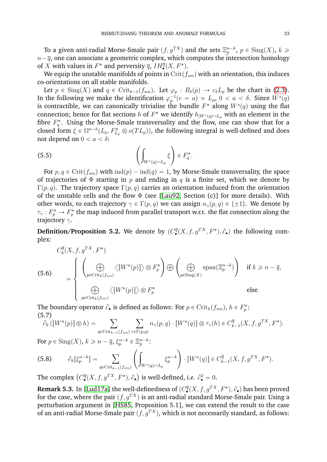To a given anti-radial Morse-Smale pair  $(f, g^{TX})$  and the sets  $\Xi_p^{n-k}, \, p\in\mathrm{Sing}(X), \, k\geqslant k$  $n-\overline{q},$  one can associate a geometric complex, which computes the intersection homology of X with values in  $F^*$  and perversity  $\overline{q}$ ,  $IH_{\bullet}^{\overline{q}}(X, F^*)$ .

We equip the unstable manifolds of points in  $\text{Crit}(f_{sm})$  with an orientation, this induces co-orientations on all stable manifolds.

Let  $p \in Sing(X)$  and  $q \in Crit_{k-1}(f_{sm})$ . Let  $\varphi_p : B_\delta(p) \to c_\delta L_p$  be the chart in [\(2.3\)](#page-5-0). In the following we make the identification  $\varphi_p^{-1}(r = a) \simeq L_p$ ,  $0 < a < \delta$ . Since  $W^s(q)$ is contractible, we can canonically trivialise the bundle  $F^\ast$  along  $W^s(q)$  using the flat connection; hence for flat sections  $h$  of  $F^*$  we identify  $h_{|W^s(q)\cap L_p}$  with an element in the fibre  $F_q^*$ . Using the Morse-Smale transversality and the flow, one can show that for a closed form  $\xi \in \Omega^{n-k}(L_p, F^*_{L_p} \otimes o(TL_p))$ , the following integral is well-defined and does not depend on  $0 < a < \delta$ : į,

(5.5) 
$$
\left(\int_{W^s(q)\cap L_p} \xi\right) \in F_q^*.
$$

For  $p, q \in \text{Crit}(f_{sm})$  with  $\text{ind}(p) - \text{ind}(q) = 1$ , by Morse-Smale transversality, the space of trajectories of  $\Phi$  starting in p and ending in q is a finite set, which we denote by Γ $(p, q)$ . The trajectory space Γ $(p, q)$  carries an orientation induced from the orientation of the unstable cells and the flow  $\Phi$  (see [\[Lau92,](#page-63-20) Section (c)] for more details). With other words, to each trajectory  $\gamma \in \Gamma(p,q)$  we can assign  $n_{\gamma}(p,q) \in \{\pm 1\}$ . We denote by  $\tau_\gamma:F_p^*\to F_q^*$  the map induced from parallel transport w.r.t. the flat connection along the trajectory  $\gamma$ .

<span id="page-34-1"></span>**Definition/Proposition 5.2.** We denote by  $(C^{\overline{q}}_{\bullet}(X, f, g^{TX}, F^*), \partial_{\bullet})$  the following complex:

(5.6)  

$$
C_k^{\overline{q}}(X, f, g^{TX}, F^*)
$$

$$
= \begin{cases} \left(\bigoplus_{p \in \text{Crit}_k(f_{sm})} \langle [W^u(p)] \rangle \otimes F_p^* \right) \bigoplus \left(\bigoplus_{p \in \text{Sing}(X)} \text{span}(\Xi_p^{n-k}) \right) & \text{if } k \geq n - \overline{q}, \\ \bigoplus_{p \in \text{Crit}_k(f_{sm})} \langle [W^u(p)] \rangle \otimes F_p^* & \text{else.} \end{cases}
$$

The boundary operator  $\partial_{\bullet}$  is defined as follows: For  $p \in \operatorname{Crit}_k(f_{sm}),$   $h \in F^*_p$ : (5.7)

5.7)  

$$
\partial_k ([W^u(p)] \otimes h) = \sum_{q \in \text{Crit}_{k-1}(f_{sm})} \sum_{\gamma \in \Gamma(p,q)} n_{\gamma}(p,q) \cdot [W^u(q)] \otimes \tau_{\gamma}(h) \in C_{k-1}^{\overline{q}}(X, f, g^{TX}, F^*).
$$

For  $p \in \text{Sing}(X)$ ,  $k \geqslant n - \overline{q}$ ,  $\xi_p^{n-k} \in \Xi_p^{n-k}$ :  $\frac{-1}{\sqrt{2}}$ 

(5.8) 
$$
\partial_k[\xi_p^{n-k}] = \sum_{q \in \text{Crit}_{k-1}(f_{sm})} \left( \int_{W^s(q) \cap L_p} \xi_p^{n-k} \right) \cdot [W^u(q)] \in C_{k-1}^{\overline{q}}(X, f, g^{TX}, F^*) .
$$

The complex  $\left(C_{\bullet}^{\overline{q}}(X, f, g^{TX}, F^{*}), \partial_{\bullet}\right)$ is well-defined, *i.e.*  $\partial_{\bullet}^2 = 0$ .

<span id="page-34-0"></span>**Remark 5.3.** In [\[Lud17a\]](#page-63-23) the well-definedness of  $(C^{\overline{q}}_{\bullet}(X, f, g^{TX}, F^*), \partial_{\bullet})$  has been proved for the case, where the pair  $(f, g^{TX})$  is an anti-radial standard Morse-Smale pair. Using a perturbation argument in [\[HS85,](#page-63-3) Proposition 5.1], we can extend the result to the case of an anti-radial Morse-Smale pair  $(f, g^{TX})$ , which is not necessarily standard, as follows: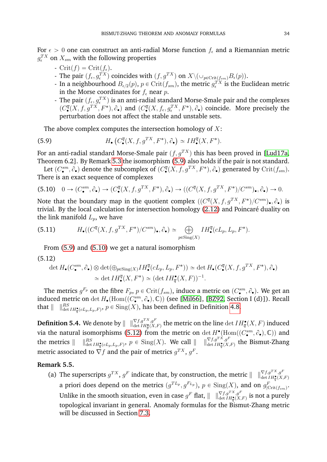For  $\epsilon > 0$  one can construct an anti-radial Morse function  $f_{\epsilon}$  and a Riemannian metric  $g^{TX}_\epsilon$  on  $X_{sm}$  with the following properties

- $\operatorname{Crit}(f) = \operatorname{Crit}(f_\epsilon)$ .
- The pair  $(f_{\epsilon}, g_{\epsilon}^{TX})$  coincides with  $(f, g^{TX})$  on  $X \setminus (\cup_{p \in \text{Crit}(f_{sm})} B_{\epsilon}(p)).$
- In a neighbourhood  $B_{\epsilon/2}(p)$ ,  $p \in \text{Crit}(f_{sm})$ , the metric  $g_{\epsilon}^{TX}$  is the Euclidean metric in the Morse coordinates for  $f_{\epsilon}$  near p.
- The pair  $(f_{\epsilon}, g_{\epsilon}^{TX})$  is an anti-radial standard Morse-Smale pair and the complexes  $(C^{\overline{q}}_{\bullet}(X, f, g^{TX}, F^*), \partial_{\bullet})$  and  $(C^{\overline{q}}_{\bullet}(X, f_{\epsilon}, g^{TX}_{\epsilon}, F^*), \partial_{\bullet})$  coincide. More precisely the perturbation does not affect the stable and unstable sets.

<span id="page-35-0"></span>The above complex computes the intersection homology of  $X$ : `

(5.9) 
$$
H_{\bullet}\left(C_{\bullet}^{\overline{q}}(X,f,g^{TX},F^{*}),\partial_{\bullet}\right)\simeq IH_{\bullet}^{\overline{q}}(X,F^{*}).
$$

For an anti-radial standard Morse-Smale pair  $(f, q^{TX})$  this has been proved in [\[Lud17a,](#page-63-23) Theorem 6.2]. By Remark [5.3](#page-34-0) the isomorphism [\(5.9\)](#page-35-0) also holds if the pair is not standard.

Let  $(C^{sm}_\bullet,\partial_\bullet)$  denote the subcomplex of  $(C^{q}_\bullet(X,f,g^{TX},F^*),\partial_\bullet)$  generated by  $\mathrm{Crit}(f_{sm}).$ There is an exact sequence of complexes

<span id="page-35-1"></span>
$$
(5.10) \quad 0 \to (C^{sm}_{\bullet}, \partial_{\bullet}) \to (C^{q}_{\bullet}(X, f, g^{TX}, F^*), \partial_{\bullet}) \to ((C^{q}(X, f, g^{TX}, F^*)/C^{sm})_{\bullet}, \partial_{\bullet}) \to 0.
$$

Note that the boundary map in the quotient complex  $((C^{\overline{q}}(X, f, g^{TX}, F^*)/C^{sm})_{\bullet}, \partial_{\bullet})$  is trivial. By the local calculation for intersection homology [\(2.12\)](#page-7-1) and Poincaré duality on the link manifold  $L_p$ , we have

(5.11) 
$$
H_{\bullet}((C^{\overline{q}}(X, f, g^{TX}, F^*)/C^{sm})_{\bullet}, \partial_{\bullet}) \simeq \bigoplus_{p \in \text{Sing}(X)} IH_{\bullet}^{\overline{q}}(cL_p, L_p, F^*).
$$

From [\(5.9\)](#page-35-0) and [\(5.10\)](#page-35-1) we get a natural isomorphism

#### <span id="page-35-2"></span>(5.12)

$$
\det H_{\bullet}(C_{\bullet}^{sm}, \partial_{\bullet}) \otimes \det(\oplus_{p \in \text{Sing}(X)} IH_{\bullet}^{\overline{q}}(cL_{p}, L_{p}, F^{*})) \simeq \det H_{\bullet}(C_{\bullet}^{\overline{q}}(X, f, g^{TX}, F^{*}), \partial_{\bullet})
$$

$$
\simeq \det IH_{\bullet}^{\overline{q}}(X, F^{*}) \simeq (\det IH_{\overline{q}}^{\bullet}(X, F))^{-1}.
$$

The metrics  $g^{F_p}$  on the fibre  $F_p$ ,  $p \in \mathrm{Crit}(f_{sm})$ , induce a metric on  $(C^{sm}_{\bullet}, \partial_{\bullet})$ . We get an induced metric on  $\det H_{\bullet}(\text{Hom}((C_{\bullet}^{sm},\partial_{\bullet}),\mathbb{C}))$  (see [\[Mil66\]](#page-63-24), [\[BZ92,](#page-62-1) Section I (d)]). Recall that  $\| \quad \|^{RS}_{\det IH^{\bullet}_{\overline{q}}(cL_p,L_p,F)},$   $p \in Sing(X)$ , has been defined in Definition [4.8.](#page-29-1)

<span id="page-35-4"></span>**Definition 5.4.** We denote by  $\| \;\; \|_{\det H^{\bullet}_{q}(X,F)}^{\nabla f,g^{TX},g^{F}}$  the metric on the line  $\det IH^{\bullet}_{\overline{q}}(X,F)$  induced via the natural isomorphisms [\(5.12\)](#page-35-2) from the metric on  $\det H^{\bullet}_{\bullet}(\text{Hom}((C_{\bullet}^{sm},\partial_{\bullet}),\mathbb{C}))$  and the metrics  $\parallel$  $g_{\det IH_{\overline{q}}^{\bullet}(cL_p,L_p,F)}, p \in \mathrm{Sing}(X).$  We call  $\|\quad\|_{\det IH_{\overline{q}}^{\bullet}(X,F)}^{\nabla f,g^{TX},g^{F}}$  the Bismut-Zhang metric associated to  $\nabla f$  and the pair of metrics  $g^{TX},$   $g^F.$ 

#### <span id="page-35-3"></span>**Remark 5.5.**

(a) The superscripts  $g^{TX}$ ,  $g^F$  indicate that, by construction, the metric  $|| \quad ||_{\det H^{\bullet}_{\mathbf{q}}(X,F)}^{\nabla f,g^{TX},g^F}$ a priori does depend on the metrics  $(g^{TL_p}, g^{F_{L_p}}), p \in \text{Sing}(X)$ , and on  $g^F_{|\text{Crit}(f_{sm})}$ . Unlike in the smooth situation, even in case  $g^F$  flat,  $\|\quad\|_{\det IH^{\bullet}_{\overline{q}}(X,F)}^{\nabla f,g^{TX},g^{F}}$  is not a purely topological invariant in general. Anomaly formulas for the Bismut-Zhang metric will be discussed in Section [7.3.](#page-57-0)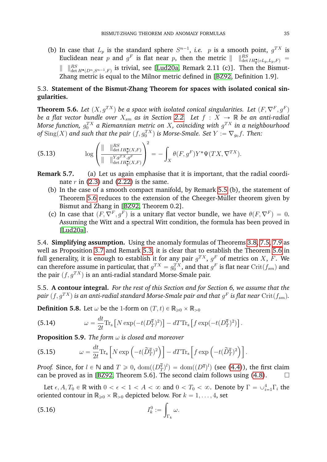(b) In case that  $L_p$  is the standard sphere  $S^{n-1}$ , *i.e.* p is a smooth point,  $g^{TX}$  is Euclidean near p and  $g^F$  is flat near p, then the metric  $|| \quad ||^{RS}_{\det H^{\bullet}_{\overline{q}}(cL_p,L_p,F)} =$  $\|$   $\|_{\det H^{\bullet}(D^{n}, S^{n-1}, F)}^{RS}$  is trivial, see [\[Lud20a,](#page-63-12) Remark 2.11 (c)]. Then the Bismut-Zhang metric is equal to the Milnor metric defined in [\[BZ92,](#page-62-1) Definition 1.9].

# 5.3. **Statement of the Bismut-Zhang Theorem for spaces with isolated conical singularities.**

<span id="page-36-0"></span>**Theorem 5.6.** Let  $(X, g^{TX})$  be a space with isolated conical singularities. Let  $(F, \nabla^F, g^F)$ *be a flat vector bundle over*  $X_{sm}$  *as in Section [2.2.](#page-5-1) Let*  $f : X \to \mathbb{R}$  *be an anti-radial* Morse function,  $g_0^{TX}$  a Riemannian metric on  $X$ , coinciding with  $g^{TX}$  in a neighbourhood of  $\mathrm{Sing}(X)$  and such that the pair  $(f, g_0^{TX})$  is Morse-Smale. Set  $Y := \nabla_{g_0} f.$  Then:  $\mathbf{r} = (r, r)$ 

(5.13) 
$$
\log \left( \frac{\| \quad \|_{\det IH_q^{\bullet}(X,F)}^{RS}}{\| \quad \|_{\det IH_q^{\bullet}(X,F)}^{Y,g^TX,g^F}} \right)^2 = - \int_X \theta(F,g^F) Y^* \Psi(TX,\nabla^{TX}).
$$

**Remark 5.7.** (a) Let us again emphasise that it is important, that the radial coordinate  $r$  in [\(2.3\)](#page-5-0) and [\(2.22\)](#page-8-3) is the same.

- (b) In the case of a smooth compact manifold, by Remark [5.5](#page-35-3) (b), the statement of Theorem [5.6](#page-36-0) reduces to the extension of the Cheeger-Müller theorem given by Bismut and Zhang in [\[BZ92,](#page-62-1) Theorem 0.2].
- (c) In case that  $(F, \nabla^F, g^F)$  is a unitary flat vector bundle, we have  $\theta(F, \nabla^F) = 0$ . Assuming the Witt and a spectral Witt condition, the formula has been proved in [\[Lud20a\]](#page-63-12).

5.4. **Simplifying assumption.** Using the anomaly formulas of Theorems [3.8,](#page-18-5) [7.5,](#page-56-0) [7.9](#page-61-0) as well as Proposition [3.7](#page-17-5) and Remark [5.3,](#page-34-0) it is clear that to establish the Theorem [5.6](#page-36-0) in full generality, it is enough to establish it for any pair  $g^{TX}$ ,  $g^{F}$  of metrics on  $X$ ,  $F$ . We can therefore assume in particular, that  $g^{TX} = g_0^{TX}$ , and that  $g^F$  is flat near  $\mathrm{Crit}(f_{sm})$  and the pair  $(f, q^{TX})$  is an anti-radial standard Morse-Smale pair.

5.5. **A contour integral.** *For the rest of this Section and for Section 6, we assume that the* pair  $(f, g^{TX})$  is an anti-radial standard Morse-Smale pair and that  $g^F$  is flat near  $\mathrm{Crit}(f_{sm}).$ 

**Definition 5.8.** Let  $\omega$  be the 1-form on  $(T, t) \in \mathbb{R}_{\geq 0} \times \mathbb{R}_{>0}$ 

(5.14) 
$$
\omega = \frac{dt}{2t} \text{Tr}_s \left[ N \exp(-t(D_T^{\overline{q}})^2) \right] - dT \text{Tr}_s \left[ f \exp(-t(D_T^{\overline{q}})^2) \right].
$$

<span id="page-36-1"></span>**Proposition 5.9.** *The form* ω *is closed and moreover*

(5.15) 
$$
\omega = \frac{dt}{2t} \text{Tr}_s \left[ N \exp \left( -t \left( \widetilde{D}_T^{\overline{q}} \right)^2 \right) \right] - dT \text{Tr}_s \left[ f \exp \left( -t \left( \widetilde{D}_T^{\overline{q}} \right)^2 \right) \right].
$$

*Proof.* Since, for  $l \in \mathbb{N}$  and  $T \geq 0$ ,  $\text{dom}((D_1^{\overline{q}})$  $\binom{\overline{q}}{T}^l$  =  $\text{dom}((D^{\overline{q}})^l)$  (see [\(4.4\)](#page-20-1)), the first claim can be proved as in [\[BZ92,](#page-62-1) Theorem 5.6]. The second claim follows using [\(4.8\)](#page-21-1).

Let  $\epsilon, A, T_0 \in \mathbb{R}$  with  $0 < \epsilon < 1 < A < \infty$  and  $0 < T_0 < \infty$ . Denote by  $\Gamma = \cup_{i=1}^4 \Gamma_i$  the oriented contour in  $\mathbb{R}_{\geqslant 0}\times \mathbb{R}_{>0}$  depicted below. For  $k=1,\ldots,4$ , set

$$
I_k^0 := \int_{\Gamma_k} \omega.
$$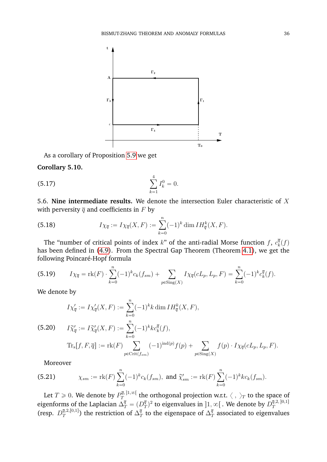

As a corollary of Proposition [5.9](#page-36-1) we get

#### <span id="page-37-1"></span>**Corollary 5.10.**

(5.17) 
$$
\sum_{k=1}^{4} I_k^0 = 0.
$$

<span id="page-37-0"></span>5.6. **Nine intermediate results.** We denote the intersection Euler characteristic of X with perversity  $\overline{q}$  and coefficients in F by

(5.18) 
$$
I\chi_{\overline{q}} := I\chi_{\overline{q}}(X,F) := \sum_{k=0}^{n} (-1)^k \dim IH_{\overline{q}}^k(X,F).
$$

The "number of critical points of index  $k$ " of the anti-radial Morse function f,  $c_k^{\bar{q}}$  $\frac{q}{k}(f)$ has been defined in [\(4.9\)](#page-21-2). From the Spectral Gap Theorem (Theorem [4.1\)](#page-21-3), we get the following Poincaré-Hopf formula

(5.19) 
$$
I\chi_{\overline{q}} = \text{rk}(F) \cdot \sum_{k=0}^{n} (-1)^{k} c_{k}(f_{sm}) + \sum_{p \in \text{Sing}(X)} I\chi_{\overline{q}}(cL_{p}, L_{p}, F) = \sum_{k=0}^{n} (-1)^{k} c_{k}^{\overline{q}}(f).
$$

We denote by

(5.20) 
$$
I\chi'_{\overline{q}} := I\chi'_{\overline{q}}(X, F) := \sum_{k=0}^{n} (-1)^k k \dim IH_{\overline{q}}^k(X, F),
$$
  
(5.20) 
$$
I\widetilde{\chi}'_{\overline{q}} := I\widetilde{\chi}'_{\overline{q}}(X, F) := \sum_{k=0}^{n} (-1)^k kc_k^{\overline{q}}(f),
$$

$$
Tr_s[f, F, \overline{q}] := \text{rk}(F) \sum_{p \in \text{Crit}(f_{sm})} (-1)^{\text{ind}(p)} f(p) + \sum_{p \in \text{Sing}(X)} f(p) \cdot I\chi_{\overline{q}}(cL_p, L_p, F).
$$

Moreover

(5.21) 
$$
\chi_{sm} := \mathrm{rk}(F) \sum_{k=0}^{n} (-1)^k c_k(f_{sm}), \text{ and } \widetilde{\chi}'_{sm} := \mathrm{rk}(F) \sum_{k=0}^{n} (-1)^k k c_k(f_{sm}).
$$

Let  $T\geqslant 0.$  We denote by  $P^{\overline{q},\,]\mathbb{1},\infty[}_{T}$  $T^{q,11,\infty}$  the orthogonal projection w.r.t.  $\langle , \rangle_T$  to the space of eigenforms of the Laplacian  $\Delta^{\overline{q}}_T = (D^{\overline{q}}_T)$  $\bar{q}^{(\overline{q}}_T)^2$  to eigenvalues in  $]1,\infty[$  . We denote by  $D^{\bar{q},2,[0,1]}_T$ T (resp.  $D_T^{\bar{q},2,[0,1]}$  $(\overline{q},2,[0,1])$  the restriction of  $\Delta^{\overline{q}}_T$  $\frac{\overline{q}}{T}$  to the eigenspace of  $\Delta_{T}^{\overline{q}}$  $\frac{q}{T}$  associated to eigenvalues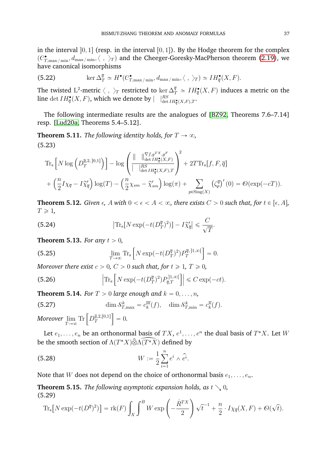in the interval  $[0, 1]$  (resp. in the interval  $[0, 1]$ ). By the Hodge theorem for the complex  $(\mathcal{C}^\bullet_{T,\max/\min}, d_{\max/\min},\langle\;,\;\rangle_T)$  and the Cheeger-Goresky-MacPherson theorem [\(2.19\)](#page-8-4), we have canonical isomorphisms

(5.22) 
$$
\ker \Delta^{\overline{q}}_T \simeq H^{\bullet}(C^{\bullet}_{T,\max/\min}, d_{\max/\min}, \langle , \rangle_T) \simeq IH^{\bullet}_{\overline{q}}(X, F).
$$

The twisted  $\mathrm{L}^2$ -metric  $\langle\;,\;\rangle_T$  restricted to  $\ker\Delta^{\overline{q}}_T\simeq IH^{\bullet}_{\overline{q}}(X,F)$  induces a metric on the line  $\det IH_{\overline{q}}^{\bullet}(X,F)$ , which we denote by  $| \quad |_{\det IH_{\overline{q}}^{\bullet}(X,F),T}^{RS}.$ 

The following intermediate results are the analogues of [\[BZ92,](#page-62-1) Theorems 7.6–7.14] resp. [\[Lud20a,](#page-63-12) Theorems 5.4–5.12].

<span id="page-38-2"></span>**Theorem 5.11.** *The following identity holds, for*  $T \rightarrow \infty$ *,*  $\mathbb{Z}^2$  $\sqrt{2}$ (5.23)

$$
\mathrm{Tr}_{\mathrm{s}}\left[N\log\left(D_{T}^{\overline{q},2}|0,1]\right)\right]-\log\left(\frac{\|\quad\|_{\det H_{\overline{q}}^{\bullet}(X,F)}^{\nabla f,g^{T_{X}},g^{F}}}{\left|\quad\int_{\det H_{\overline{q}}^{\bullet}(X,F),T}\right|}\right)^{2}+2T\mathrm{Tr}_{\mathrm{s}}[f,F,\overline{q}]
$$
\n
$$
+\left(\frac{n}{2}I\chi_{\overline{q}}-I\widetilde{\chi}_{\overline{q}}'\right)\log(T)-\left(\frac{n}{2}\chi_{sm}-\widetilde{\chi}_{sm}'\right)\log(\pi)+\sum_{p\in\mathrm{Sing}(X)}\left(\zeta_{p}^{\overline{q}}\right)'(0)=\mathcal{O}(\exp(-cT)).
$$

<span id="page-38-4"></span>**Theorem 5.12.** *Given*  $\epsilon$ , A with  $0 < \epsilon < A < \infty$ , there exists  $C > 0$  such that, for  $t \in [\epsilon, A]$ ,  $T \geqslant 1$ 

.

(5.24) 
$$
\left| \text{Tr}_{\text{s}}[N \exp(-t(D_T^{\overline{q}})^2)] - I\widetilde{\chi}_{\overline{q}}' \right| \leq \frac{C}{\sqrt{T}}
$$

<span id="page-38-5"></span>**Theorem 5.13.** *For any*  $t > 0$ *,* 

(5.25) 
$$
\lim_{T \to \infty} \text{Tr}_{\text{s}} \left[ N \exp(-t(D_T^{\overline{q}})^2) P_T^{\overline{q}, \, ]1,\infty[} \right] = 0.
$$

Moreover there exist 
$$
c > 0
$$
,  $C > 0$  such that, for  $t \ge 1$ ,  $T \ge 0$ ,  
(5.26)  $\left| \text{Tr}_s \left[ N \exp(-t(D_T^{\overline{q}})^2) P_{\overline{q},T}^{11,\infty[\cdot]} \right] \right| \le C \exp(-ct)$ .

<span id="page-38-3"></span>**Theorem 5.14.** *For*  $T > 0$  *large enough and*  $k = 0, \ldots, n$ *,* 

(5.27) 
$$
\dim \mathcal{S}_{T,\max}^k = c_k^{\overline{m}}(f), \quad \dim \mathcal{S}_{T,\min}^k = c_k^{\overline{n}}(f).
$$

*Moreover*  $\lim_{T\to\infty}$  Tr  $\left[D_T^{\overline{q},2,[0,1]}\right]$ T  $= 0.$ 

Let  $e_1, \ldots, e_n$  be an orthonormal basis of  $TX, e^1, \ldots, e^n$  the dual basis of  $T^*X$ . Let  $W$ be the smooth section of  $\Lambda(T^*X)\widehat{\otimes}\Lambda\widehat{(T^*X)}$  defined by

<span id="page-38-6"></span>(5.28) 
$$
W := \frac{1}{2} \sum_{i=1}^{n} e^{i} \wedge \widehat{e^{i}}.
$$

Note that W does not depend on the choice of orthonormal basis  $e_1, \ldots, e_n$ .

<span id="page-38-0"></span>**Theorem 5.15.** *The following asymptotic expansion holds, as*  $t \searrow 0$ *,* (5.29)  $\mathcal{C}^B$ į,

<span id="page-38-1"></span>
$$
\text{Tr}_{\text{s}}\big[N\exp(-t(D^{\overline{q}})^2)\big] = \text{rk}(F)\int_X \int^B W \exp\left(-\frac{\dot{R}^{TX}}{2}\right) \sqrt{t}^{-1} + \frac{n}{2} \cdot I\chi_{\overline{q}}(X,F) + \mathcal{O}(\sqrt{t}).
$$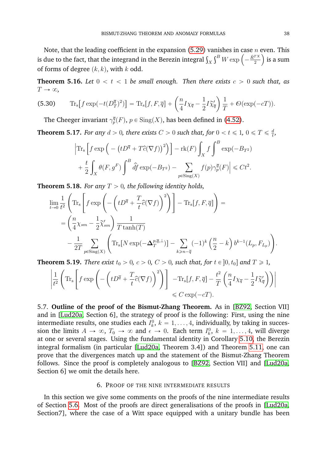Note, that the leading coefficient in the expansion [\(5.29\)](#page-38-1) vanishes in case  $n$  even. This Note, that the leading coefficient in the expansion (5.29) vanishes in case  $n$  is due to the fact, that the integrand in the Berezin integral  $\int_X \int^B W \exp \left( - \frac{\dot{R}^{TX}}{2} \right)$  $\frac{1}{2}$  is a sum of forms of degree  $(k, k)$ , with k odd.

<span id="page-39-2"></span>**Theorem 5.16.** *Let*  $0 < t < 1$  *be small enough. Then there exists*  $c > 0$  *such that, as*  $T \rightarrow \infty$ , ˙

(5.30) 
$$
\operatorname{Tr}_{\mathbf{s}}\left[f \exp\left(-t(D_T^{\overline{q}})^2\right)\right] = \operatorname{Tr}_{\mathbf{s}}\left[f, F, \overline{q}\right] + \left(\frac{n}{4}I\chi_{\overline{q}} - \frac{1}{2}I\widetilde{\chi}_{\overline{q}}'\right)\frac{1}{T} + \mathcal{O}(\exp(-cT)).
$$

The Cheeger invariant  $\gamma_p^{\overline{q}}(F)$ ,  $p \in Sing(X)$ , has been defined in [\(4.52\)](#page-29-3).

<span id="page-39-1"></span>**Theorem 5.17.** *For any*  $d > 0$ *, there exists*  $C > 0$  *such that, for*  $0 < t \leqslant 1$ ,  $0 \leqslant T \leqslant \frac{d}{t}$  $\frac{d}{t}$ ,

$$
\left| \operatorname{Tr}_{\mathbf{s}} \left[ f \exp \left( - \left( t D^{\overline{q}} + T \hat{c} (\nabla f) \right)^2 \right) \right] - \operatorname{rk}(F) \int_X f \int^B \exp(-B_{T^2})
$$
  
+ 
$$
\frac{t}{2} \int_X \theta(F, g^F) \int^B \hat{df} \exp(-B_{T^2}) - \sum_{p \in \operatorname{Sing}(X)} f(p) \gamma_p^{\overline{q}}(F) \right| \leq C t^2.
$$

**Theorem 5.18.** For any 
$$
T > 0
$$
, the following identity holds,  
\n
$$
\lim_{t \to 0} \frac{1}{t^2} \left( \text{Tr}_s \left[ f \exp \left( - \left( t D^{\overline{q}} + \frac{T}{t} \hat{c} (\nabla f) \right)^2 \right) \right] - \text{Tr}_s[f, F, \overline{q}] \right) =
$$
\n
$$
= \left( \frac{n}{4} \chi_{sm} - \frac{1}{2} \widetilde{\chi}'_{sm} \right) \frac{1}{T \tanh(T)}
$$
\n
$$
- \frac{1}{2T} \sum_{p \in \text{Sing}(X)} \left( \text{Tr}_s [N \exp(-\Delta_T^{p, \overline{q}, \perp})] - \sum_{k \geq n - \overline{q}} (-1)^k \left( \frac{n}{2} - k \right) b^{k-1} (L_p, F_{L_p}) \right).
$$

<span id="page-39-3"></span>

**Theorem 5.19.** There exist 
$$
t_0 > 0
$$
,  $c > 0$ ,  $C > 0$ , such that, for  $t \in [0, t_0]$  and  $T \ge 1$ ,  
\n
$$
\left| \frac{1}{t^2} \left( \text{Tr}_s \left[ f \exp \left( - \left( t D^{\overline{q}} + \frac{T}{t} \hat{c} (\nabla f) \right)^2 \right) \right] - \text{Tr}_s[f, F, \overline{q}] - \frac{t^2}{T} \left( \frac{n}{4} I \chi_{\overline{q}} - \frac{1}{2} I \widetilde{\chi}_{\overline{q}}' \right) \right) \right| \le C \exp(-cT).
$$

5.7. **Outline of the proof of the Bismut-Zhang Theorem.** As in [\[BZ92,](#page-62-1) Section VII] and in [\[Lud20a,](#page-63-12) Section 6], the strategy of proof is the following: First, using the nine intermediate results, one studies each  $I_k^0$ ,  $k = 1, \ldots, 4$ , individually, by taking in succession the limits  $A \to \infty$ ,  $T_0 \to \infty$  and  $\epsilon \to 0$ . Each term  $I_k^0$ ,  $k = 1, \ldots, 4$ , will diverge at one or several stages. Using the fundamental identity in Corollary [5.10,](#page-37-1) the Berezin integral formalism (in particular [\[Lud20a,](#page-63-12) Theorem 3.4]) and Theorem [5.11,](#page-38-2) one can prove that the divergences match up and the statement of the Bismut-Zhang Theorem follows. Since the proof is completely analogous to [\[BZ92,](#page-62-1) Section VII] and [\[Lud20a,](#page-63-12) Section 6] we omit the details here.

#### 6. PROOF OF THE NINE INTERMEDIATE RESULTS

<span id="page-39-0"></span>In this section we give some comments on the proofs of the nine intermediate results of Section [5.6.](#page-37-0) Most of the proofs are direct generalisations of the proofs in [\[Lud20a,](#page-63-12) Section7], where the case of a Witt space equipped with a unitary bundle has been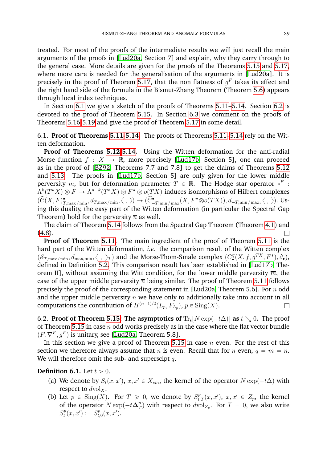treated. For most of the proofs of the intermediate results we will just recall the main arguments of the proofs in [\[Lud20a,](#page-63-12) Section 7] and explain, why they carry through to the general case. More details are given for the proofs of the Theorems [5.15](#page-38-0) and [5.17,](#page-39-1) where more care is needed for the generalisation of the arguments in [\[Lud20a\]](#page-63-12). It is precisely in the proof of Theorem [5.17,](#page-39-1) that the non flatness of  $g^F$  takes its effect and the right hand side of the formula in the Bismut-Zhang Theorem (Theorem [5.6\)](#page-36-0) appears through local index techniques.

In Section [6.1](#page-40-1) we give a sketch of the proofs of Theorems [5.11](#page-38-2)[–5.14.](#page-38-3) Section [6.2](#page-40-0) is devoted to the proof of Theorem [5.15.](#page-38-0) In Section [6.3](#page-46-0) we comment on the proofs of Theorems [5.16](#page-39-2)[-5.19](#page-39-3) and give the proof of Theorem [5.17](#page-39-1) in some detail.

<span id="page-40-1"></span>6.1. **Proof of Theorems [5.11](#page-38-2)[-5.14.](#page-38-3)** The proofs of Theorems [5.11–](#page-38-2)[5.14](#page-38-3) rely on the Witten deformation.

**Proof of Theorems [5.12](#page-38-4)[-5.14.](#page-38-3)** Using the Witten deformation for the anti-radial Morse function  $f : X \to \mathbb{R}$ , more precisely [\[Lud17b,](#page-63-13) Section 5], one can proceed as in the proof of [\[BZ92,](#page-62-1) Theorems 7.7 and 7.8] to get the claims of Theorems [5.12](#page-38-4) and [5.13.](#page-38-5) The proofs in [\[Lud17b,](#page-63-13) Section 5] are only given for the lower middle perversity  $\overline{m},$  but for deformation parameter  $T$   $\in$   $\mathbb{R}.$  The Hodge star operator  $*^F$  :  $\Lambda^k(T^*X)\otimes F\to \Lambda^{n-k}(T^*X)\otimes F^*\otimes o(TX)$  induces isomorphisms of Hilbert complexes  $(\widetilde{C}(X, F)_{T, \max/\min}^{\bullet}, d_{T, \max/\min}, \langle , \rangle) \rightarrow (\widetilde{C}_{-T, \min/\max}^{\bullet}(X, F^* \otimes o(TX)), d_{-T, \min/\max}, \langle , \rangle).$  Using this duality, the easy part of the Witten deformation (in particular the Spectral Gap Theorem) hold for the perversity  $\overline{n}$  as well.

The claim of Theorem [5.14](#page-38-3) follows from the Spectral Gap Theorem (Theorem [4.1\)](#page-21-3) and  $(4.8)$ .

**Proof of Theorem [5.11.](#page-38-2)** The main ingredient of the proof of Theorem [5.11](#page-38-2) is the hard part of the Witten deformation, *i.e.* the comparison result of the Witten complex  $(S_{T,\max/\min}, d_{\max,\min}, \langle , \rangle_T)$  and the Morse-Thom-Smale complex  $(C^{\overline{q}}_{\bullet}(X, f, g^{TX}, F^*), \partial_{\bullet}),$ defined in Definition [5.2.](#page-34-1) This comparison result has been established in [\[Lud17b,](#page-63-13) Theorem II], without assuming the Witt condition, for the lower middle perversity  $\overline{m}$ , the case of the upper middle perversity  $\overline{n}$  being similar. The proof of Theorem [5.11](#page-38-2) follows precisely the proof of the corresponding statement in [\[Lud20a,](#page-63-12) Theorem 5.6]. For  $n$  odd and the upper middle perversity  $\overline{n}$  we have only to additionally take into account in all computations the contribution of  $H^{(n-1)/2}(L_p, F_{L_p}), p \in \text{Sing}(X)$ .

<span id="page-40-0"></span>6.2. **Proof of Theorem [5.15:](#page-38-0) The asymptotics of**  $\text{Tr}_{\text{s}}[N \exp(-t\Delta)]$  as  $t \searrow 0$ . The proof of Theorem [5.15](#page-38-0) in case  $n$  odd works precisely as in the case where the flat vector bundle  $(F, \nabla^F, g^F)$  is unitary, see [\[Lud20a,](#page-63-12) Theorem 5.8].

In this section we give a proof of Theorem [5.15](#page-38-0) in case  $n$  even. For the rest of this section we therefore always assume that *n* is even. Recall that for *n* even,  $\overline{q} = \overline{m} = \overline{n}$ . We will therefore omit the sub- and superscipt  $\overline{q}$ .

#### **Definition 6.1.** Let  $t > 0$ .

- (a) We denote by  $S_t(x, x')$ ,  $x, x' \in X_{sm}$ , the kernel of the operator  $N \exp(-t\Delta)$  with respect to  $dvol_X$ .
- (b) Let  $p \in Sing(X)$ . For  $T \ge 0$ , we denote by  $S^p_{t,T}(x, x')$ ,  $x, x' \in Z_p$ , the kernel of the operator  $N \exp(-t\Delta_T^p)$  $\mathcal{T}_T^p)$  with respect to  $d\text{vol}_{Z_p}.$  For  $T\,=\,0,$  we also write  $S_t^p$  $f_t^p(x, x') := S_{t, t}^p$  $_{t,0}^{p}(x,x').$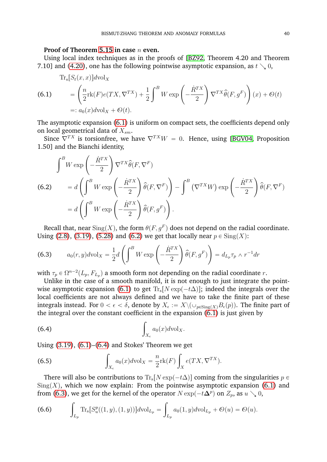#### **Proof of Theorem [5.15](#page-38-0) in case** n **even.**

Using local index techniques as in the proofs of [\[BZ92,](#page-62-1) Theorem 4.20 and Theorem 7.10] and [\(4.20\)](#page-23-1), one has the following pointwise asymptotic expansion, as  $t \searrow 0$ ,

<span id="page-41-0"></span>
$$
\begin{aligned} \text{Tr}_{\mathbf{s}}[S_t(x,x)]d\text{vol}_X \\ &= \left(\frac{n}{2}\text{rk}(F)e(TX,\nabla^{TX}) + \frac{1}{2}\int^B W\exp\left(-\frac{\dot{R}^{TX}}{2}\right)\nabla^{TX}\hat{\theta}(F,g^F)\right)(x) + \mathcal{O}(t) \\ &=: a_0(x)d\text{vol}_X + \mathcal{O}(t). \end{aligned}
$$

The asymptotic expansion [\(6.1\)](#page-41-0) is uniform on compact sets, the coefficients depend only on local geometrical data of  $X_{sm}$ .

Since  $\nabla^{TX}$  is torsionfree, we have  $\nabla^{TX}W = 0$ . Hence, using [\[BGV04,](#page-62-13) Proposition 1.50] and the Bianchi identity, į,

<span id="page-41-1"></span>(6.2) 
$$
\int^B W \exp\left(-\frac{\dot{R}^{TX}}{2}\right) \nabla^{TX} \hat{\theta}(F, \nabla^F)
$$

$$
= d \left( \int^B W \exp\left(-\frac{\dot{R}^{TX}}{2}\right) \hat{\theta}(F, \nabla^F) \right) - \int^B (\nabla^{TX} W) \exp\left(-\frac{\dot{R}^{TX}}{2}\right) \hat{\theta}(F, \nabla^F)
$$

$$
= d \left( \int^B W \exp\left(-\frac{\dot{R}^{TX}}{2}\right) \hat{\theta}(F, g^F) \right).
$$

Recall that, near  $\operatorname{Sing}(X)$ , the form  $\theta(F,g^F)$  does not depend on the radial coordinate. Using [\(2.8\)](#page-6-1), [\(3.19\)](#page-12-5), [\(5.28\)](#page-38-6) and [\(6.2\)](#page-41-1) we get that locally near  $p \in Sing(X)$ : ¸ ¸

<span id="page-41-3"></span>(6.3) 
$$
a_0(r, y) d\text{vol}_X = \frac{1}{2} d \left( \int^B W \exp \left( -\frac{\dot{R}^{TX}}{2} \right) \hat{\theta}(F, g^F) \right) = d_{L_p} \tau_p \wedge r^{-1} dr
$$

with  $\tau_p \in \Omega^{n-2}(L_p, F_{L_p})$  a smooth form not depending on the radial coordinate  $r.$ 

Unlike in the case of a smooth manifold, it is not enough to just integrate the point-wise asymptotic expansion [\(6.1\)](#page-41-0) to get  $\text{Tr}_s[N \exp(-t\Delta)]$ ; indeed the integrals over the local coefficients are not always defined and we have to take the finite part of these integrals instead. For  $0<\epsilon<\delta,$  denote by  $X_\epsilon:=X\backslash (\cup_{p\in {\rm Sing}(X)}B_\epsilon(p)).$  The finite part of the integral over the constant coefficient in the expansion [\(6.1\)](#page-41-0) is just given by

<span id="page-41-2"></span>
$$
\int_{X_{\epsilon}} a_0(x) d\mathrm{vol}_X.
$$

Using  $(3.19)$ ,  $(6.1)$ – $(6.4)$  and Stokes' Theorem we get ż

<span id="page-41-5"></span>(6.5) 
$$
\int_{X_{\epsilon}} a_0(x) dvol_X = \frac{n}{2} \text{rk}(F) \int_X e(TX, \nabla^{TX}).
$$

There will also be contributions to  $\text{Tr}_s[N \exp(-t\Delta)]$  coming from the singularities  $p \in$  $Sing(X)$ , which we now explain: From the pointwise asymptotic expansion [\(6.1\)](#page-41-0) and from [\(6.3\)](#page-41-3), we get for the kernel of the operator  $N \exp(-t{\bf \Delta}^p)$  on  $Z_p$ , as  $u \searrow 0$ ,

<span id="page-41-4"></span>(6.6) 
$$
\int_{L_p} \text{Tr}_s[S_u^p((1, y), (1, y))] d\text{vol}_{L_p} = \int_{L_p} a_0(1, y) d\text{vol}_{L_p} + \mathcal{O}(u) = \mathcal{O}(u).
$$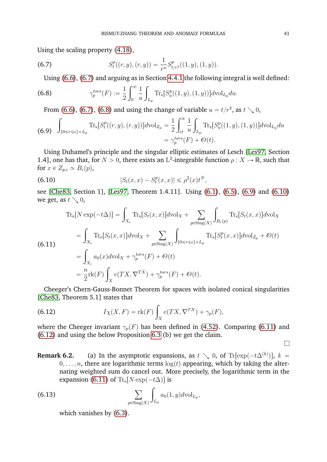Using the scaling property [\(4.18\)](#page-22-3),

(6.7) 
$$
S_t^p((r, y), (r, y)) = \frac{1}{r^n} S_{t/r^2}^p((1, y), (1, y)).
$$

<span id="page-42-2"></span><span id="page-42-1"></span>Using [\(6.6\)](#page-41-4), [\(6.7\)](#page-42-1) and arguing as in Section [4.4.1](#page-29-6) the following integral is well defined:

(6.8) 
$$
\gamma_p^{tors}(F) := \frac{1}{2} \int_0^\infty \frac{1}{u} \int_{L_p} \text{Tr}_s[S_u^p((1, y), (1, y))] d\text{vol}_{L_p} du.
$$

From [\(6.6\)](#page-41-4), [\(6.7\)](#page-42-1), [\(6.8\)](#page-42-2) and using the change of variable  $u = t/r^2$ , as  $t \searrow 0$ ,

<span id="page-42-3"></span>
$$
\int_{\{0 \le r \le \epsilon\} \times L_p} \text{Tr}_{\mathbf{s}}[S_t^p((r, y), (r, y))] d\text{vol}_{Z_p} = \frac{1}{2} \int_{\epsilon t}^{\infty} \frac{1}{u} \int_{L_p} \text{Tr}_{\mathbf{s}}[S_u^p((1, y), (1, y))] d\text{vol}_{L_p} du
$$

$$
= \gamma_p^{tors}(F) + \mathcal{O}(t).
$$

Using Duhamel's principle and the singular elliptic estimates of Lesch [\[Les97,](#page-63-21) Section 1.4], one has that, for  $N > 0$ , there exists an L<sup>2</sup>-integrable function  $\rho: X \to \mathbb{R}$ , such that for  $x \in Z_{p,\epsilon} \simeq B_{\epsilon}(p)$ ,

<span id="page-42-4"></span>(6.10) 
$$
|S_t(x,x) - S_t^p(x,x)| \leq \rho^2(x)t^N,
$$

see [\[Che83,](#page-62-12) Section 1], [\[Les97,](#page-63-21) Theorem 1.4.11]. Using [\(6.1\)](#page-41-0), [\(6.5\)](#page-41-5), [\(6.9\)](#page-42-3) and [\(6.10\)](#page-42-4) we get, as  $t \searrow 0$ ,

<span id="page-42-5"></span>
$$
\begin{split}\n\text{Tr}_{\mathbf{s}}[N \exp(-t\Delta)] &= \int_{X_{\epsilon}} \text{Tr}_{\mathbf{s}}[S_{t}(x,x)] d\text{vol}_{X} + \sum_{p \in \text{Sing}(X)} \int_{B_{\epsilon}(p)} \text{Tr}_{\mathbf{s}}[S_{t}(x,x)] d\text{vol}_{X} \\
&= \int_{X_{\epsilon}} \text{Tr}_{\mathbf{s}}[S_{t}(x,x)] d\text{vol}_{X} + \sum_{p \in \text{Sing}(X)} \int_{\{0 \le r \le \epsilon\} \times L_{p}} \text{Tr}_{\mathbf{s}}[S_{t}^{p}(x,x)] d\text{vol}_{Z_{p}} + \mathcal{O}(t) \\
&= \int_{X_{\epsilon}} a_{0}(x) d\text{vol}_{X} + \gamma_{p}^{tors}(F) + \mathcal{O}(t) \\
&= \frac{n}{2} \text{rk}(F) \int_{X} e(TX, \nabla^{TX}) + \gamma_{p}^{tors}(F) + \mathcal{O}(t).\n\end{split}
$$

Cheeger's Chern-Gauss-Bonnet Theorem for spaces with isolated conical singularities [\[Che83,](#page-62-12) Theorem 5.1] states that

<span id="page-42-0"></span>(6.12) 
$$
I\chi(X,F) = \text{rk}(F)\int_X e(TX,\nabla^{TX}) + \gamma_p(F),
$$

where the Cheeger invariant  $\gamma_p(F)$  has been defined in [\(4.52\)](#page-29-3). Comparing [\(6.11\)](#page-42-5) and [\(6.12\)](#page-42-0) and using the below Proposition [6.3](#page-43-0) (b) we get the claim.

- $\Box$
- **Remark 6.2.** (a) In the asymptotic expansions, as  $t \searrow 0$ , of Tr $[\exp(-t\Delta^{(k)})]$ ,  $k =$  $0, \ldots, n$ , there are logarithmic terms  $\log(t)$  appearing, which by taking the alternating weighted sum do cancel out. More precisely, the logarithmic term in the expansion [\(6.11\)](#page-42-5) of  $\text{Tr}_{\text{s}}[N \exp(-t\Delta)]$  is

(6.13) 
$$
\sum_{p \in \text{Sing}(X)} \int_{L_p} a_0(1, y) d\text{vol}_{L_p},
$$

which vanishes by [\(6.3\)](#page-41-3).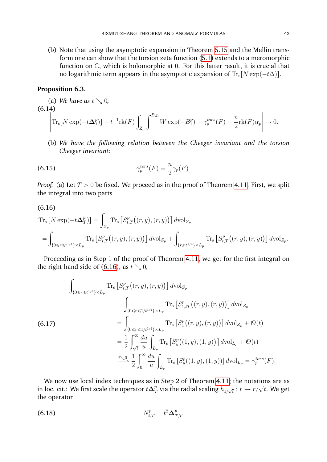(b) Note that using the asymptotic expansion in Theorem [5.15](#page-38-0) and the Mellin transform one can show that the torsion zeta function [\(5.1\)](#page-33-3) extends to a meromorphic function on C, which is holomorphic at 0. For this latter result, it is crucial that no logarithmic term appears in the asymptotic expansion of  $\text{Tr}_s[N \exp(-t\Delta)].$ 

#### <span id="page-43-0"></span>**Proposition 6.3.**

<span id="page-43-3"></span>(a) We have as 
$$
t \searrow 0
$$
,  
\n
$$
\begin{vmatrix}\n\text{(6.14)}\\
\text{Tr}_s[N \exp(-t\Delta_1^p)] - t^{-1} \text{rk}(F) \int_{Z_p} \int^{B_p} W \exp(-B_1^p) - \gamma_p^{tors}(F) - \frac{n}{2} \text{rk}(F) \alpha_p \end{vmatrix} \to 0.
$$

(b) *We have the following relation between the Cheeger invariant and the torsion Cheeger invariant:*

(6.15) 
$$
\gamma_p^{tors}(F) = \frac{n}{2} \gamma_p(F).
$$

*Proof.* (a) Let  $T > 0$  be fixed. We proceed as in the proof of Theorem [4.11.](#page-30-3) First, we split the integral into two parts

$$
(6.16)
$$

<span id="page-43-1"></span>
$$
\begin{aligned} \text{(6.16)}\\ \text{Tr}_{\mathbf{s}}\left[N\exp(-t\Delta_T^p)\right] &= \int_{Z_p} \text{Tr}_{\mathbf{s}}\left[S_{t,T}^p\big((r,y),(r,y)\big)\right] d\text{vol}_{Z_p} \\ &= \int_{\{0 \le r \le t^{1/4}\} \times L_p} \text{Tr}_{\mathbf{s}}\left[S_{t,T}^p\big((r,y),(r,y)\big)\right] d\text{vol}_{Z_p} + \int_{\{r \ge t^{1/4}\} \times L_p} \text{Tr}_{\mathbf{s}}\left[S_{t,T}^p\big((r,y),(r,y)\big)\right] d\text{vol}_{Z_p}. \end{aligned}
$$

Proceeding as in Step 1 of the proof of Theorem [4.11,](#page-30-3) we get for the first integral on the right hand side of [\(6.16\)](#page-43-1), as  $t \searrow 0$ ,

<span id="page-43-2"></span>
$$
\int_{\{0 \le r \le t^{1/4}\} \times L_p} \text{Tr}_{\mathbf{s}} \left[ S_{t,T}^p((r, y), (r, y)) \right] d\text{vol}_{Z_p} \n= \int_{\{0 \le r \le 1/t^{1/4}\} \times L_p} \text{Tr}_{\mathbf{s}} \left[ S_{1,tT}^p((r, y), (r, y)) \right] d\text{vol}_{Z_p} \n= \int_{\{0 \le r \le 1/t^{1/4}\} \times L_p} \text{Tr}_{\mathbf{s}} \left[ S_1^p((r, y), (r, y)) \right] d\text{vol}_{Z_p} + \mathcal{O}(t) \n= \frac{1}{2} \int_{\sqrt{t}}^{\infty} \frac{du}{u} \int_{L_p} \text{Tr}_{\mathbf{s}} \left[ S_u^p((1, y), (1, y)) \right] d\text{vol}_{L_p} + \mathcal{O}(t) \n\frac{t \searrow 0}{2} \int_0^{\infty} \frac{du}{u} \int_{L_p} \text{Tr}_{\mathbf{s}} \left[ S_u^p((1, y), (1, y)) \right] d\text{vol}_{L_p} = \gamma_p^{tors}(F).
$$

We now use local index techniques as in Step 2 of Theorem [4.11;](#page-30-3) the notations are as in loc. cit.: We first scale the operator  $t\Delta_7^p$  $\frac{p}{T}$  via the radial scaling  $h_{1/\sqrt{t}}:r\rightarrow r/2$  $\cdot$  $t$ . We get the operator

(6.18) 
$$
N_{t,T}^p = t^2 \Delta_{T/t}^p.
$$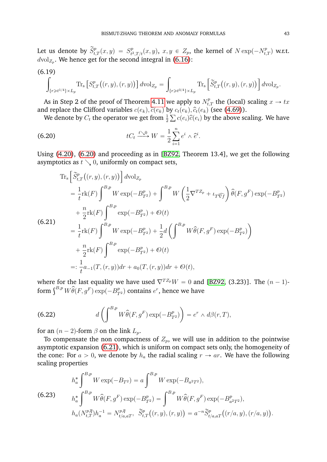Let us denote by  $\widetilde{S}_{t,T}^p(x,y) = S_{t^2}^p$  $t^p_{t^2, T/t}(x, y), x, y \in Z_p$ , the kernel of  $N \exp(-N_{t, T}^p)$  w.r.t.  $d\text{vol}_{Z_p}$ . We hence get for the second integral in [\(6.16\)](#page-43-1):

<span id="page-44-4"></span>
$$
\int_{\{r \ge t^{1/4}\} \times L_p} \text{Tr}_{s} \left[ S_{t,T}^p \big( (r,y), (r,y) \big) \right] d\text{vol}_{Z_p} = \int_{\{r \ge t^{3/4}\} \times L_p} \text{Tr}_{s} \left[ \widetilde{S}_{t,T}^p \big( (r,y), (r,y) \big) \right] d\text{vol}_{Z_p}.
$$

As in Step 2 of the proof of Theorem [4.11](#page-30-3) we apply to  $N_{t,T}^p$  the (local) scaling  $x \to tx$ and replace the Clifford variables  $c(e_k), \hat{c}(e_k)$  by  $c_t(e_k), \hat{c}_t(e_k)$  (see [\(4.69\)](#page-32-4)).

<span id="page-44-0"></span>We denote by  $C_t$  the operator we get from  $\frac{1}{2}\sum c(e_i)\widehat{c}(e_i)$  by the above scaling. We have

(6.20) 
$$
tC_t \xrightarrow{t \searrow 0} W = \frac{1}{2} \sum_{i=1}^n e^i \wedge \widehat{e}^i.
$$

Using [\(4.20\)](#page-23-1), [\(6.20\)](#page-44-0) and proceeding as in [\[BZ92,](#page-62-1) Theorem 13.4], we get the following asymptotics as  $t \searrow 0$ , uniformly on compact sets, " ı

<span id="page-44-1"></span>
$$
\begin{split}\n&\text{Tr}_{\mathbf{s}}\left[\tilde{S}_{t,T}^{p}\left((r,y),(r,y)\right)\right]d\text{vol}_{Z_{p}} \\
&=\frac{1}{t}\text{rk}(F)\int^{B,p}W\exp(-B_{T^{2}}^{p})+\int^{B,p}W\left(\frac{1}{2}\nabla^{T Z_{p}}+\iota_{T}\widehat{\nabla_{f}}\right)\hat{\theta}(F,g^{F})\exp(-B_{T^{2}}^{p}) \\
&+\frac{n}{2}\text{rk}(F)\int^{B,p}\exp(-B_{T^{2}}^{p})+\mathcal{O}(t) \\
&=\frac{1}{t}\text{rk}(F)\int^{B,p}W\exp(-B_{T^{2}}^{p})+\frac{1}{2}d\left(\int^{B,p}W\hat{\theta}(F,g^{F})\exp(-B_{T^{2}}^{p})\right) \\
&+\frac{n}{2}\text{rk}(F)\int^{B,p}\exp(-B_{T^{2}}^{p})+\mathcal{O}(t) \\
&=\frac{1}{t}a_{-1}(T,(r,y))dr+a_{0}(T,(r,y))dr+\mathcal{O}(t),\n\end{split}
$$

where for the last equality we have used  $\nabla^{T Z_p} W = 0$  and [\[BZ92,](#page-62-1) (3.23)]. The  $(n - 1)$ where for the last equality we have used  $V^{12p}W = 0$  and<br>form  $\int^{B,p} W \widehat{\theta}(F, g^F) \exp(-B_{T^2}^p)$  contains  $e^r$ , hence we have

<span id="page-44-2"></span>(6.22) 
$$
d\left(\int^{B,p} W\widehat{\theta}(F,g^F)\exp(-B_{T^2}^p)\right) = e^r \wedge d\beta(r,T),
$$

for an  $(n-2)$ -form  $\beta$  on the link  $L_p$ .

To compensate the non compactness of  $Z_p$ , we will use in addition to the pointwise asymptotic expansion [\(6.21\)](#page-44-1), which is uniform on compact sets only, the homogeneity of the cone: For  $a > 0$ , we denote by  $h_a$  the radial scaling  $r \rightarrow ar$ . We have the following scaling properties

<span id="page-44-3"></span>(6.23)  
\n
$$
h_a^* \int^{B,p} W \exp(-B_{T^2}) = a \int^{B,p} W \exp(-B_{a^2T^2}),
$$
\n
$$
h_a^* \int^{B,p} W \hat{\theta}(F, g^F) \exp(-B_{T^2}^p) = \int^{B,p} W \hat{\theta}(F, g^F) \exp(-B_{a^2T^2}^p),
$$
\n
$$
h_a(N_{t,T}^{p,\overline{q}}) h_a^{-1} = N_{t/a,aT}^{p,\overline{q}}, \quad \widetilde{S}_{t,T}^p((r, y), (r, y)) = a^{-n} \widetilde{S}_{t/a,aT}^p((r/a, y), (r/a, y)).
$$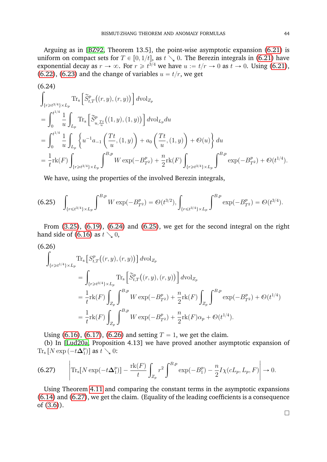Arguing as in [\[BZ92,](#page-62-1) Theorem 13.5], the point-wise asymptotic expansion [\(6.21\)](#page-44-1) is uniform on compact sets for  $T \in [0, 1/t]$ , as  $t \searrow 0$ . The Berezin integrals in [\(6.21\)](#page-44-1) have exponential decay as  $r \to \infty$ . For  $r \geq t^{3/4}$  we have  $u := t/r \to 0$  as  $t \to 0$ . Using [\(6.21\)](#page-44-1), [\(6.22\)](#page-44-2), [\(6.23\)](#page-44-3) and the change of variables  $u = t/r$ , we get

<span id="page-45-0"></span>
$$
(6.24)
$$
\n
$$
\int_{\{r \geq t^{3/4}\} \times L_p} \text{Tr}_s\left[\tilde{S}_{t,T}^p((r,y),(r,y))\right] d\text{vol}_{Z_p}
$$
\n
$$
= \int_0^{t^{1/4}} \frac{1}{u} \int_{L_p} \text{Tr}_s\left[\tilde{S}_{u,\frac{Tt}{u}}^p((1,y),(1,y))\right] d\text{vol}_{L_p} du
$$
\n
$$
= \int_0^{t^{1/4}} \frac{1}{u} \int_{L_p} \left\{ u^{-1} a_{-1} \left(\frac{Tt}{u}, (1,y)\right) + a_0 \left(\frac{Tt}{u}, (1,y)\right) + \mathcal{O}(u) \right\} du
$$
\n
$$
= \frac{1}{t} \text{rk}(F) \int_{\{r \geq t^{3/4}\} \times L_p} \int^{B,p} W \exp(-B_{T^2}^p) + \frac{n}{2} \text{rk}(F) \int_{\{r \geq t^{3/4}\} \times L_p} \int^{B,p} \exp(-B_{T^2}^p) + \mathcal{O}(t^{1/4}).
$$

We have, using the properties of the involved Berezin integrals,

<span id="page-45-1"></span>
$$
\text{(6.25)} \quad \int_{\{r \leq t^{3/4}\} \times L_p} \int^{B,p} W \exp(-B_{T^2}^p) = \mathcal{O}(t^{3/2}), \int_{\{r \leq t^{3/4}\} \times L_p} \int^{B,p} \exp(-B_{T^2}^p) = \mathcal{O}(t^{3/4}).
$$

From [\(3.25\)](#page-13-6), [\(6.19\)](#page-44-4), [\(6.24\)](#page-45-0) and [\(6.25\)](#page-45-1), we get for the second integral on the right hand side of [\(6.16\)](#page-43-1) as  $t \searrow 0$ ,

<span id="page-45-2"></span>
$$
(6.26)
$$
\n
$$
\int_{\{r \ge t^{1/4}\} \times L_p} \text{Tr}_s \left[ S_{t,T}^p \big( (r, y), (r, y) \big) \right] d\text{vol}_{Z_p}
$$
\n
$$
= \int_{\{r \ge t^{3/4}\} \times L_p} \text{Tr}_s \left[ \tilde{S}_{t,T}^p \big( (r, y), (r, y) \big) \right] d\text{vol}_{Z_p}
$$
\n
$$
= \frac{1}{t} \text{rk}(F) \int_{Z_p} \int_{s}^{B,p} W \exp(-B_{T^2}^p) + \frac{n}{2} \text{rk}(F) \int_{Z_p} \int_{s}^{B,p} \exp(-B_{T^2}^p) + \mathcal{O}(t^{1/4})
$$
\n
$$
= \frac{1}{t} \text{rk}(F) \int_{Z_p} \int_{s}^{B,p} W \exp(-B_{T^2}^p) + \frac{n}{2} \text{rk}(F) \alpha_p + \mathcal{O}(t^{1/4}).
$$

Using [\(6.16\)](#page-43-1), [\(6.17\)](#page-43-2), [\(6.26\)](#page-45-2) and setting  $T = 1$ , we get the claim.

(b) In [\[Lud20a,](#page-63-12) Proposition 4.13] we have proved another asymptotic expansion of Tr<sub>s</sub> [N exp  $(-t\Delta_1^p)$  $_{1}^{p})]$  as  $t\searrow 0$ : ˇ

<span id="page-45-3"></span>(6.27) 
$$
\left| \text{Tr}_{s}[N \exp(-t\Delta_{1}^{p})] - \frac{\text{rk}(F)}{t} \int_{Z_{p}} r^{2} \int_{z}^{B_{p}} \exp(-B_{1}^{p}) - \frac{n}{2} I \chi(cL_{p}, L_{p}, F) \right| \to 0.
$$

Using Theorem [4.11](#page-30-3) and comparing the constant terms in the asymptotic expansions [\(6.14\)](#page-43-3) and [\(6.27\)](#page-45-3), we get the claim. (Equality of the leading coefficients is a consequence of [\(3.6\)](#page-10-0)).

 $\Box$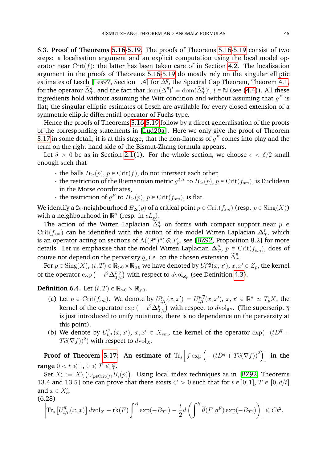<span id="page-46-0"></span>6.3. **Proof of Theorems [5.16](#page-39-2)[-5.19.](#page-39-3)** The proofs of Theorems [5.16](#page-39-2)[-5.19](#page-39-3) consist of two steps: a localisation argument and an explicit computation using the local model op-erator near Crit(f); the latter has been taken care of in Section [4.2.](#page-21-0) The localisation argument in the proofs of Theorems [5.16-](#page-39-2)[5.19](#page-39-3) do mostly rely on the singular elliptic estimates of Lesch [\[Les97,](#page-63-21) Section 1.4] for  $\Delta^{\overline{q}}$ , the Spectral Gap Theorem, Theorem [4.1,](#page-21-3) for the operator  $\tilde{\Delta}_T^{\bar{q}}$ , and the fact that  $\text{dom}(\Delta^{\bar{q}})^l = \text{dom}(\tilde{\Delta}_T^{\bar{q}})^l$ ,  $l \in \mathbb{N}$  (see [\(4.4\)](#page-20-1)). All these ingredients hold without assuming the Witt condition and without assuming that  $g^F$  is flat; the singular elliptic estimates of Lesch are available for every closed extension of a symmetric elliptic differential operator of Fuchs type.

Hence the proofs of Theorems [5.16-](#page-39-2)[5.19](#page-39-3) follow by a direct generalisation of the proofs of the corresponding statements in [\[Lud20a\]](#page-63-12). Here we only give the proof of Theorem [5.17](#page-39-1) in some detail; it is at this stage, that the non-flatness of  $g^F$  comes into play and the term on the right hand side of the Bismut-Zhang formula appears.

Let  $\delta > 0$  be as in Section [2.1\(](#page-4-1)1). For the whole section, we choose  $\epsilon < \delta/2$  small enough such that

- the balls  $B_{2\epsilon}(p)$ ,  $p \in \text{Crit}(f)$ , do not intersect each other,
- the restriction of the Riemannian metric  $g^{TX}$  to  $B_{2\epsilon}(p)$ ,  $p \in \mathrm{Crit}(f_{sm})$ , is Euclidean in the Morse coordinates,
- the restriction of  $g^F$  to  $B_{2\epsilon}(p)$ ,  $p \in \mathrm{Crit}(f_{sm})$ , is flat.

We identify a 2 $\epsilon$ -neighbourhood  $B_{2\epsilon}(p)$  of a critical point  $p \in \mathrm{Crit}(f_{sm})$  (resp.  $p \in \mathrm{Sing}(X)$ ) with a neighbourhood in  $\mathbb{R}^n$  (resp. in  $cL_p$ ).

The action of the Witten Laplacian  $\tilde{\tilde{\Delta}}_T^{\overline{q}}$  on forms with compact support near  $p \in$  $\mathrm{Crit}(f_{sm})$  can be identified with the action of the model Witten Laplacian  $\Delta_T^p$  $\frac{p}{T}$ , which is an operator acting on sections of  $\Lambda((\mathbb{R}^n)^*)\otimes F_p,$  see [\[BZ92,](#page-62-1) Proposition 8.2] for more details. Let us emphasise that the model Witten Laplacian  $\Delta_7^p$  $_{T}^{p},\ p\in\mathrm{Crit}(f_{sm}),$  does of course not depend on the perversity  $\bar{q}$ , *i.e.* on the chosen extension  $\tilde{\Delta}_T^{\bar{q}}$ .

For  $p\in \mathrm{Sing}(X),$   $(t,T)\in \mathbb{R}_{\geq 0}\times \mathbb{R}_{\geqslant 0}$  we have denoted by  $U^{p,\overline{q}}_{t,T}(x,x'),$   $x,x'\in Z_p,$  the kernel For  $p \in \text{Sing}(A)$ ,  $(t, 1) \in \mathbb{R}$ ,<br>of the operator  $\exp \left(-t^2 \Delta_{T}^{p,\overline{q}}\right)$  $\frac{p,q}{T/t}\big)$  with respect to  $d\text{vol}_{Z_p}$  (see Definition [4.3\)](#page-27-0).

**Definition 6.4.** Let  $(t, T) \in \mathbb{R}_{>0} \times \mathbb{R}_{\geq 0}$ .

- (a) Let  $p \in \text{Crit}(f_{sm})$ . We denote by  $U_{t,T}^p(x, x') = U_{t,T}^{p,\overline{q}}(x, x')$ ,  $x, x' \in \mathbb{R}^n \simeq T_pX$ , the Let  $p \in \text{Crit}(f_{sm})$ . We denote by  $U$ <br>kernel of the operator  $\exp \left(-t^2 \Delta_p^p\right)$  $_{T/t}^{p})$  with respect to  $d\mathrm{vol}_{\mathbb{R}^n}.$  (The superscript  $\overline{q}$ is just introduced to unify notations, there is no dependence on the perversity at this point).
- (b) We denote by  $U_{t,T}^{\overline{q}}(x, x')$ ,  $x, x' \in X_{sm}$ , the kernel of the operator  $\exp(-(tD^{\overline{q}} +$  $T\hat{c}(\nabla f))^2$ ) with respect to  $d\text{vol}_X$ . ⊤

**Proof of Theorem [5.17:](#page-39-1) An estimate of**  $\text{Tr}_{\text{s}}$  $\int f \exp \left(-\left(tD^{\overline{q}}+T\widehat{c}(\nabla f)\right)^2\right)$ **in the range**  $0 < t \leqslant 1$ ,  $0 \leqslant T \leqslant \frac{d}{t}$  $0 \leqslant T \leqslant \frac{d}{t}$ .

Set  $X'_\epsilon \,:=\,X\backslash \left(\cup_{p\in\operatorname{Crit}(f)}B_\epsilon(p)\right)$ . Using local index techniques as in [\[BZ92,](#page-62-1) Theorems 13.4 and 13.5] one can prove that there exists  $C > 0$  such that for  $t \in [0, 1], T \in [0, d/t]$ and  $x \in X'_\epsilon$ ,

<span id="page-46-1"></span>
$$
\left|\operatorname{Tr}_{\mathbf{s}}\left[U_{t,T}^{\overline{q}}(x,x)\right]d\operatorname{vol}_{X}-\operatorname{rk}(F)\int^{B}\exp(-B_{T^{2}})-\frac{t}{2}d\left(\int^{B}\widehat{\theta}(F,g^{F})\exp(-B_{T^{2}})\right)\right|\leq Ct^{2}.
$$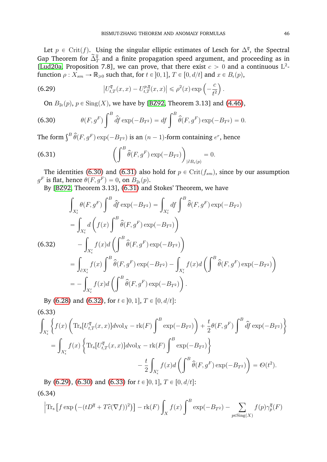Let  $p \in \text{Crit}(f)$ . Using the singular elliptic estimates of Lesch for  $\Delta^{\overline{q}}$ , the Spectral Gap Theorem for  $\tilde{\Delta}_T^{\bar{q}}$  and a finite propagation speed argument, and proceeding as in [\[Lud20a,](#page-63-12) Proposition 7.8], we can prove, that there exist  $c > 0$  and a continuous L<sup>2</sup>function  $\rho: X_{sm}\to \mathbb{R}_{\geqslant 0}$  such that, for  $t\in ]0,1],$   $T\in [0, d/t]$  and  $x\in B_{\epsilon}(p),$ on a construction of the construction of the construction of the construction of the construction of the construction of the construction of the construction of the construction of the construction of the construction of

(6.29) 
$$
|U_{t,T}^{\overline{q}}(x,x) - U_{t,T}^{p,\overline{q}}(x,x)| \leq \rho^{2}(x) \exp\left(-\frac{c}{t^{2}}\right).
$$

<span id="page-47-3"></span><span id="page-47-0"></span>On  $B_{2\epsilon}(p)$ ,  $p \in Sing(X)$ , we have by [\[BZ92,](#page-62-1) Theorem 3.13] and [\(4.46\)](#page-28-1),

(6.30) 
$$
\theta(F, g^F) \int^B \hat{df} \exp(-B_{T^2}) = df \int^B \hat{\theta}(F, g^F) \exp(-B_{T^2}) = 0.
$$

The form  $\int^B \widehat{\theta}(F, g^F) \exp(-B_{T^2})$  is an  $(n-1)$ -form containing  $e^r$ , hence ˙

<span id="page-47-1"></span>(6.31) 
$$
\left(\int^B \hat{\theta}(F,g^F) \exp(-B_{T^2})\right)_{|\partial B_{\epsilon}(p)} = 0.
$$

The identities [\(6.30\)](#page-47-0) and [\(6.31\)](#page-47-1) also hold for  $p \in \text{Crit}(f_{sm})$ , since by our assumption  $g^F$  is flat, hence  $\theta(F,g^F)=0$ , on  $B_{2\epsilon}(p)$ .

By [\[BZ92,](#page-62-1) Theorem 3.13], [\(6.31\)](#page-47-1) and Stokes' Theorem, we have

<span id="page-47-2"></span>
$$
\int_{X'_{\epsilon}} \theta(F, g^F) \int^B \hat{df} \exp(-B_{T^2}) = \int_{X'_{\epsilon}} df \int^B \hat{\theta}(F, g^F) \exp(-B_{T^2})
$$
\n
$$
= \int_{X'_{\epsilon}} d\left(f(x) \int^B \hat{\theta}(F, g^F) \exp(-B_{T^2})\right)
$$
\n(6.32)\n
$$
- \int_{X'_{\epsilon}} f(x) d\left(\int^B \hat{\theta}(F, g^F) \exp(-B_{T^2})\right)
$$
\n
$$
= \int_{\partial X'_{\epsilon}} f(x) \int^B \hat{\theta}(F, g^F) \exp(-B_{T^2}) - \int_{X'_{\epsilon}} f(x) d\left(\int^B \hat{\theta}(F, g^F) \exp(-B_{T^2})\right)
$$
\n
$$
= - \int_{X'_{\epsilon}} f(x) d\left(\int^B \hat{\theta}(F, g^F) \exp(-B_{T^2})\right).
$$

By [\(6.28\)](#page-46-1) and [\(6.32\)](#page-47-2), for  $t \in [0, 1], T \in [0, d/t]$ :

<span id="page-47-4"></span>(6.33)  
\n
$$
\int_{X'_{\epsilon}} \left\{ f(x) \left( \text{Tr}_{s}[U_{t,T}^{\overline{q}}(x,x)] d\text{vol}_{X} - \text{rk}(F) \int^{B} \exp(-B_{T^{2}}) \right) + \frac{t}{2} \theta(F, g^{F}) \int^{B} \hat{df} \exp(-B_{T^{2}}) \right\} \n= \int_{X'_{\epsilon}} f(x) \left\{ \text{Tr}_{s}[U_{t,T}^{\overline{q}}(x,x)] d\text{vol}_{X} - \text{rk}(F) \int^{B} \exp(-B_{T^{2}}) \right\} \n- \frac{t}{2} \int_{X'_{\epsilon}} f(x) d\left( \int^{B} \hat{\theta}(F, g^{F}) \exp(-B_{T^{2}}) \right) = \mathcal{O}(t^{2}).
$$

By [\(6.29\)](#page-47-3), [\(6.30\)](#page-47-0) and [\(6.33\)](#page-47-4) for  $t \in [0, 1], T \in [0, d/t]$ :

<span id="page-47-5"></span> $(6.34)$ 

$$
\left[ \operatorname{Tr}_{\mathbf{s}} \left[ f \exp \left( - (tD^{\overline{q}} + T\hat{c}(\nabla f))^2 \right) \right] - \operatorname{rk}(F) \int_X f(x) \int^B \exp(-B_{T^2}) - \sum_{p \in \operatorname{Sing}(X)} f(p) \gamma_p^{\overline{q}}(F)
$$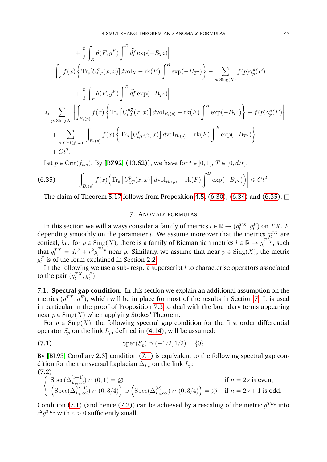$$
+\frac{t}{2}\int_{X}\theta(F,g^{F})\int^{B}\hat{df}\exp(-B_{T^{2}})\Big|
$$
  
\n=
$$
\Big|\int_{X}f(x)\Big\{\text{Tr}_{s}[U_{t,T}^{\overline{q}}(x,x)]d\text{vol}_{X}-\text{rk}(F)\int^{B}\exp(-B_{T^{2}})\Big\}-\sum_{p\in\text{Sing}(X)}f(p)\gamma_{p}^{\overline{q}}(F)
$$
  
\n
$$
+\frac{t}{2}\int_{X}\theta(F,g^{F})\int^{B}\hat{df}\exp(-B_{T^{2}})\Big|
$$
  
\n
$$
\leq \sum_{p\in\text{Sing}(X)}\Big|\int_{B_{\epsilon}(p)}f(x)\Big\{\text{Tr}_{s}[U_{t,T}^{p,\overline{q}}(x,x)]d\text{vol}_{B_{\epsilon}(p)}-\text{rk}(F)\int^{B}\exp(-B_{T^{2}})\Big\}-f(p)\gamma_{p}^{\overline{q}}(F)\Big|
$$
  
\n
$$
+\sum_{p\in\text{Crit}(f_{sm})}\Big|\int_{B_{\epsilon}(p)}f(x)\Big\{\text{Tr}_{s}[U_{t,T}^{p}(x,x)]d\text{vol}_{B_{\epsilon}(p)}-\text{rk}(F)\int^{B}\exp(-B_{T^{2}})\Big\}\Big|
$$
  
\n+ Ct<sup>2</sup>.

Let  $p \in \text{Crit}(f_{sm})$ . By [\[BZ92,](#page-62-1) (13.62)], we have for  $t \in [0, 1], T \in [0, d/t]$ , ˇ

<span id="page-48-1"></span>(6.35) 
$$
\left| \int_{B_{\epsilon}(p)} f(x) \Big( \text{Tr}_{s} \left[ U_{t,T}^{p}(x,x) \right] d\text{vol}_{B_{\epsilon}(p)} - \text{rk}(F) \int^{B} \exp(-B_{T^{2}}) \Big) \right| \leq C t^{2}.
$$

The claim of Theorem [5.17](#page-39-1) follows from Proposition [4.5,](#page-28-2) [\(6.30\)](#page-47-0), [\(6.34\)](#page-47-5) and [\(6.35\)](#page-48-1).  $\Box$ 

#### 7. ANOMALY FORMULAS

<span id="page-48-0"></span>In this section we will always consider a family of metrics  $l \in \mathbb{R} \to (g_l^{TX}, g_l^{F})$  on  $TX$ ,  $F$ depending smoothly on the parameter *l*. We assume moreover that the metrics  $g_l^{TX}$  are conical, *i.e.* for  $p \in Sing(X)$ , there is a family of Riemannian metrics  $l \in \mathbb{R} \to g_l^{TL_p}$  $l_l^{I\,L_p}$ , such that  $g_l^{TX} = dr^2 + r^2 g_l^{TL_p}$  near p. Similarly, we assume that near  $p \in Sing(X)$ , the metric  $g_l^F$  is of the form explained in Section [2.2.](#page-5-1)

In the following we use a sub- resp. a superscript  $l$  to characterise operators associated to the pair  $(g_l^{TX}, g_l^{F})$ .

7.1. **Spectral gap condition.** In this section we explain an additional assumption on the metrics  $(g^{TX}, g^{F}),$  which will be in place for most of the results in Section [7.](#page-48-0) It is used in particular in the proof of Proposition [7.3](#page-53-0) to deal with the boundary terms appearing near  $p \in Sing(X)$  when applying Stokes' Theorem.

For  $p \in Sing(X)$ , the following spectral gap condition for the first order differential operator  $S_p$  on the link  $L_p$ , defined in [\(4.14\)](#page-22-7), will be assumed:

<span id="page-48-2"></span>(7.1) 
$$
\operatorname{Spec}(S_p) \cap (-1/2, 1/2) = \{0\}.
$$

By [\[BL93,](#page-62-6) Corollary 2.3] condition [\(7.1\)](#page-48-2) is equivalent to the following spectral gap condition for the transversal Laplacian  $\Delta_{L_p}$  on the link  $L_p$ :

<span id="page-48-3"></span>(7.2)  
\n
$$
\begin{cases}\n\text{Spec}(\Delta_{L_p, ccl}^{(\nu-1)}) \cap (0, 1) = \varnothing & \text{if } n = 2\nu \text{ is even,} \\
\left(\text{Spec}(\Delta_{L_p, ccl}^{(\nu-1)}) \cap (0, 3/4)\right) \cup \left(\text{Spec}(\Delta_{L_p, ccl}^{(\nu)}) \cap (0, 3/4)\right) = \varnothing & \text{if } n = 2\nu + 1 \text{ is odd.}\n\end{cases}
$$

Condition [\(7.1\)](#page-48-2) (and hence [\(7.2\)](#page-48-3)) can be achieved by a rescaling of the metric  $g^{TL_p}$  into  $c^2g^{TL_p}$  with  $c>0$  sufficiently small.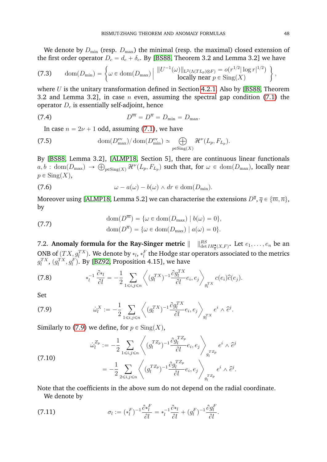We denote by  $D_{\min}$  (resp.  $D_{\max}$ ) the minimal (resp. the maximal) closed extension of the first order operator  $D_c = d_c + \delta_c.$  By [\[BS88,](#page-62-14) Theorem 3.2 and Lemma 3.2] we have

<span id="page-49-4"></span>(7.3) 
$$
\text{dom}(D_{\min}) = \left\{ \omega \in \text{dom}(D_{\max}) \middle| \frac{\|U^{-1}(\omega)\|_{\text{L}^2(\Lambda(T_{L_p}) \otimes F)}}{\text{locally near } p \in \text{Sing}(X)} \right\},
$$

where  $U$  is the unitary transformation defined in Section [4.2.1.](#page-21-4) Also by [\[BS88,](#page-62-14) Theorem 3.2 and Lemma 3.2], in case  $n$  even, assuming the spectral gap condition [\(7.1\)](#page-48-2) the operator  $D_c$  is essentially self-adjoint, hence

$$
(7.4) \t\t\t D^{\overline{m}} = D^{\overline{n}} = D_{\min} = D_{\max}.
$$

<span id="page-49-5"></span>In case  $n = 2\nu + 1$  odd, assuming [\(7.1\)](#page-48-2), we have

(7.5) 
$$
\text{dom}(D_{\max}^{\text{ev}})/\text{dom}(D_{\min}^{\text{ev}}) \simeq \bigoplus_{p \in \text{Sing}(X)} \mathcal{H}^{\nu}(L_p, F_{L_p}).
$$

By [\[BS88,](#page-62-14) Lemma 3.2], [\[ALMP18,](#page-62-15) Section 5], there are continuous linear functionals By [BS88, Lemma 3.2], [ALMP18, Section 5], there are continuous linear functionals  $a, b$ :  $\text{dom}(D_{\max}) \to \bigoplus_{p \in \text{Sing}(X)} \mathcal{H}^{\nu}(L_p, F_{L_p})$  such that, for  $\omega \in \text{dom}(D_{\max})$ , locally near  $p \in Sing(X)$ ,

<span id="page-49-2"></span>(7.6) 
$$
\omega - a(\omega) - b(\omega) \wedge dr \in \text{dom}(D_{\min}).
$$

Moreover using [\[ALMP18,](#page-62-15) Lemma 5.2] we can characterise the extensions  $D^{\overline{q}},$   $\overline{q}\in \{\overline{m},\overline{n}\},$ by

<span id="page-49-3"></span>(7.7) 
$$
\text{dom}(D^{\overline{m}}) = \{ \omega \in \text{dom}(D_{\text{max}}) \mid b(\omega) = 0 \},
$$

$$
\text{dom}(D^{\overline{n}}) = \{ \omega \in \text{dom}(D_{\text{max}}) \mid a(\omega) = 0 \}.
$$

7.2. **Anomaly formula for the Ray-Singer metric**  $\|\quad\|_{\det IH_{\overline{q}}^{\bullet}(X,F)}^{RS}$ . Let  $e_1, \ldots, e_n$  be an ONB of  $(TX, g^{TX}_l)$ . We denote by  $*_l$ ,  $*_l^F$  the Hodge star operators associated to the metrics  $g^{TX}_l,$   $(g^{TX}_l, g^{F}_l)$ . By [\[BZ92,](#page-62-1) Proposition 4.15], we have

G

(7.8) 
$$
*_l^{-1} \frac{\partial *_{l}}{\partial l} = -\frac{1}{2} \sum_{1 \leq i,j \leq n} \left\langle (g_l^{TX})^{-1} \frac{\partial g_l^{TX}}{\partial l} e_i, e_j \right\rangle_{g_l^{TX}} c(e_i) \widehat{c}(e_j).
$$

Set

<span id="page-49-0"></span>(7.9) 
$$
\dot{\omega}_l^X := -\frac{1}{2} \sum_{1 \le i,j \le n} \left\langle (g_l^{TX})^{-1} \frac{\partial g_l^{TX}}{\partial l} e_i, e_j \right\rangle_{g_l^{TX}} e^i \wedge \hat{e}^j.
$$

Similarly to [\(7.9\)](#page-49-0) we define, for  $p \in Sing(X)$ ,

<span id="page-49-1"></span>(7.10)  

$$
\dot{\omega}_l^{Z_p} := -\frac{1}{2} \sum_{1 \le i,j \le n} \left\langle (g_l^{T Z_p})^{-1} \frac{\partial g_l^{T Z_p}}{\partial l} e_i, e_j \right\rangle_{g_l^{T Z_p}} e^i \wedge \hat{e}^j
$$

$$
= -\frac{1}{2} \sum_{2 \le i,j \le n} \left\langle (g_l^{T Z_p})^{-1} \frac{\partial g_l^{T Z_p}}{\partial l} e_i, e_j \right\rangle_{g_l^{T Z_p}} e^i \wedge \hat{e}^j.
$$

Note that the coefficients in the above sum do not depend on the radial coordinate. We denote by

(7.11) 
$$
\sigma_l := (*_l^F)^{-1} \frac{\partial *_l^F}{\partial l} = *_l^{-1} \frac{\partial *_l}{\partial l} + (g_l^F)^{-1} \frac{\partial g_l^F}{\partial l}.
$$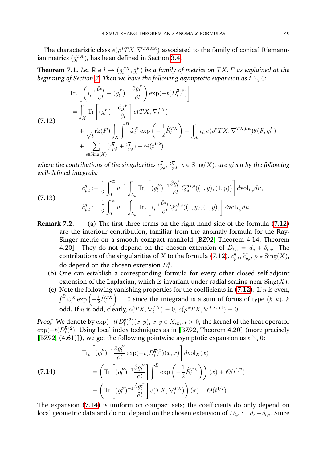The characteristic class  $e(\rho^*TX,\nabla^{TX,\text{tot}})$  associated to the family of conical Riemannian metrics  $(g^{TX}_l)_l$  has been defined in Section [3.4.](#page-11-0)

<span id="page-50-3"></span>**Theorem 7.1.** Let  $\mathbb{R} \ni l \to (g_l^{TX}, g_l^F)$  be a family of metrics on  $TX, F$  as explained at the *beginning of Section [7.](#page-48-0) Then we have the following asymptotic expansion as t*  $\searrow$  *0:* 

$$
\begin{split}\n&\text{Tr}_\text{s}\left[\left(\ast_l^{-1}\frac{\partial \ast_l}{\partial l} + (g_l^F)^{-1}\frac{\partial g_l^F}{\partial l}\right)\exp(-t(D_l^{\overline{q}})^2)\right] \\
&= \int_X \text{Tr}\left[(g_l^F)^{-1}\frac{\partial g_l^F}{\partial l}\right]e(TX,\nabla_l^{TX}) \\
&\quad + \frac{1}{\sqrt{t}}\text{rk}(F)\int_X \int_\sigma^\beta \dot{\omega}_l^X \exp\left(-\frac{1}{2}\dot{R}_l^{TX}\right) + \int_X \iota_{\partial_l}e(\rho^*TX,\nabla^{TX,\text{tot}})\theta(F,g_l^F) \\
&\quad + \sum_{p\in\text{Sing}(X)} (c_{p,l}^{\overline{q}} + \tilde{c}_{p,l}^{\overline{q}}) + \mathcal{O}(t^{1/2}),\n\end{split}
$$

<span id="page-50-0"></span>

where the contributions of the singularities  $c^\overline{q}_{p,l}$ ,  $\widetilde{c}^\overline{q}_{p,l}$ ,  $p\in\mathrm{Sing}(X)$ , are given by the following *well-defined integrals:* "

<span id="page-50-2"></span>(7.13)  

$$
c_{p,l}^{\overline{q}} := \frac{1}{2} \int_0^\infty u^{-1} \int_{L_p} \text{Tr}_s \left[ (g_l^F)^{-1} \frac{\partial g_l^F}{\partial l} Q_u^{p,l,\overline{q}}((1,y),(1,y)) \right] d\text{vol}_{L_p} du,
$$

$$
\tilde{c}_{p,l}^{\overline{q}} := \frac{1}{2} \int_0^\infty u^{-1} \int_{L_p} \text{Tr}_s \left[ *_{l}^{-1} \frac{\partial *_{l}}{\partial l} Q_u^{p,l,\overline{q}}((1,y),(1,y)) \right] d\text{vol}_{L_p} du.
$$

- **Remark 7.2.** (a) The first three terms on the right hand side of the formula [\(7.12\)](#page-50-0) are the interiour contribution, familiar from the anomaly formula for the Ray-Singer metric on a smooth compact manifold [\[BZ92,](#page-62-1) Theorem 4.14, Theorem 4.20]. They do not depend on the chosen extension of  $D_{l,c} = d_c + \delta_{l,c}$ . The contributions of the singularities of X to the formula [\(7.12\)](#page-50-0),  $c_{p,l}^{\bar{q}}, c_{p,l}^{\bar{q}}, p \in \text{Sing}(X)$ , do depend on the chosen extension  $D_l^{\bar{q}}$  $_l^q.$ 
	- (b) One can establish a corresponding formula for every other closed self-adjoint extension of the Laplacian, which is invariant under radial scaling near  $\text{Sing}(X)$ .
	- (c) Note the following vanishing properties for the coefficients in [\(7.12\)](#page-50-0): If *n* is even,<br> $s^B : X = (1 \dot{p}^T X) = 0$  since the integrand is a sum of farms of type  $(k, k) = k$ te the following $\dot{\omega}_l^{X} \exp\left(-\frac{1}{2} \dot{R}_l^{TX}\right)$ ¯  $= 0$  since the integrand is a sum of forms of type  $(k, k)$ , k odd. If *n* is odd, clearly,  $e(TX, \nabla_l^{TX}) = 0$ ,  $e(\rho^*TX, \nabla_l^{TX,tot}) = 0$ .

*Proof.* We denote by  $\exp(-t (D_l^{\bar q})$  $(\overline{q}^{\overline{q}})^2)(x,y),\, x,y\in X_{sm},\,t>0,$  the kernel of the heat operator  $\exp(-t(D_l^{\overline{q}})$  $\bar{q}^{(l)}_{(l)}$ ). Using local index techniques as in [\[BZ92,](#page-62-1) Theorem 4.20] (more precisely [\[BZ92,](#page-62-1) (4.61)]), we get the following pointwise asymptotic expansion as  $t \searrow 0$ :

<span id="page-50-1"></span>(7.14) 
$$
\operatorname{Tr}_{\mathbf{s}} \left[ (g_i^F)^{-1} \frac{\partial g_i^F}{\partial l} \exp(-t(D_i^{\overline{q}})^2)(x, x) \right] d\text{vol}_X(x)
$$

$$
= \left( \operatorname{Tr} \left[ (g_i^F)^{-1} \frac{\partial g_i^F}{\partial l} \right] \int^B \exp\left( -\frac{1}{2} \dot{R}_i^{TX} \right) \right) (x) + \mathcal{O}(t^{1/2})
$$

$$
= \left( \operatorname{Tr} \left[ (g_i^F)^{-1} \frac{\partial g_i^F}{\partial l} \right] e(TX, \nabla_i^{TX}) \right) (x) + \mathcal{O}(t^{1/2}).
$$

The expansion [\(7.14\)](#page-50-1) is uniform on compact sets; the coefficients do only depend on local geometric data and do not depend on the chosen extension of  $D_{l,c} := d_c + \delta_{l,c}$ . Since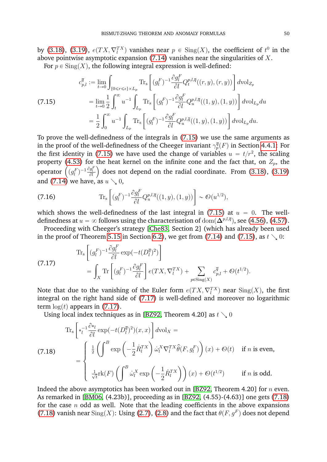by [\(3.18\)](#page-12-4), [\(3.19\)](#page-12-5),  $e(TX, \nabla_l^{TX})$  vanishes near  $p \in Sing(X)$ , the coefficient of  $t^0$  in the above pointwise asymptotic expansion  $(7.14)$  vanishes near the singularities of X.

For  $p \in \operatorname{Sing}(X)$ , the following integral expression is well-defined: .<br>...

<span id="page-51-0"></span>(7.15) 
$$
c_{p,l}^{\overline{q}} := \lim_{t \to 0} \int_{\{0 \le r \le \epsilon\} \times L_p} \text{Tr}_{s} \left[ (g_l^F)^{-1} \frac{\partial g_l^F}{\partial l} Q_t^{p,l,\overline{q}}((r, y), (r, y)) \right] d\text{vol}_{Z_p} = \lim_{t \to 0} \frac{1}{2} \int_t^{\infty} u^{-1} \int_{L_p} \text{Tr}_{s} \left[ (g_l^F)^{-1} \frac{\partial g_l^F}{\partial l} Q_u^{p,l,\overline{q}}((1, y), (1, y)) \right] d\text{vol}_{L_p} du = \frac{1}{2} \int_0^{\infty} u^{-1} \int_{L_p} \text{Tr}_{s} \left[ (g_l^F)^{-1} \frac{\partial g_l^F}{\partial l} Q_u^{p,l,\overline{q}}((1, y), (1, y)) \right] d\text{vol}_{L_p} du.
$$

To prove the well-definedness of the integrals in [\(7.15\)](#page-51-0) we use the same arguments as in the proof of the well-definedness of the Cheeger invariant  $\gamma_p^{\overline{q}}(F)$  in Section [4.4.1:](#page-29-6) For the first identity in [\(7.15\)](#page-51-0) we have used the change of variables  $u = t/r^2$ , the scaling property [\(4.53\)](#page-29-4) for the heat kernel on the infinite cone and the fact that, on  $Z_p$ , the property (4.53) for the heat kernel on the infinite cone and the fact that, on  $Z_p$ , the<br>operator  $((g_l^F)^{-1} \frac{\partial g_l^F}{\partial l})$  does not depend on the radial coordinate. From [\(3.18\)](#page-12-4), [\(3.19\)](#page-12-5) and [\(7.14\)](#page-50-1) we have, as  $u \searrow 0$ ,

(7.16) 
$$
\text{Tr}_{s}\left[ (g_{l}^{F})^{-1} \frac{\partial g_{l}^{F}}{\partial l} Q_{u}^{p,l,\bar{q}}((1,y),(1,y)) \right] \sim \mathcal{O}(u^{1/2}),
$$

which shows the well-definedness of the last integral in [\(7.15\)](#page-51-0) at  $u = 0$ . The welldefinedness at  $u=\infty$  follows using the characterisation of  ${\rm dom}(\mathbf{\Delta}^{p,l,\overline{q}}),$  see [\(4.56\)](#page-30-0), [\(4.57\)](#page-30-4).

Proceeding with Cheeger's strategy [\[Che83,](#page-62-12) Section 2] (which has already been used in the proof of Theorem [5.15](#page-38-0) in Section [6.2\)](#page-40-0), we get from [\(7.14\)](#page-50-1) and [\(7.15\)](#page-51-0), as  $t\searrow 0$ : "

<span id="page-51-1"></span>(7.17) 
$$
\operatorname{Tr}_{\mathbf{s}}\left[ (g_l^F)^{-1} \frac{\partial g_l^F}{\partial l} \exp\left(-t(D_l^{\overline{q}})^2\right) \right] = \int_X \operatorname{Tr}\left[ (g_l^F)^{-1} \frac{\partial g_l^F}{\partial l} \right] e(TX, \nabla_l^{TX}) + \sum_{p \in \operatorname{Sing}(X)} c_{p,l}^{\overline{q}} + \mathcal{O}(t^{1/2}).
$$

Note that due to the vanishing of the Euler form  $e(TX, \nabla^{TX}_l)$  near  $\mathrm{Sing}(X)$ , the first integral on the right hand side of [\(7.17\)](#page-51-1) is well-defined and moreover no logarithmic term  $\log(t)$  appears in [\(7.17\)](#page-51-1).

Using local index techniques as in [\[BZ92,](#page-62-1) Theorem 4.20] as  $t\searrow 0$ 

<span id="page-51-2"></span>(7.18)  
\n
$$
\operatorname{Tr}_{\mathbf{s}}\left[\begin{array}{l}\ast_{l}^{-1}\frac{\partial\ast_{l}}{\partial l}\exp(-t(D_{l}^{\overline{q}})^{2})(x,x)\end{array}\right]d\mathrm{vol}_{X} = \begin{cases}\n\frac{1}{2}\left(\int^{B}\exp\left(-\frac{1}{2}\dot{R}_{l}^{TX}\right)\dot{\omega}_{l}^{X}\nabla_{l}^{TX}\hat{\theta}(F,g_{l}^{F})\right)(x) + \Theta(t) & \text{if } n \text{ is even,} \\
\frac{1}{\sqrt{t}}\mathrm{rk}(F)\left(\int^{B}\dot{\omega}_{l}^{X}\exp\left(-\frac{1}{2}\dot{R}_{l}^{TX}\right)\right)(x) + \Theta(t^{1/2}) & \text{if } n \text{ is odd.}\n\end{cases}
$$

Indeed the above asymptotics has been worked out in [\[BZ92,](#page-62-1) Theorem 4.20] for  $n$  even. As remarked in [\[BM06,](#page-62-16) (4.23b)], proceeding as in [\[BZ92,](#page-62-1) (4.55)-(4.63)] one gets [\(7.18\)](#page-51-2) for the case  $n$  odd as well. Note that the leading coefficients in the above expansions [\(7.18\)](#page-51-2) vanish near  $\text{Sing}(X)$ : Using [\(2.7\)](#page-6-2), [\(2.8\)](#page-6-1) and the fact that  $\theta(F, g^F)$  does not depend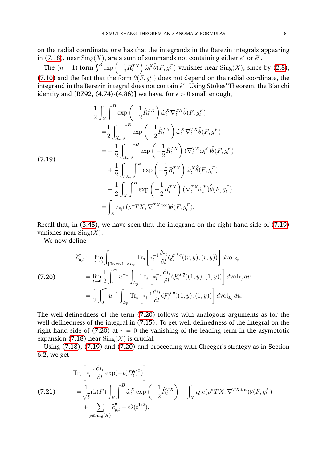on the radial coordinate, one has that the integrands in the Berezin integrals appearing in [\(7.18\)](#page-51-2), near  $\operatorname{Sing}(X)$ , are a sum of summands not containing either  $e^r$  or  $\widehat{e}^r$ .

(7.18), near Sing(X), are a sum of summands not containing either  $e^r$  or  $\hat{e}^r$ .<br>The  $(n-1)$ -form  $\int^B \exp\left(-\frac{1}{2}\dot{R}_l^{TX}\right) \dot{\omega}_l^X \hat{\theta}(F, g_l^F)$  vanishes near  $\text{Sing}(X)$ , since by [\(2.8\)](#page-6-1), [\(7.10\)](#page-49-1) and the fact that the form  $\theta(F, g_i^F)$  does not depend on the radial coordinate, the integrand in the Berezin integral does not contain  $\widehat{e}^r$ . Using Stokes' Theorem, the Bianchi identity and [\[BZ92,](#page-62-1) (4.74)-(4.86)] we have, for  $\epsilon > 0$  small enough,

<span id="page-52-0"></span>
$$
\frac{1}{2} \int_{X} \int_{\alpha}^{B} \exp\left(-\frac{1}{2} \dot{R}_{l}^{TX}\right) \dot{\omega}_{l}^{X} \nabla_{l}^{TX} \hat{\theta}(F, g_{l}^{F})
$$
\n
$$
= \frac{1}{2} \int_{X_{\epsilon}} \int_{\alpha}^{B} \exp\left(-\frac{1}{2} \dot{R}_{l}^{TX}\right) \dot{\omega}_{l}^{X} \nabla_{l}^{TX} \hat{\theta}(F, g_{l}^{F})
$$
\n
$$
= -\frac{1}{2} \int_{X_{\epsilon}} \int_{\alpha}^{B} \exp\left(-\frac{1}{2} \dot{R}_{l}^{TX}\right) (\nabla_{l}^{TX} \dot{\omega}_{l}^{X}) \hat{\theta}(F, g_{l}^{F})
$$
\n
$$
+ \frac{1}{2} \int_{\partial X_{\epsilon}} \int_{\alpha}^{B} \exp\left(-\frac{1}{2} \dot{R}_{l}^{TX}\right) \dot{\omega}_{l}^{X} \hat{\theta}(F, g_{l}^{F})
$$
\n
$$
= -\frac{1}{2} \int_{X} \int_{\alpha}^{B} \exp\left(-\frac{1}{2} \dot{R}_{l}^{TX}\right) (\nabla_{l}^{TX} \dot{\omega}_{l}^{X}) \hat{\theta}(F, g_{l}^{F})
$$
\n
$$
= \int_{X} \iota_{\partial_{l}} e(\rho^{*}TX, \nabla^{TX, \text{tot}}) \theta(F, g_{l}^{F}).
$$

Recall that, in [\(3.45\)](#page-16-4), we have seen that the integrand on the right hand side of [\(7.19\)](#page-52-0) vanishes near  $\text{Sing}(X)$ .

We now define

<span id="page-52-1"></span>(7.20) 
$$
\tilde{c}_{p,l}^{\overline{q}} := \lim_{t \to 0} \int_{\{0 \le r \le 1\} \times L_p} \text{Tr}_{s} \left[ *_{l}^{-1} \frac{\partial *_{l}}{\partial l} Q_{t}^{p,l,\overline{q}}((r, y), (r, y)) \right] d\text{vol}_{Z_p} \n= \lim_{t \to 0} \frac{1}{2} \int_{t}^{\infty} u^{-1} \int_{L_p} \text{Tr}_{s} \left[ *_{l}^{-1} \frac{\partial *_{l}}{\partial l} Q_{u}^{p,l,\overline{q}}((1, y), (1, y)) \right] d\text{vol}_{L_p} du \n= \frac{1}{2} \int_{0}^{\infty} u^{-1} \int_{L_p} \text{Tr}_{s} \left[ *_{l}^{-1} \frac{\partial *_{l}}{\partial l} Q_{u}^{p,l,\overline{q}}((1, y), (1, y)) \right] d\text{vol}_{L_p} du.
$$

The well-definedness of the term [\(7.20\)](#page-52-1) follows with analogous arguments as for the well-definedness of the integral in [\(7.15\)](#page-51-0). To get well-definedness of the integral on the right hand side of [\(7.20\)](#page-52-1) at  $r = 0$  the vanishing of the leading term in the asymptotic expansion [\(7.18\)](#page-51-2) near  $\text{Sing}(X)$  is crucial.

Using [\(7.18\)](#page-51-2), [\(7.19\)](#page-52-0) and [\(7.20\)](#page-52-1) and proceeding with Cheeger's strategy as in Section [6.2,](#page-40-0) we get

<span id="page-52-2"></span>(7.21) 
$$
\operatorname{Tr}_{\mathbf{s}}\left[\begin{array}{l}\ast_{l}^{-1}\frac{\partial\ast_{l}}{\partial l}\exp(-t(D_{l}^{\overline{q}})^{2})\end{array}\right]
$$

$$
=\frac{1}{\sqrt{t}}\operatorname{rk}(F)\int_{X}\int_{0}^{B}\dot{\omega}_{l}^{X}\exp\left(-\frac{1}{2}\dot{R}_{l}^{TX}\right)+\int_{X}\iota_{\partial_{l}}e(\rho^{*}TX,\nabla^{TX,\text{tot}})\theta(F,g_{l}^{F})+\sum_{p\in\text{Sing}(X)}\tilde{c}_{p,l}^{\overline{q}}+O(t^{1/2}).
$$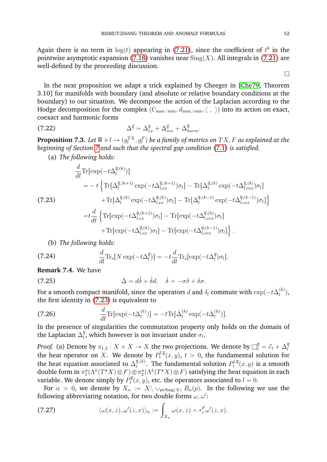Again there is no term in  $\log(t)$  appearing in [\(7.21\)](#page-52-2), since the coefficient of  $t^0$  in the pointwise asymptotic expansion [\(7.18\)](#page-51-2) vanishes near  $\text{Sing}(X)$ . All integrals in [\(7.21\)](#page-52-2) are well-defined by the proceeding discussion.

In the next proposition we adapt a trick explained by Cheeger in [\[Che79,](#page-62-0) Theorem 3.10] for manifolds with boundary (and absolute or relative boundary conditions at the boundary) to our situation. We decompose the action of the Laplacian according to the Hodge decomposition for the complex  $(C_{\max/\min}, d_{\max/\min}, \langle , \rangle)$  into its action on exact, coexact and harmonic forms

(7.22) 
$$
\Delta^{\overline{q}} = \Delta^{\overline{q}}_{ex} + \Delta^{\overline{q}}_{cex} + \Delta^{\overline{q}}_{harm}.
$$

<span id="page-53-0"></span>**Proposition 7.3.** Let  $\mathbb{R} \ni l \to (g_l^{TX}, g_l^F)$  be a family of metrics on  $TX, F$  as explained at the *beginning of Section [7](#page-48-0) and such that the spectral gap condition* [\(7.1\)](#page-48-2) *is satisfied.*

(a) *The following holds:*

<span id="page-53-1"></span>
$$
\frac{d}{dl}\text{Tr}[\exp(-t\Delta_l^{\overline{q},(k)})]
$$
\n
$$
= -t \left\{ \text{Tr}[\Delta_l^{\overline{q},(k+1)} \exp(-t\Delta_{l,ex}^{\overline{q},(k+1)})\sigma_l] - \text{Tr}[\Delta_l^{\overline{q},(k)} \exp(-t\Delta_{l,ex}^{\overline{q},(k)})\sigma_l] \right\}
$$
\n(7.23)\n
$$
+ \text{Tr}[\Delta_l^{\overline{q},(k)} \exp(-t\Delta_{l,ex}^{\overline{q},(k)})\sigma_l] - \text{Tr}[\Delta_l^{\overline{q},(k-1)} \exp(-t\Delta_{l,ex}^{\overline{q},(k-1)})\sigma_l] \right\}
$$
\n
$$
= t \frac{d}{dt} \left\{ \text{Tr}[\exp(-t\Delta_{l,ex}^{\overline{q},(k+1)})\sigma_l] - \text{Tr}[\exp(-t\Delta_{l,ex}^{\overline{q},(k)})\sigma_l] \right\}
$$
\n
$$
+ \text{Tr}[\exp(-t\Delta_{l,ex}^{\overline{q},(k)})\sigma_l] - \text{Tr}[\exp(-t\Delta_{l,ex}^{\overline{q},(k-1)})\sigma_l] \right\}.
$$

<span id="page-53-2"></span>(b) *The following holds:*

(7.24) 
$$
\frac{d}{dl} \text{Tr}_s[N \exp(-t\Delta_l^{\overline{q}})] = -t \frac{d}{dt} \text{Tr}_s[\exp(-t\Delta_l^{\overline{q}})\sigma_l].
$$

**Remark 7.4.** We have

(7.25) 
$$
\dot{\Delta} = d\dot{\delta} + \dot{\delta}d, \quad \dot{\delta} = -\sigma\delta + \delta\sigma.
$$

For a smooth compact manifold, since the operators  $d$  and  $\delta_l$  commute with  $\exp(-t\Delta_l^{(k)})$  $\binom{(\kappa)}{l},$ the first identity in [\(7.23\)](#page-53-1) is equivalent to

(7.26) 
$$
\frac{d}{dl}\text{Tr}[\exp(-t\Delta_l^{(k)})] = -t\text{Tr}[\dot{\Delta}_l^{(k)}\exp(-t\Delta_l^{(k)})].
$$

In the presence of singularities the commutation property only holds on the domain of the Laplacian  $\Delta_l^{\overline{q}}$  $l_i^q$ , which however is not invariant under  $\sigma_l$ .

*Proof.* (a) Denote by  $\pi_{1,2}:X\times X\to X$  the two projections. We denote by  $\Box_l^{\overline{q}}=\partial_t+\Delta_l^{\overline{q}}$ l the heat operator on  $X$ . We denote by  $P_t^{l,\bar{q}}$  $t^{p\iota,q}_t(x,y),\ t>0,$  the fundamental solution for the heat equation associated to  $\Delta_l^{\overline{q},(k)}$  $\bar{q},^{(\bar{k})}.$  The fundamental solution  $P_t^{l,\bar{q}}$  $p^{t,q}_t(x,y)$  is a smooth double form in  $\pi_1^*(\Lambda^k(T^*X)\otimes F)\otimes \pi_2^*(\Lambda^k(T^*X)\otimes F)$  satisfying the heat equation in each variable. We denote simply by  $P_t^{\bar{q}}$  $t^{\text{opt}}_t(x,y)$ , etc. the operators associated to  $l=0.5$ 

For  $\alpha > 0$ , we denote by  $X_\alpha := X \setminus \cup_{p \in \text{Sing}(X)} B_\alpha(p)$ . In the following we use the following abbreviating notation, for two double forms  $\omega, \omega'$ :

(7.27) 
$$
\langle \omega(x,z), \omega'(z,x) \rangle_{\alpha} := \int_{X_{\alpha}} \omega(x,z) \wedge *_{z}^{F} \omega'(z,x).
$$

 $\Box$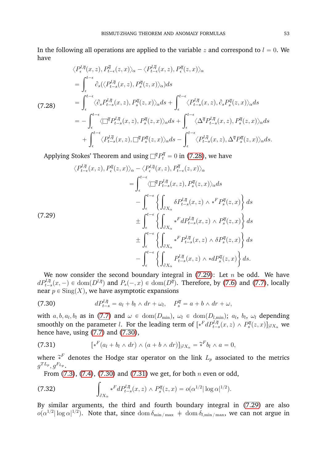In the following all operations are applied to the variable z and correspond to  $l = 0$ . We have

<span id="page-54-0"></span>
$$
\langle P_{\epsilon}^{l,\overline{q}}(x,z), P_{t-\epsilon}^{\overline{q}}(z,x) \rangle_{\alpha} - \langle P_{t-\epsilon}^{l,\overline{q}}(x,z), P_{\epsilon}^{\overline{q}}(z,x) \rangle_{\alpha}
$$
\n
$$
= \int_{\epsilon}^{t-\epsilon} \partial_{s} (\langle P_{t-s}^{l,\overline{q}}(x,z), P_{s}^{\overline{q}}(z,x) \rangle_{\alpha}) ds
$$
\n(7.28)\n
$$
= \int_{\epsilon}^{t-\epsilon} \langle \partial_{s} P_{t-s}^{l,\overline{q}}(x,z), P_{s}^{\overline{q}}(z,x) \rangle_{\alpha} ds + \int_{\epsilon}^{t-\epsilon} \langle P_{t-s}^{l,\overline{q}}(x,z), \partial_{s} P_{s}^{\overline{q}}(z,x) \rangle_{\alpha} ds
$$
\n
$$
= - \int_{\epsilon}^{t-\epsilon} \langle \Box^{\overline{q}} P_{t-s}^{l,\overline{q}}(x,z), P_{s}^{\overline{q}}(z,x) \rangle_{\alpha} ds + \int_{\epsilon}^{t-\epsilon} \langle \Delta^{\overline{q}} P_{t-s}^{l,\overline{q}}(x,z), P_{s}^{\overline{q}}(z,x) \rangle_{\alpha} ds
$$
\n
$$
+ \int_{\epsilon}^{t-\epsilon} \langle P_{t-s}^{l,\overline{q}}(x,z), \Box^{\overline{q}} P_{s}^{\overline{q}}(z,x) \rangle_{\alpha} ds - \int_{\epsilon}^{t-\epsilon} \langle P_{t-s}^{l,\overline{q}}(x,z), \Delta^{\overline{q}} P_{s}^{\overline{q}}(z,x) \rangle_{\alpha} ds.
$$

Applying Stokes' Theorem and using  $\Box^{\overline q}P_t^{\overline q}=0$  in [\(7.28\)](#page-54-0), we have

<span id="page-54-1"></span>
$$
\langle P_{t-\epsilon}^{l,\overline{q}}(x,z), P_{\epsilon}^{\overline{q}}(z,x) \rangle_{\alpha} - \langle P_{\epsilon}^{l,\overline{q}}(x,z), P_{t-\epsilon}^{\overline{q}}(z,x) \rangle_{\alpha}
$$
\n
$$
= \int_{\epsilon}^{t-\epsilon} \langle \Box^{\overline{q}} P_{t-s}^{l,\overline{q}}(x,z), P_s^{\overline{q}}(z,x) \rangle_{\alpha} ds
$$
\n
$$
- \int_{\epsilon}^{t-\epsilon} \left\{ \int_{\partial X_{\alpha}} \delta P_{t-s}^{l,\overline{q}}(x,z) \wedge *^F P_s^{\overline{q}}(z,x) \right\} ds
$$
\n(7.29)\n
$$
\pm \int_{\epsilon}^{t-\epsilon} \left\{ \int_{\partial X_{\alpha}} *^F d P_{t-s}^{l,\overline{q}}(x,z) \wedge P_s^{\overline{q}}(z,x) \right\} ds
$$
\n
$$
+ \int_{\epsilon}^{t-\epsilon} \left\{ \int_{\partial X_{\alpha}} *^F P_{t-s}^{l,\overline{q}}(x,z) \wedge \delta P_s^{\overline{q}}(z,x) \right\} ds
$$
\n
$$
- \int_{\epsilon}^{t-\epsilon} \left\{ \int_{\partial X_{\alpha}} P_{t-s}^{l,\overline{q}}(x,z) \wedge * d P_s^{\overline{q}}(z,x) \right\} ds.
$$

We now consider the second boundary integral in  $(7.29)$ : Let n be odd. We have  $dP_{t-s}^{l,\overline{q}}(x,-)\in \text{dom}(D^{l,\overline{q}})$  and  $P_s(-,x)\in \text{dom}(D^{\overline{q}})$ . Therefore, by [\(7.6\)](#page-49-2) and [\(7.7\)](#page-49-3), locally near  $p \in Sing(X)$ , we have asymptotic expansions

<span id="page-54-2"></span>(7.30) 
$$
dP_{t-s}^{l,\overline{q}} = a_l + b_l \wedge dr + \omega_l, \quad P_s^{\overline{q}} = a + b \wedge dr + \omega,
$$

with  $a, b, a_l, b_l$  as in [\(7.7\)](#page-49-3) and  $\omega \in \text{dom}(D_{\min}), \ \omega_l \in \text{dom}(D_{l,\min}); \ a_l, \ b_l, \ \omega_l$  depending smoothly on the parameter *l*. For the leading term of  $[*^F dP^{l,\overline{q}}_{t-s}(x,z) \wedge P^{\overline{q}}_s(z,x)]_{|\partial X_\alpha}$  we hence have, using [\(7.7\)](#page-49-3) and [\(7.30\)](#page-54-2),

<span id="page-54-3"></span>(7.31) 
$$
[*F(al + bl \wedge dr) \wedge (a + b \wedge dr)]_{|\partial X_{\alpha}} = \tilde{*}^{F}b_{l} \wedge a = 0,
$$

where  $\widetilde{\ast}^F$  denotes the Hodge star operator on the link  $L_p$  associated to the metrics  $g^{TL_p}, g^{F_{L_p}}$ .

<span id="page-54-4"></span>From  $(7.3)$ ,  $(7.4)$ ,  $(7.30)$  and  $(7.31)$  we get, for both *n* even or odd,

(7.32) 
$$
\int_{\partial X_{\alpha}} *^{F} dP_{t-s}^{l,\overline{q}}(x, z) \wedge P_{s}^{\overline{q}}(z, x) = o(\alpha^{1/2} |\log \alpha|^{1/2}).
$$

By similar arguments, the third and fourth boundary integral in [\(7.29\)](#page-54-1) are also  $o(\alpha^{1/2} | \log \alpha|^{1/2})$ . Note that, since  $\dim \delta_{\min/\max}$   $+$   $\dim \delta_{l,\min/\max}$ , we can not argue in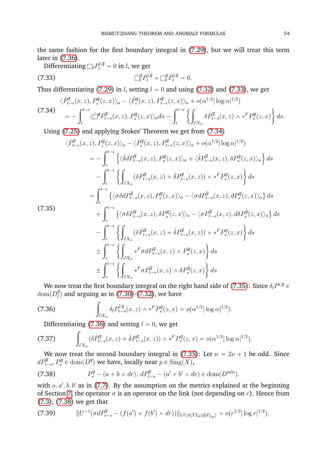the same fashion for the first boundary integral in [\(7.29\)](#page-54-1), but we will treat this term later in [\(7.36\)](#page-55-0).

<span id="page-55-1"></span>Differentiating  $\Box_l P_t^{l,\overline{q}}=0$  in  $l,$  we get

(7.33) 
$$
\dot{\Box}_l^{\overline{q}} P_t^{l, \overline{q}} + \Box_l^{\overline{q}} \dot{P}_t^{l, \overline{q}} = 0.
$$

Thus differentiating [\(7.29\)](#page-54-1) in *l*, setting  $l = 0$  and using [\(7.32\)](#page-54-4) and [\(7.33\)](#page-55-1), we get

<span id="page-55-2"></span>
$$
\langle \dot{P}_{t-\epsilon}^{\overline{q}}(x,z), P_{\epsilon}^{\overline{q}}(z,x) \rangle_{\alpha} - \langle \dot{P}_{\epsilon}^{\overline{q}}(x,z), P_{t-\epsilon}^{\overline{q}}(z,x) \rangle_{\alpha} + o(\alpha^{1/2} |\log \alpha|^{1/2})
$$
  
(7.34)  

$$
= - \int_{\epsilon}^{t-\epsilon} \langle \dot{\Box}^{\overline{q}} P_{t-s}^{\overline{q}}(x,z), P_{s}^{\overline{q}}(z,x) \rangle_{\alpha} ds - \int_{\epsilon}^{t-\epsilon} \left\{ \int_{\partial X_{\alpha}} \delta \dot{P}_{t-s}^{\overline{q}}(x,z) \wedge *^F P_{s}^{\overline{q}}(z,x) \right\} ds.
$$

Using [\(7.25\)](#page-53-2) and applying Stokes' Theorem we get from [\(7.34\)](#page-55-2)

<span id="page-55-3"></span>
$$
\langle \dot{P}_{t-\epsilon}^{\overline{q}}(x,z), P_{\epsilon}^{\overline{q}}(z,x) \rangle_{\alpha} - \langle \dot{P}_{\epsilon}^{\overline{q}}(x,z), P_{t-\epsilon}^{\overline{q}}(z,x) \rangle_{\alpha} + o(\alpha^{1/2} |\log \alpha|^{1/2})
$$
\n
$$
= -\int_{\epsilon}^{t-\epsilon} \left\{ \langle \dot{\delta} d P_{t-s}^{\overline{q}}(x,z), P_s^{\overline{q}}(z,x) \rangle_{\alpha} + \langle \dot{\delta} P_{t-s}^{\overline{q}}(x,z), \delta P_s^{\overline{q}}(z,x) \rangle_{\alpha} \right\} ds
$$
\n
$$
- \int_{\epsilon}^{t-\epsilon} \left\{ \int_{\partial X_{\alpha}} (\delta \dot{P}_{t-s}^{\overline{q}}(x,z) + \delta P_{t-s}^{\overline{q}}(x,z)) \wedge *^F P_s^{\overline{q}}(z,x) \right\} ds
$$
\n
$$
= \int_{\epsilon}^{t-\epsilon} \left\{ \langle \sigma \delta d P_{t-s}^{\overline{q}}(x,z), P_s^{\overline{q}}(z,x) \rangle_{\alpha} - \langle \sigma d P_{t-s}^{\overline{q}}(x,z), d P_s^{\overline{q}}(z,x) \rangle_{\alpha} \right\} ds
$$
\n(7.35)\n
$$
+ \int_{\epsilon}^{t-\epsilon} \left\{ \langle \sigma \delta P_{t-s}^{\overline{q}}(x,z), \delta P_s^{\overline{q}}(z,x) \rangle_{\alpha} - \langle \sigma P_{t-s}^{\overline{q}}(x,z), d \delta P_s^{\overline{q}}(z,x) \rangle_{\alpha} \right\} ds
$$
\n
$$
- \int_{\epsilon}^{t-\epsilon} \left\{ \int_{\partial X_{\alpha}} (\delta \dot{P}_{t-s}^{\overline{q}}(x,z) + \delta P_{t-s}^{\overline{q}}(x,z)) \wedge *^F P_s^{\overline{q}}(z,x) \right\} ds
$$
\n
$$
\pm \int_{\epsilon}^{t-\epsilon} \left\{ \int_{\partial X_{\alpha}} *^F \sigma d P_{t-s}^{\overline{q}}(x,z) \wedge P_s^{\overline{q}}(z,x) \right\} ds
$$
\n
$$
\pm \int_{
$$

We now treat the first boundary integral on the right hand side of [\(7.35\)](#page-55-3): Since  $\delta_l P^{l,\overline{q}}$   $\in$  $\text{dom}(D_l^{\overline{q}})$ 

dom(
$$
D_l^q
$$
) and arguing as in (7.30)-(7.32), we have  
(7.36) 
$$
\int_{\partial X_{\alpha}} \delta_l P_{t-s}^{l,\overline{q}}(x, z) \wedge *^F P_s^{\overline{q}}(z, x) = o(\alpha^{1/2} |\log \alpha|^{1/2}).
$$

<span id="page-55-6"></span><span id="page-55-0"></span>

Differentiating (7.36) and setting 
$$
l = 0
$$
, we get  
\n(7.37) 
$$
\int_{\partial X_{\alpha}} (\delta \dot{P}_{t-s}^{\overline{q}}(x, z) + \dot{\delta} P_{t-s}^{\overline{q}}(x, z)) \wedge *^F P_s^{\overline{q}}(z, x) = o(\alpha^{1/2} |\log \alpha|^{1/2}).
$$

We now treat the second boundary integral in [\(7.35\)](#page-55-3): Let  $n = 2\nu + 1$  be odd. Since  $dP^{\overline{q}}_{t-s}, P^{\overline{q}}_s \in \text{dom}(D^{\overline{q}})$  we have, locally near  $p \in \text{Sing}(X),$ 

<span id="page-55-4"></span>(7.38) 
$$
P_s^{\overline{q}} - (a + b \wedge dr), dP_{t-s}^{\overline{q}} - (a' + b' \wedge dr) \in \text{dom}(D^{\min}).
$$

with  $a, a', b, b'$  as in [\(7.7\)](#page-49-3). By the assumption on the metrics explained at the beginning of Section [7,](#page-48-0) the operator  $\sigma$  is an operator on the link (not depending on r). Hence from [\(7.3\)](#page-49-4), [\(7.38\)](#page-55-4) we get that

<span id="page-55-5"></span>
$$
(7.39) \t\t ||U^{-1}(\sigma dP_{t-s}^{\overline{q}} - (f(a') + f(b') \wedge dr))||_{L^{2}(\Lambda(TL_{p}) \otimes F_{L_{p}})} = o(r^{1/2}|\log r|^{1/2}),
$$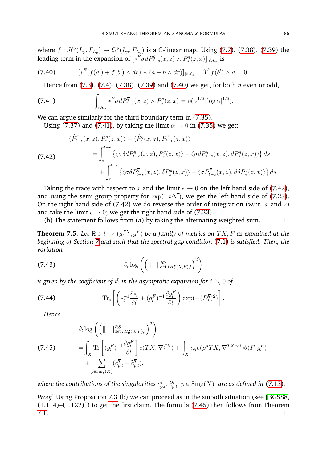where  $f: \mathcal{H}^{\nu}(L_p, F_{L_p}) \to \Omega^{\nu}(L_p, F_{L_p})$  is a C-linear map. Using [\(7.7\)](#page-49-3), [\(7.38\)](#page-55-4), [\(7.39\)](#page-55-5) the leading term in the expansion of  $[\ast^F \sigma dP^{\overline{q}}_{t-s}(x,z)\wedge P^{\overline{q}}_s(z,x)]_{|\partial X_\alpha}$  is

(7.40) 
$$
[*F(f(a') + f(b') \wedge dr) \wedge (a + b \wedge dr)]_{|\partial X_{\alpha}} = \tilde{*}^{F}f(b') \wedge a = 0.
$$

<span id="page-56-2"></span><span id="page-56-1"></span>Hence from  $(7.3)$ ,  $(7.4)$ ,  $(7.38)$ ,  $(7.39)$  and  $(7.40)$  we get, for both n even or odd,

(7.41) 
$$
\int_{\partial X_{\alpha}} *^{F} \sigma dP_{t-s}^{\overline{q}}(x, z) \wedge P_{s}^{\overline{q}}(z, x) = o(\alpha^{1/2} |\log \alpha|^{1/2}).
$$

We can argue similarly for the third boundary term in  $(7.35)$ .

Using [\(7.37\)](#page-55-6) and [\(7.41\)](#page-56-2), by taking the limit  $\alpha \rightarrow 0$  in [\(7.35\)](#page-55-3) we get:

<span id="page-56-3"></span>
$$
\langle \dot{P}_{t-\epsilon}^{\overline{q}}(x,z), P_{\epsilon}^{\overline{q}}(z,x) \rangle - \langle \dot{P}_{\epsilon}^{\overline{q}}(x,z), P_{t-\epsilon}^{\overline{q}}(z,x) \rangle
$$
  
\n
$$
= \int_{\epsilon}^{t-\epsilon} \{ \langle \sigma \delta d P_{t-s}^{\overline{q}}(x,z), P_s^{\overline{q}}(z,x) \rangle - \langle \sigma d P_{t-s}^{\overline{q}}(x,z), d P_s^{\overline{q}}(z,x) \rangle \} ds
$$
  
\n
$$
+ \int_{\epsilon}^{t-\epsilon} \{ \langle \sigma \delta P_{t-s}^{\overline{q}}(x,z), \delta P_s^{\overline{q}}(z,x) \rangle - \langle \sigma P_{t-s}^{\overline{q}}(x,z), d \delta P_s^{\overline{q}}(z,x) \rangle \} ds
$$

Taking the trace with respect to x and the limit  $\epsilon \to 0$  on the left hand side of [\(7.42\)](#page-56-3), and using the semi-group property for  $\exp(-t\Delta^{\overline{q}})$ , we get the left hand side of [\(7.23\)](#page-53-1). On the right hand side of [\(7.42\)](#page-56-3) we do reverse the order of integration (w.r.t. x and z) and take the limit  $\epsilon \to 0$ ; we get the right hand side of [\(7.23\)](#page-53-1).

(b) The statement follows from (a) by taking the alternating weighted sum.  $\Box$ 

<span id="page-56-0"></span>**Theorem 7.5.** Let  $\mathbb{R} \ni l \to (g_l^{TX}, g_l^F)$  be a family of metrics on  $TX, F$  as explained at the *beginning of Section [7](#page-48-0) and such that the spectral gap condition* [\(7.1\)](#page-48-2) *is satisfied. Then, the variation* ˙

(7.43) 
$$
\partial_l \log \left( \left( \|\n\|\n\|\n\frac{RS}{\det IH_q^{\bullet}(X,F),l} \right)^2 \right)
$$

is given by the coefficient of  $t^0$  in the asymptotic expansion for  $t\searrow 0$  of

(7.44) 
$$
\operatorname{Tr}_{\mathbf{s}}\left[\left(*_{l}^{-1}\frac{\partial *_{l}}{\partial l}+(g_{l}^{F})^{-1}\frac{\partial g_{l}^{F}}{\partial l}\right)\exp(-(D_{l}^{\overline{q}})^{2})\right].
$$

*Hence*

<span id="page-56-4"></span>
$$
\hat{c}_l \log \left( \left( \|\n\|\n\begin{array}{l}\n\text{Res}_{H^{\bullet}_{\overline{q}}(X,F),l} \right)^2\n\end{array} \right) \n= \int_X \text{Tr} \left[ (g_l^F)^{-1} \frac{\partial g_l^F}{\partial l} \right] e(TX, \nabla_l^{TX}) + \int_X \iota_{\partial_l} e(\rho^* TX, \nabla^{TX, \text{tot}}) \theta(F, g_l^F) \n+ \sum_{p \in \text{Sing}(X)} (c_{p,l}^{\overline{q}} + \tilde{c}_{p,l}^{\overline{q}}),
$$

where the contributions of the singularities  $c^\bar{q}_{p,l}$ ,  $\tilde{c}^{\bar{q}}_{p,l}$ ,  $p\in\mathrm{Sing}(X)$ , are as defined in [\(7.13\)](#page-50-2).

*Proof.* Using Proposition [7.3](#page-53-0) (b) we can proceed as in the smooth situation (see [\[BGS88,](#page-62-17) (1.114)–(1.122)]) to get the first claim. The formula [\(7.45\)](#page-56-4) then follows from Theorem  $7.1.$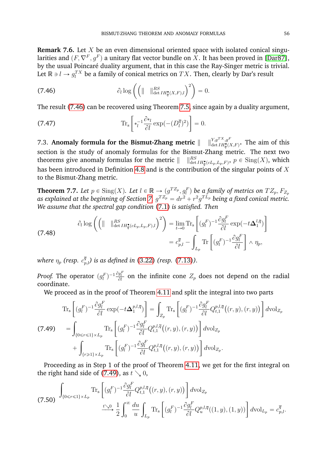**Remark 7.6.** Let X be an even dimensional oriented space with isolated conical singularities and  $(F,\nabla^F,g^F)$  a unitary flat vector bundle on  $X.$  It has been proved in [\[Dar87\]](#page-62-2), by the usual Poincaré duality argument, that in this case the Ray-Singer metric is trivial. Let  $\mathbb{R} \ni l \to g^{TX}_l$  be a family of conical metrics on  $TX.$  Then, clearly by Dar's result ˙

<span id="page-57-1"></span>(7.46) 
$$
\partial_l \log \left( \left( \|\n\|\n\begin{array}{c}\n\text{R}^S \\
\text{det } H^{\bullet}_{\overline{q}}(X,F)_l \end{array} \right)^2 \right) = 0.
$$

The result [\(7.46\)](#page-57-1) can be recovered using Theorem [7.5,](#page-56-0) since again by a duality argument, .<br>..  $\frac{1}{2}$ 

(7.47) 
$$
\operatorname{Tr}_{\mathrm{s}}\left[\ast_{l}^{-1}\frac{\partial \ast_{l}}{\partial l}\exp(-(D_{l}^{\overline{q}})^{2})\right]=0.
$$

<span id="page-57-0"></span>7.3. Anomaly formula for the Bismut-Zhang metric  $\parallel$  $\lim_{\det IH_{\overline{q}}(X,F)}$ . The aim of this section is the study of anomaly formulas for the Bismut-Zhang metric. The next two theorems give anomaly formulas for the metric  $\parallel$  $\lim_{\det IH_{\overline{q}}^{\bullet}(cL_{p},L_{p},F)}, p \in \text{Sing}(X)$ , which has been introduced in Definition [4.8](#page-29-1) and is the contribution of the singular points of  $X$ to the Bismut-Zhang metric.

<span id="page-57-4"></span>**Theorem 7.7.** Let  $p \in \text{Sing}(X)$ . Let  $l \in \mathbb{R} \to (g^{T Z_p}, g_l^F)$  be a family of metrics on  $TZ_p, F_{Z_p}$ as explained at the beginning of Section [7,](#page-48-0)  $g^{T Z_p} = dr^2 + r^2 g^{T L_p}$  being a fixed conical metric. *We assume that the spectral gap condition* [\(7.1\)](#page-48-2) *is satisfied. Then*  $\overline{a}$ 

<span id="page-57-3"></span>(7.48) 
$$
\partial_l \log \left( \left( \|\n\|\n\begin{array}{cc}\n\|\mathcal{R}^S_{\text{det }IH_q^{\bullet}(cL_p, L_p, F), l}\n\end{array}\n\right)^2 \right) = \lim_{t \to 0} \text{Tr}_s \left[ (g_l^F)^{-1} \frac{\partial g_l^F}{\partial l} \exp(-t \Delta_1^{l, \overline{q}}) \right] \\
= c_{p,l}^{\overline{q}} - \int_{L_p} \text{Tr} \left[ (g_l^F)^{-1} \frac{\partial g_l^F}{\partial l} \right] \wedge \eta_p,
$$

where  $\eta_p$  (resp.  $c^{\overline{q}}_{p,l}$ ) is as defined in [\(3.22\)](#page-13-5) (resp. [\(7.13\)](#page-50-2)).

*Proof.* The operator  $(g_l^F)^{-1} \frac{\partial g_l^F}{\partial l}$  on the infinite cone  $Z_p$  does not depend on the radial coordinate.

We proceed as in the proof of Theorem [4.11](#page-30-3) and split the integral into two parts "  $\overline{a}$ "  $\overline{\phantom{a}}$ 

<span id="page-57-2"></span>
$$
\operatorname{Tr}_{\mathbf{s}}\left[ (g_l^F)^{-1} \frac{\partial g_l^F}{\partial l} \exp\left(-t\Delta_1^{p,l,\overline{q}}\right) \right] = \int_{Z_p} \operatorname{Tr}_{\mathbf{s}}\left[ (g_l^F)^{-1} \frac{\partial g_l^F}{\partial l} Q_{t,1}^{p,l,\overline{q}}\left((r,y),(r,y)\right) \right] d\mathrm{vol}_{Z_p}
$$
\n
$$
(7.49) \qquad = \int_{\{0 \le r \le 1\} \times L_p} \operatorname{Tr}_{\mathbf{s}}\left[ (g_l^F)^{-1} \frac{\partial g_l^F}{\partial l} Q_{t,1}^{p,l,\overline{q}}\left((r,y),(r,y)\right) \right] d\mathrm{vol}_{Z_p}
$$
\n
$$
+ \int_{\{r \ge 1\} \times L_p} \operatorname{Tr}_{\mathbf{s}}\left[ (g_l^F)^{-1} \frac{\partial g_l^F}{\partial l} Q_{t,1}^{p,l,\overline{q}}\left((r,y),(r,y)\right) \right] d\mathrm{vol}_{Z_p}.
$$

Proceeding as in Step 1 of the proof of Theorem [4.11,](#page-30-3) we get for the first integral on the right hand side of [\(7.49\)](#page-57-2), as  $t \searrow 0$ , " 

$$
(7.50) \int_{\{0 \le r \le 1\} \times L_p} \text{Tr}_s\left[ (g_l^F)^{-1} \frac{\partial g_l^F}{\partial l} Q_{t,1}^{p,l,\overline{q}}\big((r,y),(r,y)\big) \right] d\text{vol}_{Z_p}
$$
  

$$
\xrightarrow{t \searrow 0} \frac{1}{2} \int_0^\infty \frac{du}{u} \int_{L_p} \text{Tr}_s\left[ (g_l^F)^{-1} \frac{\partial g_l^F}{\partial l} Q_u^{p,l,\overline{q}}\big((1,y),(1,y)\big) \right] d\text{vol}_{L_p} = c_{p,l}^{\overline{q}}.
$$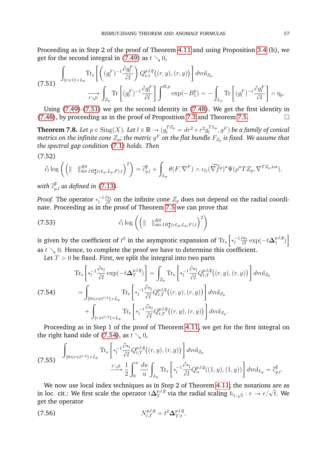Proceeding as in Step 2 of the proof of Theorem [4.11](#page-30-3) and using Proposition [3.4](#page-13-4) (b), we get for the second integral in [\(7.49\)](#page-57-2) as  $t \searrow 0$ ,  $\overline{a}$ 

<span id="page-58-0"></span>
$$
(7.51) \int_{\{r\geqslant 1\}\times L_p} \text{Tr}_s\left[\left((g_l^F)^{-1}\frac{\partial g_l^F}{\partial l}\right) Q_{t,1}^{p,l,\overline{q}}((r,y),(r,y))\right] d\text{vol}_{Z_p}
$$

$$
\xrightarrow[t\searrow 0]{} \int_{Z_p} \text{Tr}\left[(g_l^F)^{-1}\frac{\partial g_l^F}{\partial l}\right] \int^{\mathcal{B},p} \exp(-B_1^p) = -\int_{L_p} \text{Tr}\left[(g_l^F)^{-1}\frac{\partial g_l^F}{\partial l}\right] \wedge \eta_p.
$$

Using [\(7.49\)](#page-57-2)-[\(7.51\)](#page-58-0) we get the second identity in [\(7.48\)](#page-57-3). We get the first identity in [\(7.48\)](#page-57-3), by proceeding as in the proof of Proposition [7.3](#page-53-0) and Theorem [7.5.](#page-56-0)

<span id="page-58-3"></span>**Theorem 7.8.** Let  $p \in \text{Sing}(X)$ . Let  $l \in \mathbb{R} \to (g_l^{T Z_p} = dr^2 + r^2 g_l^{T L_p})$  $l_l^{TL_p}, g^F)$  be a family of conical metrics on the infinite cone  $Z_p$ ; the metric  $g^F$  on the flat bundle  $F_{Z_p}$  is fixed. We assume that *the spectral gap condition* [\(7.1\)](#page-48-2) *holds. Then*

$$
(7.52)
$$

$$
\partial_l \log \left( \left( \|\n\|\n\|\n\begin{array}{l}\n\text{R}^S \\
\text{det } H^{\bullet}_{\overline{q}}(cL_p, L_p, F),\n\end{array} \right)^2 \right) = \widetilde{c}^{\overline{q}}_{p,l} + \int_{L_p} \theta(F, \nabla^F) \wedge \iota_{\partial_l}(\widetilde{\nabla f}^p)^* \Psi(\rho^* T Z_p, \nabla^{T Z_p, \text{tot}}),
$$

with  $\widetilde{c}^{\overline{q}}_{p,l}$  as defined in [\(7.13\)](#page-50-2).

*Proof.* The operator  $*_{l}^{-1}\frac{\partial *_{l}}{\partial l}$  $\frac{\partial \mathcal{H}_l}{\partial l}$  on the infinite cone  $Z_p$  does not depend on the radial coordi-

nate. Proceeding as in the proof of Theorem 7.5 we can prove that  
(7.53) 
$$
\partial_l \log \left( \left( \|\begin{array}{cc} \|_{\det IH_q^{\bullet}(cL_p, L_p, F),l} \end{array} \right)^2 \right)
$$

is given by the coefficient of  $t^0$  in the asymptotic expansion of  $\text{Tr}_\text{s}$   $\left|*\frac{1}{l}\frac{\partial *_{l}}{\partial l}\right|$ "  $\frac{\partial *_{l}}{\partial l} \exp(-t\boldsymbol{\Delta}^{p,l,\overline{q}}_{1})$  $\binom{p,\iota,q}{1}$ ı as  $t \searrow 0$ . Hence, to complete the proof we have to determine this coefficient.

Let  $T > 0$  be fixed. First, we split the integral into two parts

<span id="page-58-1"></span>
$$
\begin{split}\n\text{Tr}_{\mathbf{s}}\left[\begin{matrix} \ast_{l}^{-1}\frac{\partial\ast_{l}}{\partial l}\exp(-t\Delta_{T}^{p,l,\overline{q}}) \end{matrix}\right] & = \int_{Z_{p}}\text{Tr}_{\mathbf{s}}\left[\begin{matrix} \ast_{l}^{-1}\frac{\partial\ast_{l}}{\partial l}Q_{t,T}^{p,l,\overline{q}}\left((r,y),(r,y)\right) \end{matrix}\right]d\mathrm{vol}_{Z_{p}} \\
&= \int_{\{0\leq r\leq t^{1/4}\}\times L_{p}}\text{Tr}_{\mathbf{s}}\left[\begin{matrix} \ast_{l}^{-1}\frac{\partial\ast_{l}}{\partial l}Q_{t,T}^{p,l,\overline{q}}\left((r,y),(r,y)\right) \end{matrix}\right]d\mathrm{vol}_{Z_{p}} \\
&+ \int_{\{r\geq t^{1/4}\}\times L_{p}}\text{Tr}_{\mathbf{s}}\left[\begin{matrix} \ast_{l}^{-1}\frac{\partial\ast_{l}}{\partial l}Q_{t,T}^{p,l,\overline{q}}\left((r,y),(r,y)\right) \end{matrix}\right]d\mathrm{vol}_{Z_{p}}.\n\end{split}
$$

Proceeding as in Step 1 of the proof of Theorem [4.11,](#page-30-3) we get for the first integral on the right hand side of [\(7.54\)](#page-58-1), as  $t \searrow 0$ , 

<span id="page-58-2"></span>
$$
\int_{\{0 \le r \le t^{1/4}\} \times L_p} \text{Tr}_{\mathbf{s}}\left[\ast_l^{-1} \frac{\partial \ast_l}{\partial l} Q_{t,T}^{p,l,\overline{q}}\big((r,y),(r,y)\big)\right] d\text{vol}_{Z_p}
$$
\n
$$
\xrightarrow{t \searrow 0} \frac{1}{2} \int_0^\infty \frac{du}{u} \int_{L_p} \text{Tr}_{\mathbf{s}}\left[\ast_l^{-1} \frac{\partial \ast_l}{\partial l} Q_u^{p,l,\overline{q}}\big((1,y),(1,y)\big)\right] d\text{vol}_{L_p} = \widetilde{c}_{p,l}^{\overline{q}}.
$$

We now use local index techniques as in Step 2 of Theorem [4.11;](#page-30-3) the notations are as in loc. cit.: We first scale the operator  $t\mathbf{\Delta}_T^{p,l,\overline{q}}$  $r^{p,\iota,q}_{T}$  via the radial scaling  $h_{1/\sqrt{t}}:r\rightarrow r/2$  $\begin{matrix} \circ \\ \circ \end{matrix}$ t. We get the operator

(7.56) 
$$
N_{t,T}^{p,l,\bar{q}} = t^2 \Delta_{T/t}^{p,l,\bar{q}},
$$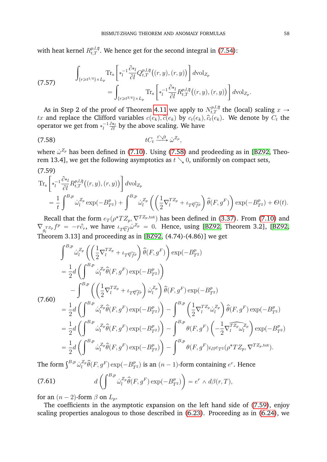with heat kernel  $R_{t,T}^{p,l,\overline{q}}.$  We hence get for the second integral in [\(7.54\)](#page-58-1):

<span id="page-59-4"></span>(7.57) 
$$
\int_{\{r\geq t^{1/4}\}\times L_p} \text{Tr}_s\left[\ast_l^{-1}\frac{\partial \ast_l}{\partial l}Q_{t,T}^{p,l,\overline{q}}\left((r,y),(r,y)\right)\right]d\text{vol}_{Z_p} = \int_{\{r\geq t^{3/4}\}\times L_p} \text{Tr}_s\left[\ast_l^{-1}\frac{\partial \ast_l}{\partial l}R_{t,T}^{p,l,\overline{q}}\left((r,y),(r,y)\right)\right]d\text{vol}_{Z_p}.
$$

As in Step 2 of the proof of Theorem [4.11](#page-30-3) we apply to  $N_{t,T}^{p,l,\overline{q}}$  the (local) scaling  $x \to$  $tx$  and replace the Clifford variables  $c(e_k), \widehat{c}(e_k)$  by  $c_t(e_k), \widehat{c}_t(e_k)$ . We denote by  $C_t$  the operator we get from  $*^{-1}_l\frac{\partial *_{l}}{\partial l}$  $\frac{\partial \mathcal{H}_l}{\partial l}$  by the above scaling. We have

<span id="page-59-0"></span>
$$
(7.58) \t tC_t \xrightarrow{t \searrow 0} \dot{\omega}^{Z_p},
$$

where  $\dot{\omega}^{Z_p}$  has been defined in [\(7.10\)](#page-49-1). Using [\(7.58\)](#page-59-0) and prodeeding as in [\[BZ92,](#page-62-1) Theorem 13.4], we get the following asymptotics as  $t \setminus 0$ , uniformly on compact sets,

<span id="page-59-1"></span>
$$
(7.59)
$$
  
\n
$$
\mathrm{Tr}_{s} \left[ *_{l}^{-1} \frac{\partial *_{l}}{\partial l} R_{t,T}^{p,l,\overline{q}}((r,y),(r,y)) \right] d\mathrm{vol}_{Z_{p}}
$$
  
\n
$$
= \frac{1}{t} \int^{B,p} \dot{\omega}_{l}^{Z_{p}} \exp(-B_{T^{2}}^{p}) + \int^{B,p} \dot{\omega}_{l}^{Z_{p}} \left( \left( \frac{1}{2} \nabla_{l}^{T Z_{p}} + \iota_{T \widehat{\nabla f^{p}}} \right) \widehat{\theta}(F,g^{F}) \right) \exp(-B_{T^{2}}^{p}) + \mathcal{O}(t).
$$

Recall that the form  $e_T (\rho^* T Z_p, \nabla^{T Z_p,\text{tot}})$  has been defined in [\(3.37\)](#page-15-5). From [\(7.10\)](#page-49-1) and  $\nabla_{g_l^{T}z_p} f^p = -r \partial_r$ , we have  $\iota_T \widehat{\nabla f} \omega^{Z_p} = 0$ . Hence, using [\[BZ92,](#page-62-1) Theorem 3.2], [BZ92, Theorem 3.13] and proceeding as in [\[BZ92,](#page-62-1) (4.74)-(4.86)] we get

<span id="page-59-2"></span>
$$
\int^{B,p} \dot{\omega}_l^{Z_p} \left( \left( \frac{1}{2} \nabla_l^{T Z_p} + \iota_{T \overline{\nabla} \overline{f^p}} \right) \hat{\theta}(F, g^F) \right) \exp(-B_{T^2}^p)
$$
\n
$$
= \frac{1}{2} d \left( \int^{B,p} \dot{\omega}_l^{Z_p} \hat{\theta}(F, g^F) \exp(-B_{T^2}^p) \right)
$$
\n
$$
- \int^{B,p} \left( \left( \frac{1}{2} \nabla_l^{T Z_p} + \iota_{T \overline{\nabla} \overline{f^p}} \right) \dot{\omega}_l^{Z_p} \right) \hat{\theta}(F, g^F) \exp(-B_{T^2}^p)
$$
\n(7.60)\n
$$
= \frac{1}{2} d \left( \int^{B,p} \dot{\omega}_l^{Z_p} \hat{\theta}(F, g^F) \exp(-B_{T^2}^p) \right) - \int^{B,p} \left( \frac{1}{2} \nabla_l^{T Z_p} \dot{\omega}_l^{Z_p} \right) \hat{\theta}(F, g^F) \exp(-B_{T^2}^p)
$$
\n
$$
= \frac{1}{2} d \left( \int^{B,p} \dot{\omega}_l^{Z_p} \hat{\theta}(F, g^F) \exp(-B_{T^2}^p) \right) - \int^{B,p} \theta(F, g^F) \left( -\frac{1}{2} \nabla_l^{T Z_p} \dot{\omega}_l^{Z_p} \right) \exp(-B_{T^2}^p)
$$
\n
$$
= \frac{1}{2} d \left( \int^{B,p} \dot{\omega}_l^{Z_p} \hat{\theta}(F, g^F) \exp(-B_{T^2}^p) \right) - \int^{B,p} \theta(F, g^F) \iota_{\partial l} e_{T^2} (\rho^* T Z_p, \nabla^{T Z_p, \text{tot}}).
$$

The form  $\int^{B,p} \dot{\omega}_l^{Z_p}$  $l^{\mathcal{Z}_p}_l\widehat{\theta}(F,g^F)\exp(-B_{T^2}^p)$  is an  $(n-1)$ -form containing  $e^r.$  Hence

<span id="page-59-3"></span>(7.61) 
$$
d\left(\int^{B,p} \dot{\omega}_l^{Z_p}\hat{\theta}(F,g^F)\exp(-B_{T^2}^p)\right) = e^r \wedge d\beta(r,T),
$$

for an  $(n - 2)$ -form  $\beta$  on  $L_n$ .

The coefficients in the asymptotic expansion on the left hand side of [\(7.59\)](#page-59-1), enjoy scaling properties analogous to those described in [\(6.23\)](#page-44-3). Proceeding as in [\(6.24\)](#page-45-0), we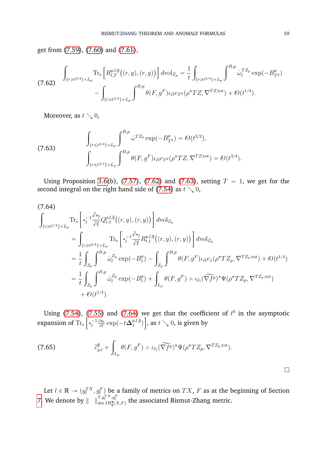get from [\(7.59\)](#page-59-1), [\(7.60\)](#page-59-2) and [\(7.61\)](#page-59-3),

<span id="page-60-0"></span>
$$
\int_{\{r\geq t^{3/4}\}\times L_p} \text{Tr}_{\mathbf{s}}\left[R_{t,T}^{p,l,\overline{q}}\big((r,y),(r,y)\big)\right] d\text{vol}_{Z_p} = \frac{1}{t} \int_{\{r\geq t^{3/4}\}\times L_p} \int^{B,p} \dot{\omega}_l^{T Z_p} \exp(-B_{T^2}^p) - \int_{\{r\geq t^{3/4}\}\times L_p} \int^{B,p} \theta(F,g^F) \iota_{\partial l} e_{T^2}(\rho^* T Z, \nabla^{T Z, \text{tot}}) + \mathcal{O}(t^{1/4}).
$$

Moreover, as  $t \searrow 0$ ,

<span id="page-60-1"></span>(7.63) 
$$
\int_{\{r \le t^{3/4}\} \times L_p} \int^{B,p} \dot{\omega}^{TZ_p} \exp(-B_{T^2}^p) = \mathcal{O}(t^{3/2}),
$$

$$
\int_{\{r \le t^{3/4}\} \times L_p} \int^{B,p} \theta(F, g^F) \iota_{\partial l} e_{T^2}(\rho^* TZ, \nabla^{TZ, \text{tot}}) = \mathcal{O}(t^{3/4}).
$$

Using Proposition [3.6\(](#page-15-4)b), [\(7.57\)](#page-59-4), [\(7.62\)](#page-60-0) and [\(7.63\)](#page-60-1), setting  $T = 1$ , we get for the second integral on the right hand side of [\(7.54\)](#page-58-1) as  $t \searrow 0$ ,

<span id="page-60-2"></span>
$$
(7.64) \int_{\{r \ge t^{1/4}\} \times L_p} \text{Tr}_{s} \left[ *_{l}^{-1} \frac{\partial *_{l}}{\partial l} Q_{t,1}^{p,l,\bar{q}}((r, y), (r, y)) \right] d\text{vol}_{Z_p} \n= \int_{\{r \ge t^{3/4}\} \times L_p} \text{Tr}_{s} \left[ *_{l}^{-1} \frac{\partial *_{l}}{\partial l} R_{t,1}^{p,l,\bar{q}}((r, y), (r, y)) \right] d\text{vol}_{Z_p} \n= \frac{1}{t} \int_{Z_p} \int_{B_p}^{B_p} \dot{\omega}_l^{Z_p} \exp(-B_1^p) - \int_{Z_p} \int_{B_p}^{B_p} \theta(F, g^F) \iota_{\partial l} e_1(\rho^* T Z_p, \nabla^{T Z_p, \text{tot}}) + \mathcal{O}(t^{1/4}) \n= \frac{1}{t} \int_{Z_p} \int_{B_p}^{B_p} \dot{\omega}_l^{Z_p} \exp(-B_1^p) + \int_{L_p} \theta(F, g^F) \wedge \iota_{\partial_l}(\nabla f^p)^* \Psi(\rho^* T Z_p, \nabla^{T Z_p, \text{tot}}) \n+ \mathcal{O}(t^{1/4}).
$$

Using [\(7.54\)](#page-58-1), [\(7.55\)](#page-58-2) and [\(7.64\)](#page-60-2) we get that the coefficient of  $t^0$  in the asymptotic expansion of  $\mathrm{Tr_{s}}$  $\overline{\mathcal{L}}$  $*_{l}^{-1}\frac{\partial *_{l}}{\partial l}$  $\frac{\partial *_{l}}{\partial l} \exp(-t\boldsymbol{\Delta}^{p,l,\overline{q}}_{1})$  $\binom{p,\iota,q}{1}$  $\frac{v}{1}$ , as  $t \searrow 0$ , is given by

(7.65) 
$$
\tilde{c}_{p,l}^{\overline{q}} + \int_{L_p} \theta(F,g^F) \wedge \iota_{\partial_l}(\widetilde{\nabla f}^p)^* \Psi(\rho^*TZ_p, \nabla^{TZ_p,\text{tot}}).
$$

Let  $l \in \mathbb{R} \to (g_l^{TX}, g_l^F)$  be a family of metrics on  $TX$ , F as at the beginning of Section [7.](#page-48-0) We denote by  $\|\quad\|_{\det IH_{\overline{q}}^X(X,F)}^{Y,g_t^{TX},g_t^F}$  the associated Bismut-Zhang metric.

 $\Box$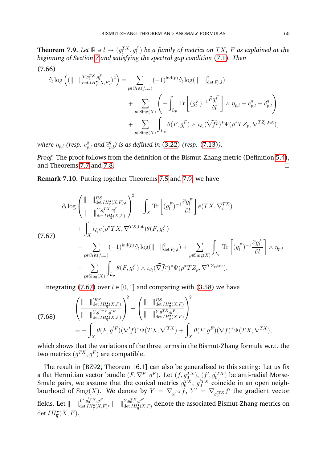<span id="page-61-0"></span>**Theorem 7.9.** Let  $\mathbb{R} \ni l \to (g_l^{TX}, g_l^F)$  be a family of metrics on  $TX$ ,  $F$  as explained at the *beginning of Section [7](#page-48-0) and satisfying the spectral gap condition* [\(7.1\)](#page-48-2)*. Then*

(7.66)

$$
\partial_{t} \log \left( (\|\n\|\n\|\n\begin{aligned}\n\|\n\chi_{g_{t}^{T X}, g_{t}^{F}}^{TX, g_{t}^{F}}) \right) &= \sum_{p \in \text{Crit}(f_{sm})} (-1)^{\text{ind}(p)} \partial_{t} \log(\|\n\|\|\n\|\n\begin{aligned}\n\|\n\chi_{g_{t}^{T X}, g_{t}^{F}}^{Z} + \sum_{p \in \text{Sing}(X)} \left( -\int_{L_{p}} \text{Tr} \left[ (g_{t}^{F})^{-1} \frac{\partial g_{t}^{F}}{\partial t} \right] \wedge \eta_{p,l} + c_{p,l}^{\overline{q}} + \tilde{c}_{p,l}^{\overline{q}} \right) \\
&\quad + \sum_{p \in \text{Sing}(X)} \int_{L_{p}} \theta(F, g_{t}^{F}) \wedge \iota_{\partial_{t}} (\widetilde{\nabla f}^{p})^{*} \Psi(\rho^{*} T Z_{p}, \nabla^{T Z_{p}, \text{tot}}),\n\end{aligned}
$$

where  $\eta_{p,l}$  (resp.  $c^{\bar{q}}_{p,l}$  and  $\tilde{c}^{\bar{q}}_{p,l}$ ) is as defined in [\(3.22\)](#page-13-5) (resp. [\(7.13\)](#page-50-2)).

*Proof.* The proof follows from the definition of the Bismut-Zhang metric (Definition [5.4\)](#page-35-4), and Theorems [7.7](#page-57-4) and [7.8.](#page-58-3)

**Remark 7.10.** Putting together Theorems [7.5](#page-56-0) and [7.9,](#page-61-0) we have

<span id="page-61-1"></span>
$$
\partial_l \log \left( \frac{\| \quad \|_{\det H_q^{\bullet}(X,F),l}^{RS}}{\| \quad \|_{\det H_q^{\bullet}(X,F)}} \right)^2 = \int_X \text{Tr} \left[ (g_l^F)^{-1} \frac{\partial g_l^F}{\partial l} \right] e(TX, \nabla_l^{TX})
$$
\n
$$
+ \int_X \iota_{\partial_l} e(\rho^* TX, \nabla^{TX, \text{tot}}) \theta(F, g_l^F)
$$
\n
$$
- \sum_{p \in \text{Crit}(f_{sm})} (-1)^{\text{ind}(p)} \partial_l \log (\| \quad \|_{\det F_p, l}^2) + \sum_{p \in \text{Sing}(X)} \int_{L_p} \text{Tr} \left[ (g_l^F)^{-1} \frac{\partial g_l^F}{\partial l} \right] \wedge \eta_{p,l}
$$
\n
$$
- \sum_{p \in \text{Sing}(X)} \int_{L_p} \theta(F, g_l^F) \wedge \iota_{\partial_l} (\widetilde{\nabla f}^p)^* \Psi(\rho^* TZ_p, \nabla^{TZ_p, \text{tot}}).
$$

Integrating [\(7.67\)](#page-61-1) over  $l \in [0, 1]$  and comparing with [\(3.58\)](#page-18-3) we have

(7.68) 
$$
\begin{aligned}\n\left(\begin{array}{c}\n\|\ \| \ \|_{\det H^{\bullet}_{\overline{q}}(X,F)}\n\end{array}\right)^2 - \left(\begin{array}{c}\n\|\ \| \ \|_{\det H^{\bullet}_{\overline{q}}(X,F)}\n\end{array}\right)^2 = \\
&= - \int_X \theta(F, g^{'F})(\nabla' f)^* \Psi(TX, \nabla'^{TX}) + \int_X \theta(F, g^F)(\nabla f)^* \Psi(TX, \nabla^{TX}),\n\end{aligned}
$$

which shows that the variations of the three terms in the Bismut-Zhang formula w.r.t. the two metrics  $(g^{TX}, g^{F})$  are compatible.

The result in [\[BZ92,](#page-62-1) Theorem 16.1] can also be generalised to this setting: Let us fix a flat Hermitian vector bundle  $(F,\nabla^F,g^F)$ . Let  $(f,g_0^{TX})$ ,  $(f',g_0^{\prime TX})$  be anti-radial Morse-Smale pairs, we assume that the conical metrics  $g_0^{TX}$ ,  $g_0^{T X}$  coincide in an open neighbourhood of  $\mathrm{Sing}(X)$ . We denote by  $Y \; = \; \nabla_{g_0^T} x \, f, \; Y' \; = \; \nabla_{g_0^{\prime T} x} f'$  the gradient vector fields. Let  $\|\n\|\|_{\det H^\bullet(X)}^{Y',g_0^{T}X,g^F}$  $\frac{Y',g_0^{\prime T X},g^F}{\det IH^{\bullet}_{\overline{q}}(X,F)},\ \ \parallel\quad \ \parallel_{\det IH^{\bullet}_{\overline{q}}(X,F)}^{Y,g_0^{TX},g^F}$  $\frac{H, g_0 \rightarrow g}{\det IH^{\bullet}_{\bm{q}}(X, F)}$  denote the associated Bismut-Zhang metrics on det  $IH_{\overline{q}}^{\bullet}(X,F)$ .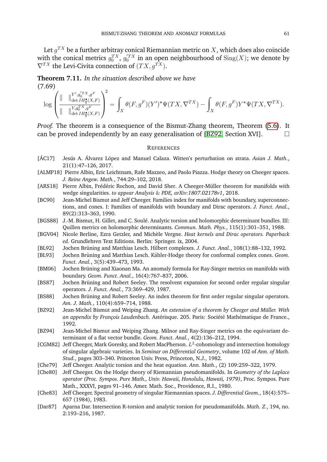Let  $g^{TX}$  be a further arbitray conical Riemannian metric on  $X,$  which does also coincide with the conical metrics  $g_0^{TX},\,g_0^{'TX}$  in an open neighbourhood of  $\mathrm{Sing}(X)$ ; we denote by  $\nabla^{TX}$  the Levi-Civita connection of  $(T X, q^{TX})$ .

**Theorem 7.11.** *In the situation described above we have*  $(7.69)$ ˛

$$
\log\left(\frac{\|\quad\|_{\det H^{\bullet}_{\overline{q}}(X,F)}^{Y',g_0^{lTX},g^F}}{\|\quad\|_{\det H^{\bullet}_{\overline{q}}(X,F)}^{Y,g_0^{lTX},g^F}}\right)^2=\int_X \theta(F,g^F)(Y')^*\Psi(TX,\nabla^{TX})-\int_X \theta(F,g^F)Y^*\Psi(TX,\nabla^{TX}).
$$

*Proof.* The theorem is a consequence of the Bismut-Zhang theorem, Theorem [\(5.6\)](#page-36-0). It can be proved independently by an easy generalisation of [\[BZ92,](#page-62-1) Section XVI].

#### **REFERENCES**

- <span id="page-62-10"></span>[ÁC17] Jesús A. Álvarez López and Manuel Calaza. Witten's perturbation on strata. Asian J. Math., 21(1):47–126, 2017.
- <span id="page-62-15"></span>[ALMP18] Pierre Albin, Eric Leichtnam, Rafe Mazzeo, and Paolo Piazza. Hodge theory on Cheeger spaces. *J. Reine Angew. Math.*, 744:29–102, 2018.
- <span id="page-62-3"></span>[ARS18] Pierre Albin, Frédéric Rochon, and David Sher. A Cheeger-Müller theorem for manifolds with wedge singularities. *to appear Analysis* & *PDE, arXiv:1807.02178v1*, 2018.
- <span id="page-62-4"></span>[BC90] Jean-Michel Bismut and Jeff Cheeger. Families index for manifolds with boundary, superconnections, and cones. I: Families of manifolds with boundary and Dirac operators. *J. Funct. Anal.*, 89(2):313–363, 1990.
- <span id="page-62-17"></span>[BGS88] J.-M. Bismut, H. Gillet, and C. Soulé. Analytic torsion and holomorphic determinant bundles. III: Quillen metrics on holomorphic determinants. *Commun. Math. Phys.*, 115(1):301–351, 1988.
- <span id="page-62-13"></span>[BGV04] Nicole Berline, Ezra Getzler, and Mich`ele Vergne. *Heat kernels and Dirac operators. Paperback ed.* Grundlehren Text Editions. Berlin: Springer. ix, 2004.
- <span id="page-62-5"></span>[BL92] Jochen Brüning and Matthias Lesch. Hilbert complexes. *J. Funct. Anal.*, 108(1):88–132, 1992.
- <span id="page-62-6"></span>[BL93] Jochen Brüning and Matthias Lesch. Kähler-Hodge theory for conformal complex cones. Geom. *Funct. Anal.*, 3(5):439–473, 1993.
- <span id="page-62-16"></span>[BM06] Jochen Brüning and Xiaonan Ma. An anomaly formula for Ray-Singer metrics on manifolds with boundary. *Geom. Funct. Anal.*, 16(4):767–837, 2006.
- <span id="page-62-11"></span>[BS87] Jochen Brüning and Robert Seeley. The resolvent expansion for second order regular singular operators. *J. Funct. Anal.*, 73:369–429, 1987.
- <span id="page-62-14"></span>[BS88] Jochen Brüning and Robert Seeley. An index theorem for first order regular singular operators. *Am. J. Math.*, 110(4):659–714, 1988.
- <span id="page-62-1"></span>[BZ92] Jean-Michel Bismut and Weiping Zhang. An extension of a theorem by Cheeger and Müller. With *an appendix by François Laudenbach. Astérisque. 205. Paris: Société Mathématique de France.*, 1992.
- <span id="page-62-9"></span>[BZ94] Jean-Michel Bismut and Weiping Zhang. Milnor and Ray-Singer metrics on the equivariant determinant of a flat vector bundle. *Geom. Funct. Anal.*, 4(2):136–212, 1994.
- <span id="page-62-7"></span>[CGM82] Jeff Cheeger, Mark Goresky, and Robert MacPherson.  $L^2$ -cohomology and intersection homology of singular algebraic varieties. In *Seminar on Differential Geometry*, volume 102 of *Ann. of Math. Stud.*, pages 303–340. Princeton Univ. Press, Princeton, N.J., 1982.
- <span id="page-62-0"></span>[Che79] Jeff Cheeger. Analytic torsion and the heat equation. *Ann. Math.*, (2) 109:259–322, 1979.
- <span id="page-62-8"></span>[Che80] Jeff Cheeger. On the Hodge theory of Riemannian pseudomanifolds. In *Geometry of the Laplace operator (Proc. Sympos. Pure Math., Univ. Hawaii, Honolulu, Hawaii, 1979)*, Proc. Sympos. Pure Math., XXXVI, pages 91–146. Amer. Math. Soc., Providence, R.I., 1980.
- <span id="page-62-12"></span>[Che83] Jeff Cheeger. Spectral geometry of singular Riemannian spaces. *J. Differential Geom.*, 18(4):575– 657 (1984), 1983.
- <span id="page-62-2"></span>[Dar87] Aparna Dar. Intersection R-torsion and analytic torsion for pseudomanifolds. *Math. Z.*, 194, no. 2:193–216, 1987.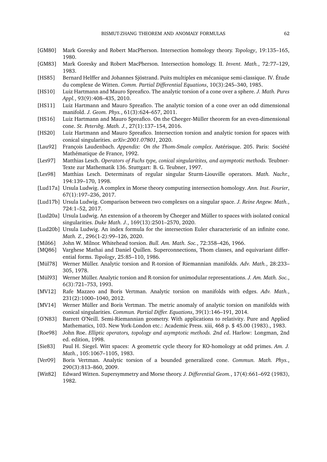- <span id="page-63-16"></span>[GM80] Mark Goresky and Robert MacPherson. Intersection homology theory. *Topology*, 19:135–165, 1980.
- <span id="page-63-17"></span>[GM83] Mark Goresky and Robert MacPherson. Intersection homology. II. *Invent. Math.*, 72:77–129, 1983.
- <span id="page-63-3"></span>[HS85] Bernard Helffer and Johannes Sjöstrand. Puits multiples en mécanique semi-classique. IV. Étude du complexe de Witten. *Comm. Partial Differential Equations*, 10(3):245–340, 1985.
- <span id="page-63-7"></span>[HS10] Luiz Hartmann and Mauro Spreafico. The analytic torsion of a cone over a sphere. *J. Math. Pures Appl.*, 93(9):408–435, 2010.
- <span id="page-63-8"></span>[HS11] Luiz Hartmann and Mauro Spreafico. The analytic torsion of a cone over an odd dimensional manifold. *J. Geom. Phys.*, 61(3):624–657, 2011.
- <span id="page-63-9"></span>[HS16] Luiz Hartmann and Mauro Spreafico. On the Cheeger-Müller theorem for an even-dimensional cone. *St. Petersbg. Math. J.*, 27(1):137–154, 2016.
- <span id="page-63-10"></span>[HS20] Luiz Hartmann and Mauro Spreafico. Intersection torsion and analytic torsion for spaces with conical singularities. *arXiv:2001.07801*, 2020.
- <span id="page-63-20"></span>[Lau92] François Laudenbach. *Appendix: On the Thom-Smale complex*. Astérisque. 205. Paris: Société Mathématique de France, 1992.
- <span id="page-63-21"></span>[Les97] Matthias Lesch. *Operators of Fuchs type, conical singularitites, and asymptotic methods.* Teubner-Texte zur Mathematik 136. Stuttgart: B. G. Teubner, 1997.
- <span id="page-63-4"></span>[Les98] Matthias Lesch. Determinats of regular singular Sturm-Liouville operators. *Math. Nachr.*, 194:139–170, 1998.
- <span id="page-63-23"></span>[Lud17a] Ursula Ludwig. A complex in Morse theory computing intersection homology. *Ann. Inst. Fourier*, 67(1):197–236, 2017.
- <span id="page-63-13"></span>[Lud17b] Ursula Ludwig. Comparison between two complexes on a singular space. *J. Reine Angew. Math.*, 724:1–52, 2017.
- <span id="page-63-12"></span>[Lud20a] Ursula Ludwig. An extension of a theorem by Cheeger and Müller to spaces with isolated conical singularities. *Duke Math. J.*, 169(13):2501–2570, 2020.
- <span id="page-63-14"></span>[Lud20b] Ursula Ludwig. An index formula for the intersection Euler characteristic of an infinite cone. *Math. Z.*, 296(1-2):99–126, 2020.
- <span id="page-63-24"></span>[Mil66] John W. Milnor. Whitehead torsion. *Bull. Am. Math. Soc.*, 72:358–426, 1966.
- <span id="page-63-19"></span>[MQ86] Varghese Mathai and Daniel Quillen. Superconnections, Thom classes, and equivariant differential forms. *Topology*, 25:85–110, 1986.
- <span id="page-63-0"></span>[Mül78] Werner Müller. Analytic torsion and R-torsion of Riemannian manifolds. Adv. Math., 28:233– 305, 1978.
- <span id="page-63-1"></span>[Mül93] Werner Müller. Analytic torsion and R-torsion for unimodular representations. *J. Am. Math. Soc.*, 6(3):721–753, 1993.
- <span id="page-63-11"></span>[MV12] Rafe Mazzeo and Boris Vertman. Analytic torsion on manifolds with edges. *Adv. Math.*, 231(2):1000–1040, 2012.
- <span id="page-63-6"></span>[MV14] Werner Müller and Boris Vertman. The metric anomaly of analytic torsion on manifolds with conical singularities. *Commun. Partial Differ. Equations*, 39(1):146–191, 2014.
- <span id="page-63-15"></span>[O'N83] Barrett O'Neill. Semi-Riemannian geometry. With applications to relativity. Pure and Applied Mathematics, 103. New York-London etc.: Academic Press. xiii, 468 p. \$ 45.00 (1983)., 1983.
- <span id="page-63-22"></span>[Roe98] John Roe. *Elliptic operators, topology and asymptotic methods. 2nd ed*. Harlow: Longman, 2nd ed. edition, 1998.
- <span id="page-63-18"></span>[Sie83] Paul H. Siegel. Witt spaces: A geometric cycle theory for KO-homology at odd primes. *Am. J. Math.*, 105:1067–1105, 1983.
- <span id="page-63-5"></span>[Ver09] Boris Vertman. Analytic torsion of a bounded generalized cone. *Commun. Math. Phys.*, 290(3):813–860, 2009.
- <span id="page-63-2"></span>[Wit82] Edward Witten. Supersymmetry and Morse theory. *J. Differential Geom.*, 17(4):661–692 (1983), 1982.